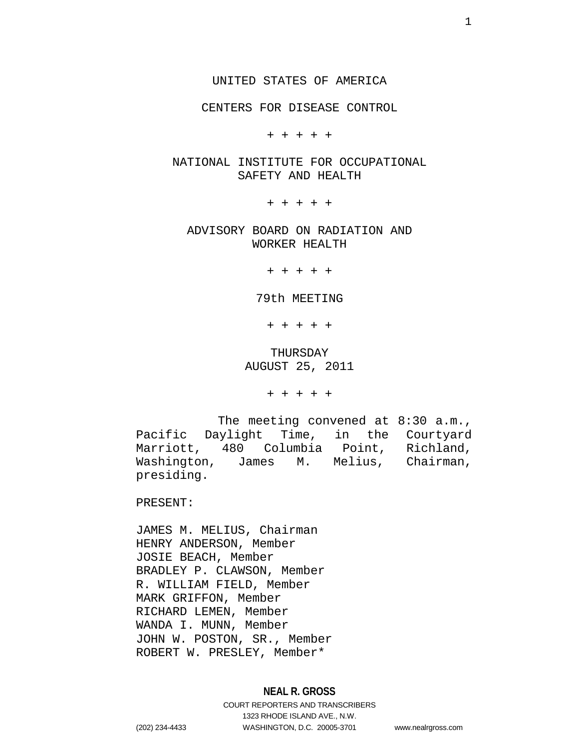CENTERS FOR DISEASE CONTROL

+ + + + +

# NATIONAL INSTITUTE FOR OCCUPATIONAL SAFETY AND HEALTH

+ + + + +

ADVISORY BOARD ON RADIATION AND WORKER HEALTH

+ + + + +

79th MEETING

+ + + + +

THURSDAY AUGUST 25, 2011

+ + + + +

The meeting convened at 8:30 a.m., Pacific Daylight Time, in the Courtyard Marriott, 480 Columbia Point, Richland, Washington, James M. Melius, Chairman, presiding.

PRESENT:

JAMES M. MELIUS, Chairman HENRY ANDERSON, Member JOSIE BEACH, Member BRADLEY P. CLAWSON, Member R. WILLIAM FIELD, Member MARK GRIFFON, Member RICHARD LEMEN, Member WANDA I. MUNN, Member JOHN W. POSTON, SR., Member ROBERT W. PRESLEY, Member\*

# **NEAL R. GROSS**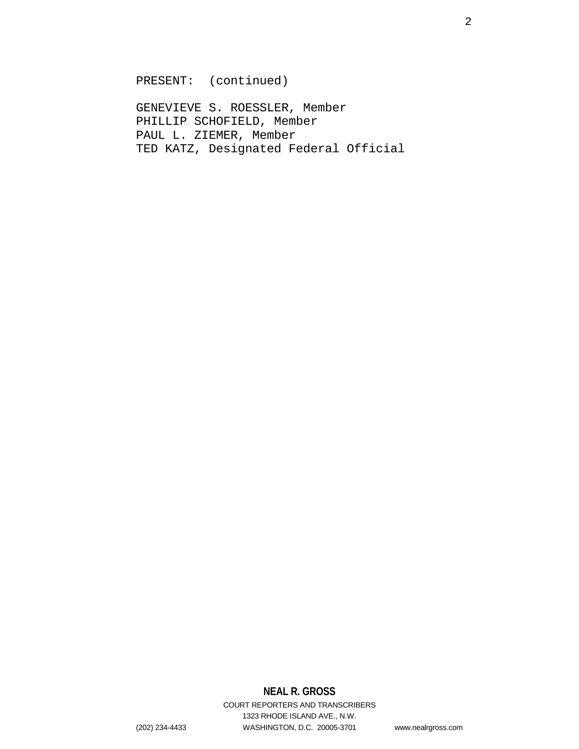PRESENT: (continued)

GENEVIEVE S. ROESSLER, Member PHILLIP SCHOFIELD, Member PAUL L. ZIEMER, Member TED KATZ, Designated Federal Official

# **NEAL R. GROSS**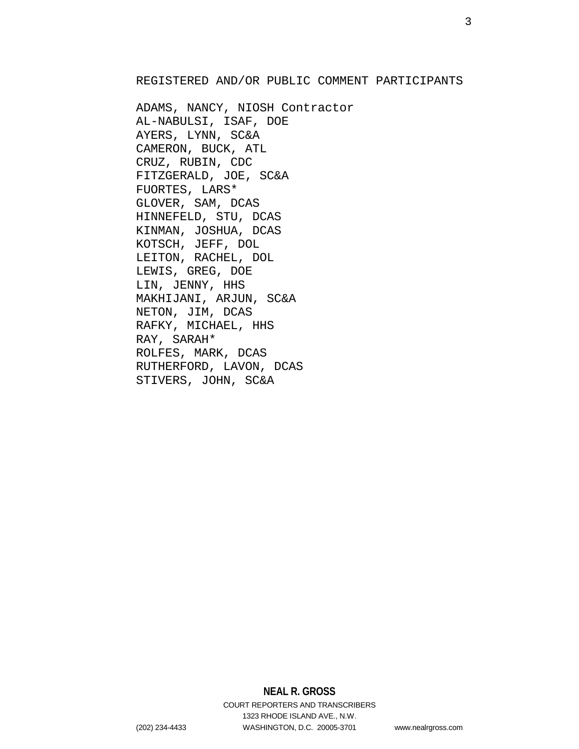# REGISTERED AND/OR PUBLIC COMMENT PARTICIPANTS

ADAMS, NANCY, NIOSH Contractor AL-NABULSI, ISAF, DOE AYERS, LYNN, SC&A CAMERON, BUCK, ATL CRUZ, RUBIN, CDC FITZGERALD, JOE, SC&A FUORTES, LARS\* GLOVER, SAM, DCAS HINNEFELD, STU, DCAS KINMAN, JOSHUA, DCAS KOTSCH, JEFF, DOL LEITON, RACHEL, DOL LEWIS, GREG, DOE LIN, JENNY, HHS MAKHIJANI, ARJUN, SC&A NETON, JIM, DCAS RAFKY, MICHAEL, HHS RAY, SARAH\* ROLFES, MARK, DCAS RUTHERFORD, LAVON, DCAS STIVERS, JOHN, SC&A

# **NEAL R. GROSS** COURT REPORTERS AND TRANSCRIBERS 1323 RHODE ISLAND AVE., N.W.

(202) 234-4433 WASHINGTON, D.C. 20005-3701 www.nealrgross.com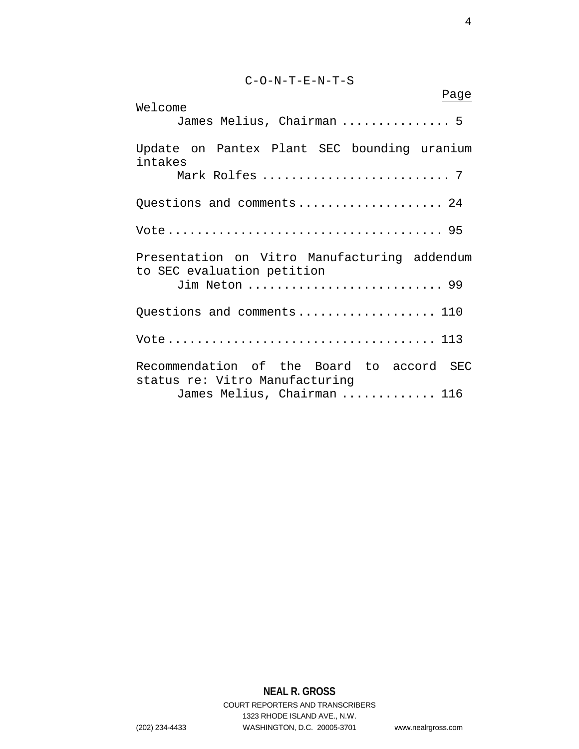C-O-N-T-E-N-T-S

| Page<br>Welcome                                                             |  |  |
|-----------------------------------------------------------------------------|--|--|
| James Melius, Chairman  5                                                   |  |  |
| Update on Pantex Plant SEC bounding uranium<br>intakes                      |  |  |
|                                                                             |  |  |
| Questions and comments 24                                                   |  |  |
|                                                                             |  |  |
| Presentation on Vitro Manufacturing addendum<br>to SEC evaluation petition  |  |  |
| Jim Neton  99                                                               |  |  |
| Questions and comments 110                                                  |  |  |
|                                                                             |  |  |
| Recommendation of the Board to accord SEC<br>status re: Vitro Manufacturing |  |  |
| James Melius, Chairman  116                                                 |  |  |

# **NEAL R. GROSS**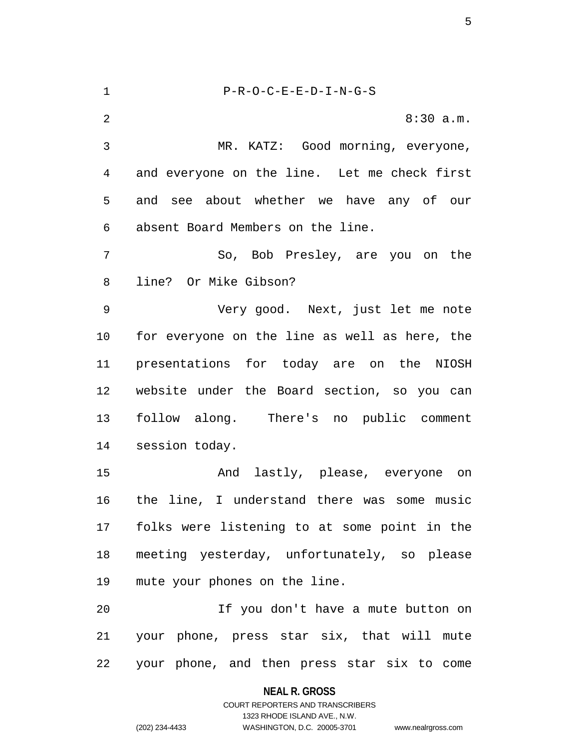1 P-R-O-C-E-E-D-I-N-G-S 2 8:30 a.m. 3 MR. KATZ: Good morning, everyone, 4 and everyone on the line. Let me check first 5 and see about whether we have any of our 6 absent Board Members on the line. 7 So, Bob Presley, are you on the 8 line? Or Mike Gibson? 9 Very good. Next, just let me note 10 for everyone on the line as well as here, the 11 presentations for today are on the NIOSH 12 website under the Board section, so you can 13 follow along. There's no public comment 14 session today. 15 And lastly, please, everyone on 16 the line, I understand there was some music 17 folks were listening to at some point in the 18 meeting yesterday, unfortunately, so please 19 mute your phones on the line. 20 If you don't have a mute button on 21 your phone, press star six, that will mute 22 your phone, and then press star six to come

> **NEAL R. GROSS** COURT REPORTERS AND TRANSCRIBERS

> > 1323 RHODE ISLAND AVE., N.W.

(202) 234-4433 WASHINGTON, D.C. 20005-3701 www.nealrgross.com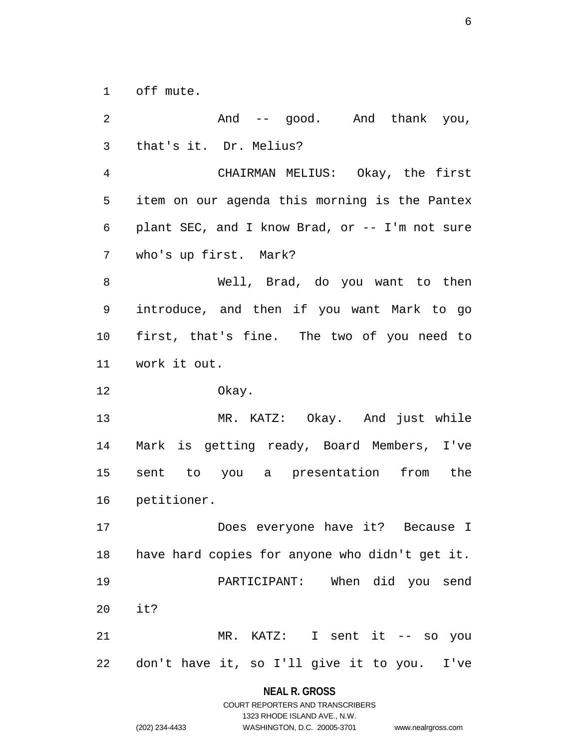1 off mute.

2 And -- good. And thank you, 3 that's it. Dr. Melius? 4 CHAIRMAN MELIUS: Okay, the first 5 item on our agenda this morning is the Pantex 6 plant SEC, and I know Brad, or -- I'm not sure 7 who's up first. Mark? 8 Well, Brad, do you want to then 9 introduce, and then if you want Mark to go 10 first, that's fine. The two of you need to 11 work it out. 12 Okay. 13 MR. KATZ: Okay. And just while 14 Mark is getting ready, Board Members, I've 15 sent to you a presentation from the 16 petitioner. 17 Does everyone have it? Because I 18 have hard copies for anyone who didn't get it. 19 PARTICIPANT: When did you send 20 it? 21 MR. KATZ: I sent it -- so you 22 don't have it, so I'll give it to you. I've

#### **NEAL R. GROSS**

|                | COURT REPORTERS AND TRANSCRIBERS |                    |
|----------------|----------------------------------|--------------------|
|                | 1323 RHODE ISLAND AVE N.W.       |                    |
| (202) 234-4433 | WASHINGTON, D.C. 20005-3701      | www.nealrgross.com |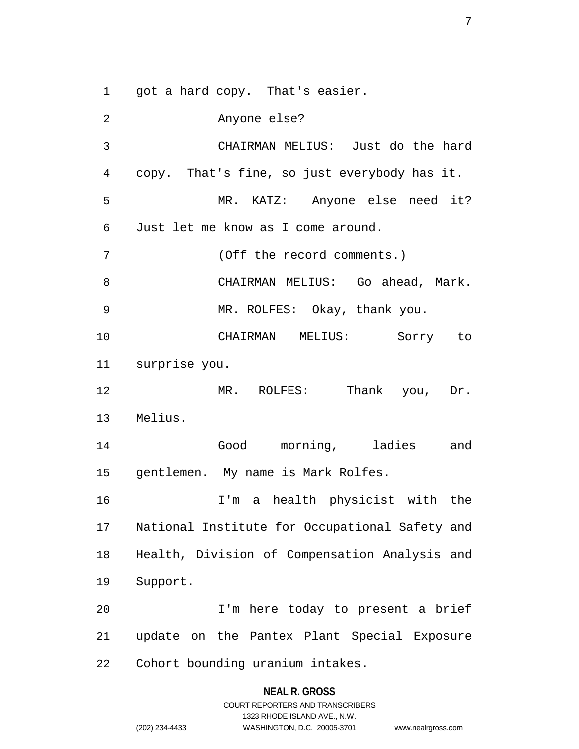1 got a hard copy. That's easier.

2 Anyone else? 3 CHAIRMAN MELIUS: Just do the hard 4 copy. That's fine, so just everybody has it. 5 MR. KATZ: Anyone else need it? 6 Just let me know as I come around. 7 (Off the record comments.) 8 CHAIRMAN MELIUS: Go ahead, Mark. 9 MR. ROLFES: Okay, thank you. 10 CHAIRMAN MELIUS: Sorry to 11 surprise you. 12 MR. ROLFES: Thank you, Dr. 13 Melius. 14 Good morning, ladies and 15 gentlemen. My name is Mark Rolfes. 16 I'm a health physicist with the 17 National Institute for Occupational Safety and 18 Health, Division of Compensation Analysis and 19 Support. 20 I'm here today to present a brief 21 update on the Pantex Plant Special Exposure 22 Cohort bounding uranium intakes.

#### **NEAL R. GROSS**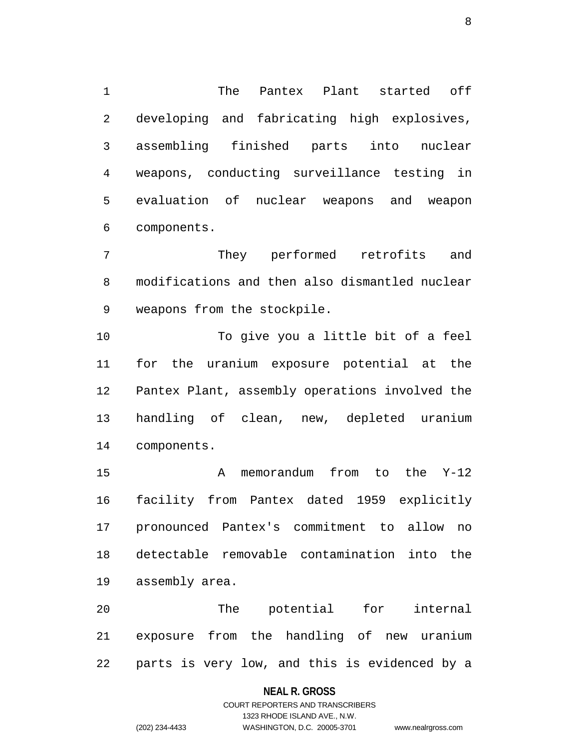1 The Pantex Plant started off 2 developing and fabricating high explosives, 3 assembling finished parts into nuclear 4 weapons, conducting surveillance testing in 5 evaluation of nuclear weapons and weapon 6 components.

7 They performed retrofits and 8 modifications and then also dismantled nuclear 9 weapons from the stockpile.

10 To give you a little bit of a feel 11 for the uranium exposure potential at the 12 Pantex Plant, assembly operations involved the 13 handling of clean, new, depleted uranium 14 components.

15 A memorandum from to the Y-12 16 facility from Pantex dated 1959 explicitly 17 pronounced Pantex's commitment to allow no 18 detectable removable contamination into the 19 assembly area.

20 The potential for internal 21 exposure from the handling of new uranium 22 parts is very low, and this is evidenced by a

#### **NEAL R. GROSS**

# COURT REPORTERS AND TRANSCRIBERS 1323 RHODE ISLAND AVE., N.W. (202) 234-4433 WASHINGTON, D.C. 20005-3701 www.nealrgross.com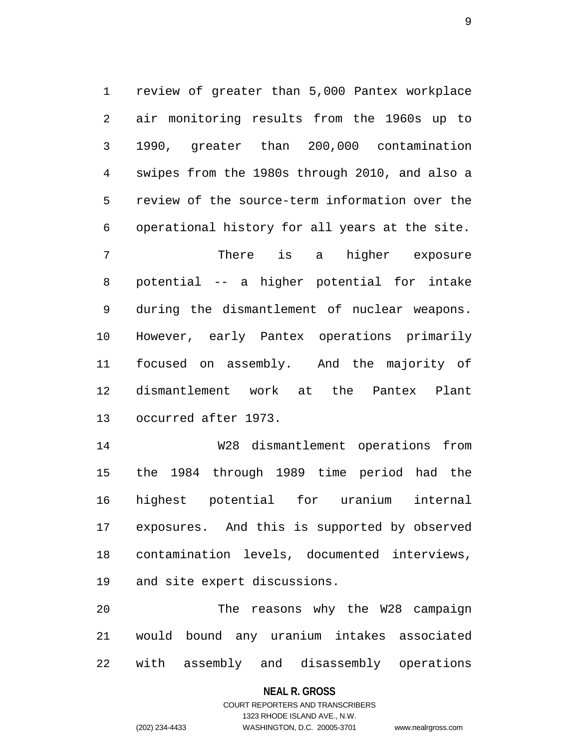1 review of greater than 5,000 Pantex workplace 2 air monitoring results from the 1960s up to 3 1990, greater than 200,000 contamination 4 swipes from the 1980s through 2010, and also a 5 review of the source-term information over the 6 operational history for all years at the site.

7 There is a higher exposure 8 potential -- a higher potential for intake 9 during the dismantlement of nuclear weapons. 10 However, early Pantex operations primarily 11 focused on assembly. And the majority of 12 dismantlement work at the Pantex Plant 13 occurred after 1973.

14 W28 dismantlement operations from 15 the 1984 through 1989 time period had the 16 highest potential for uranium internal 17 exposures. And this is supported by observed 18 contamination levels, documented interviews, 19 and site expert discussions.

20 The reasons why the W28 campaign 21 would bound any uranium intakes associated 22 with assembly and disassembly operations

#### **NEAL R. GROSS**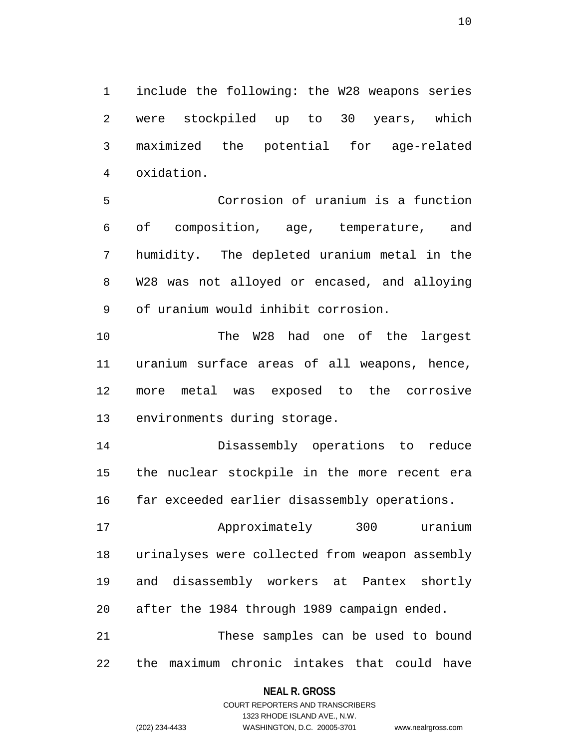1 include the following: the W28 weapons series 2 were stockpiled up to 30 years, which 3 maximized the potential for age-related 4 oxidation.

5 Corrosion of uranium is a function 6 of composition, age, temperature, and 7 humidity. The depleted uranium metal in the 8 W28 was not alloyed or encased, and alloying 9 of uranium would inhibit corrosion.

10 The W28 had one of the largest 11 uranium surface areas of all weapons, hence, 12 more metal was exposed to the corrosive 13 environments during storage.

14 Disassembly operations to reduce 15 the nuclear stockpile in the more recent era 16 far exceeded earlier disassembly operations.

17 Approximately 300 uranium 18 urinalyses were collected from weapon assembly 19 and disassembly workers at Pantex shortly 20 after the 1984 through 1989 campaign ended. 21 These samples can be used to bound

# 22 the maximum chronic intakes that could have

#### **NEAL R. GROSS**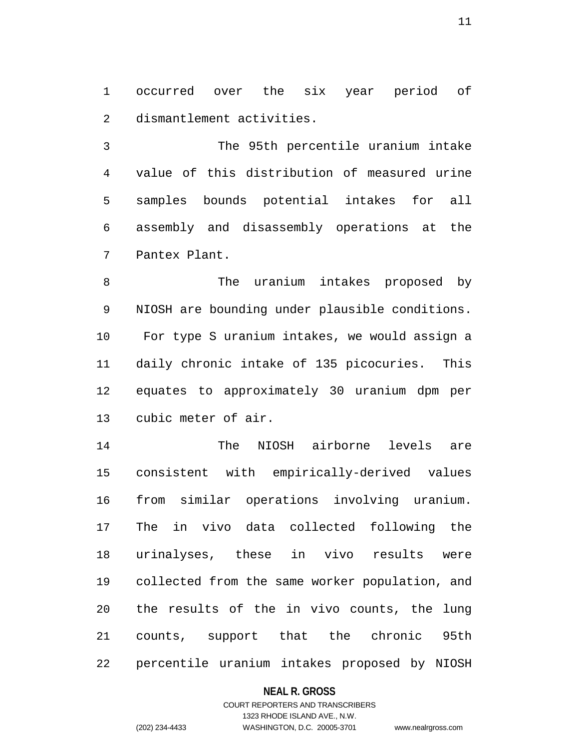1 occurred over the six year period of 2 dismantlement activities.

3 The 95th percentile uranium intake 4 value of this distribution of measured urine 5 samples bounds potential intakes for all 6 assembly and disassembly operations at the 7 Pantex Plant.

8 The uranium intakes proposed by 9 NIOSH are bounding under plausible conditions. 10 For type S uranium intakes, we would assign a 11 daily chronic intake of 135 picocuries. This 12 equates to approximately 30 uranium dpm per 13 cubic meter of air.

14 The NIOSH airborne levels are 15 consistent with empirically-derived values 16 from similar operations involving uranium. 17 The in vivo data collected following the 18 urinalyses, these in vivo results were 19 collected from the same worker population, and 20 the results of the in vivo counts, the lung 21 counts, support that the chronic 95th 22 percentile uranium intakes proposed by NIOSH

#### **NEAL R. GROSS**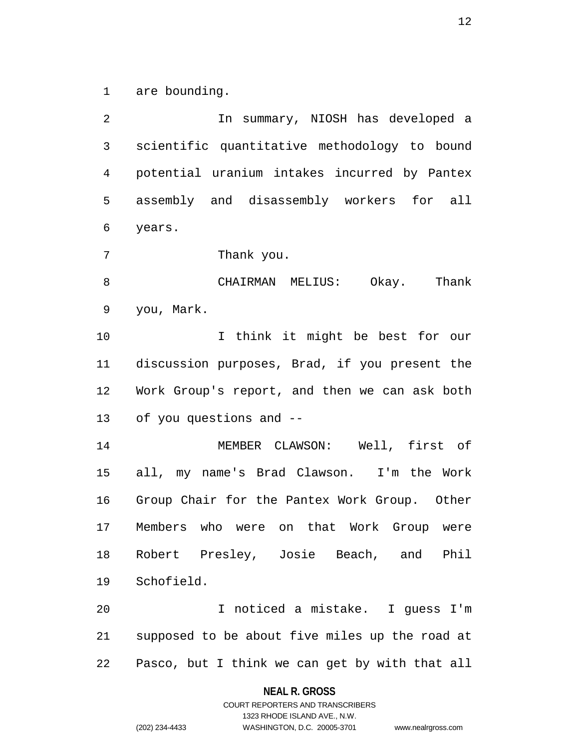1 are bounding.

2 In summary, NIOSH has developed a 3 scientific quantitative methodology to bound 4 potential uranium intakes incurred by Pantex 5 assembly and disassembly workers for all 6 years. 7 Thank you. 8 CHAIRMAN MELIUS: Okay. Thank 9 you, Mark. 10 I think it might be best for our 11 discussion purposes, Brad, if you present the 12 Work Group's report, and then we can ask both 13 of you questions and -- 14 MEMBER CLAWSON: Well, first of 15 all, my name's Brad Clawson. I'm the Work 16 Group Chair for the Pantex Work Group. Other 17 Members who were on that Work Group were 18 Robert Presley, Josie Beach, and Phil 19 Schofield. 20 I noticed a mistake. I guess I'm 21 supposed to be about five miles up the road at 22 Pasco, but I think we can get by with that all

#### **NEAL R. GROSS**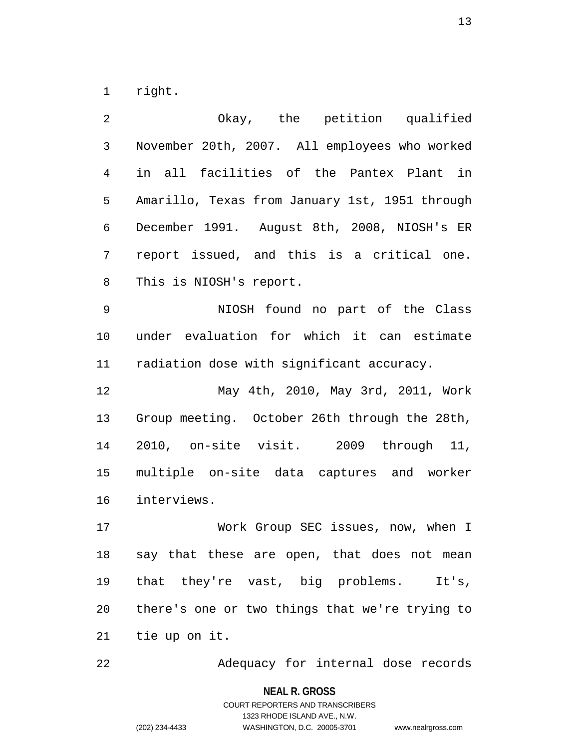1 right.

2 Okay, the petition qualified 3 November 20th, 2007. All employees who worked 4 in all facilities of the Pantex Plant in 5 Amarillo, Texas from January 1st, 1951 through 6 December 1991. August 8th, 2008, NIOSH's ER 7 report issued, and this is a critical one. 8 This is NIOSH's report. 9 NIOSH found no part of the Class 10 under evaluation for which it can estimate 11 radiation dose with significant accuracy. 12 May 4th, 2010, May 3rd, 2011, Work 13 Group meeting. October 26th through the 28th, 14 2010, on-site visit. 2009 through 11, 15 multiple on-site data captures and worker 16 interviews. 17 Work Group SEC issues, now, when I 18 say that these are open, that does not mean 19 that they're vast, big problems. It's, 20 there's one or two things that we're trying to

21 tie up on it.

22 Adequacy for internal dose records

**NEAL R. GROSS** COURT REPORTERS AND TRANSCRIBERS 1323 RHODE ISLAND AVE., N.W. (202) 234-4433 WASHINGTON, D.C. 20005-3701 www.nealrgross.com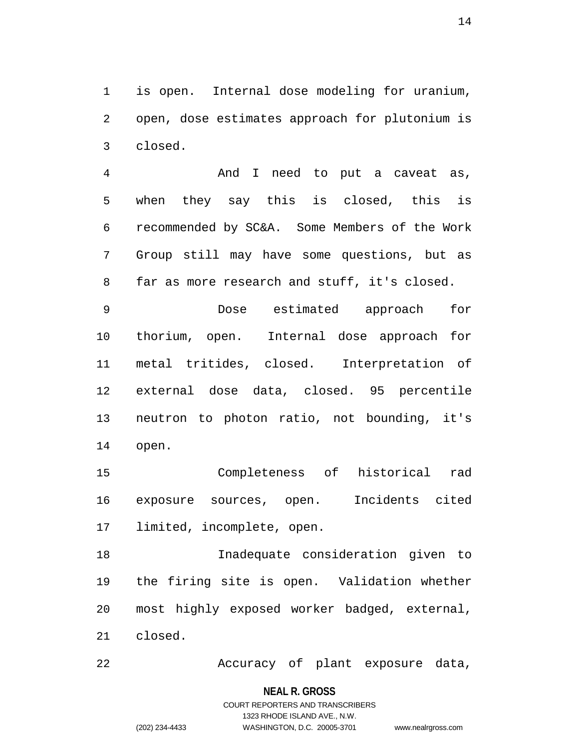1 is open. Internal dose modeling for uranium, 2 open, dose estimates approach for plutonium is 3 closed.

4 And I need to put a caveat as, 5 when they say this is closed, this is 6 recommended by SC&A. Some Members of the Work 7 Group still may have some questions, but as 8 far as more research and stuff, it's closed.

9 Dose estimated approach for 10 thorium, open. Internal dose approach for 11 metal tritides, closed. Interpretation of 12 external dose data, closed. 95 percentile 13 neutron to photon ratio, not bounding, it's 14 open.

15 Completeness of historical rad 16 exposure sources, open. Incidents cited 17 limited, incomplete, open.

18 Inadequate consideration given to 19 the firing site is open. Validation whether 20 most highly exposed worker badged, external, 21 closed.

22 Accuracy of plant exposure data,

#### **NEAL R. GROSS**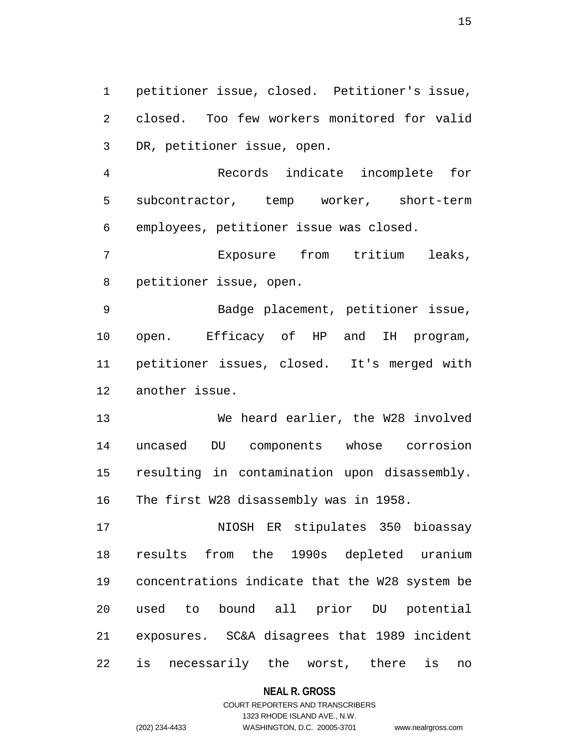1 petitioner issue, closed. Petitioner's issue, 2 closed. Too few workers monitored for valid 3 DR, petitioner issue, open.

4 Records indicate incomplete for 5 subcontractor, temp worker, short-term 6 employees, petitioner issue was closed.

7 Exposure from tritium leaks, 8 petitioner issue, open.

9 Badge placement, petitioner issue, 10 open. Efficacy of HP and IH program, 11 petitioner issues, closed. It's merged with 12 another issue.

13 We heard earlier, the W28 involved 14 uncased DU components whose corrosion 15 resulting in contamination upon disassembly. 16 The first W28 disassembly was in 1958.

17 NIOSH ER stipulates 350 bioassay 18 results from the 1990s depleted uranium 19 concentrations indicate that the W28 system be 20 used to bound all prior DU potential 21 exposures. SC&A disagrees that 1989 incident 22 is necessarily the worst, there is no

**NEAL R. GROSS**

# COURT REPORTERS AND TRANSCRIBERS 1323 RHODE ISLAND AVE., N.W. (202) 234-4433 WASHINGTON, D.C. 20005-3701 www.nealrgross.com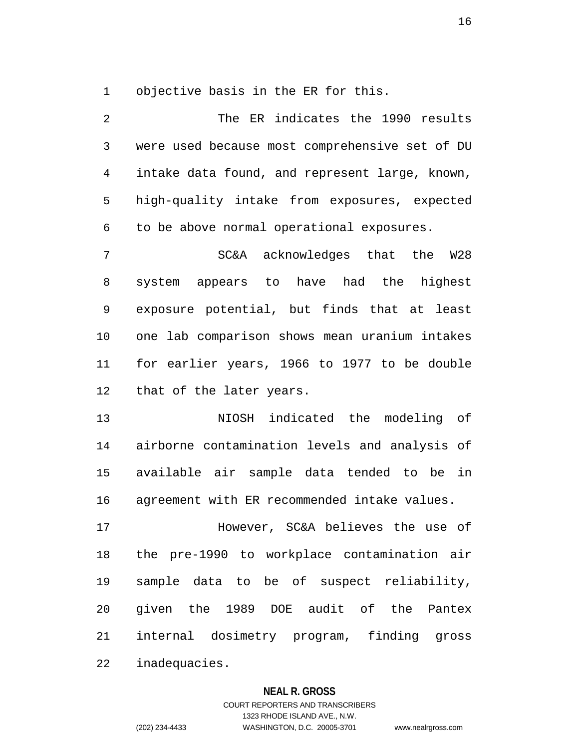1 objective basis in the ER for this.

2 The ER indicates the 1990 results 3 were used because most comprehensive set of DU 4 intake data found, and represent large, known, 5 high-quality intake from exposures, expected 6 to be above normal operational exposures. 7 SC&A acknowledges that the W28 8 system appears to have had the highest 9 exposure potential, but finds that at least 10 one lab comparison shows mean uranium intakes 11 for earlier years, 1966 to 1977 to be double 12 that of the later years. 13 NIOSH indicated the modeling of 14 airborne contamination levels and analysis of 15 available air sample data tended to be in

16 agreement with ER recommended intake values.

17 However, SC&A believes the use of 18 the pre-1990 to workplace contamination air 19 sample data to be of suspect reliability, 20 given the 1989 DOE audit of the Pantex 21 internal dosimetry program, finding gross 22 inadequacies.

#### **NEAL R. GROSS**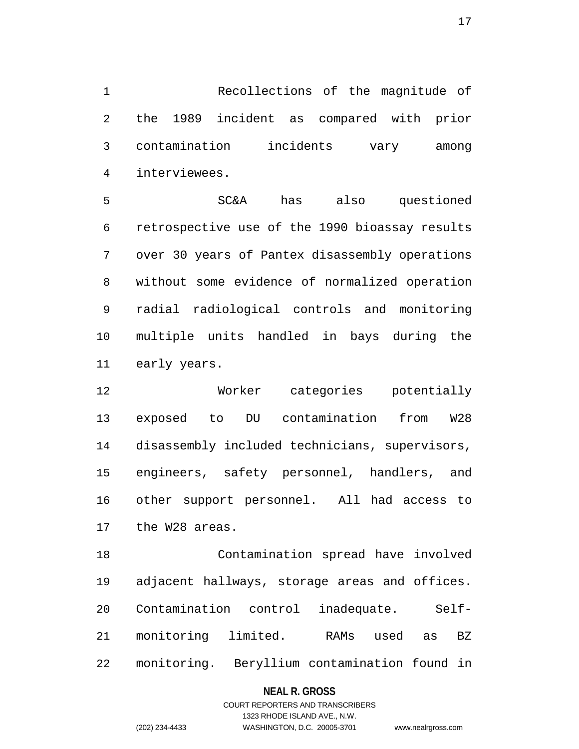1 Recollections of the magnitude of 2 the 1989 incident as compared with prior 3 contamination incidents vary among 4 interviewees.

5 SC&A has also questioned 6 retrospective use of the 1990 bioassay results 7 over 30 years of Pantex disassembly operations 8 without some evidence of normalized operation 9 radial radiological controls and monitoring 10 multiple units handled in bays during the 11 early years.

12 Worker categories potentially 13 exposed to DU contamination from W28 14 disassembly included technicians, supervisors, 15 engineers, safety personnel, handlers, and 16 other support personnel. All had access to 17 the W28 areas.

18 Contamination spread have involved 19 adjacent hallways, storage areas and offices. 20 Contamination control inadequate. Self-21 monitoring limited. RAMs used as BZ 22 monitoring. Beryllium contamination found in

#### **NEAL R. GROSS**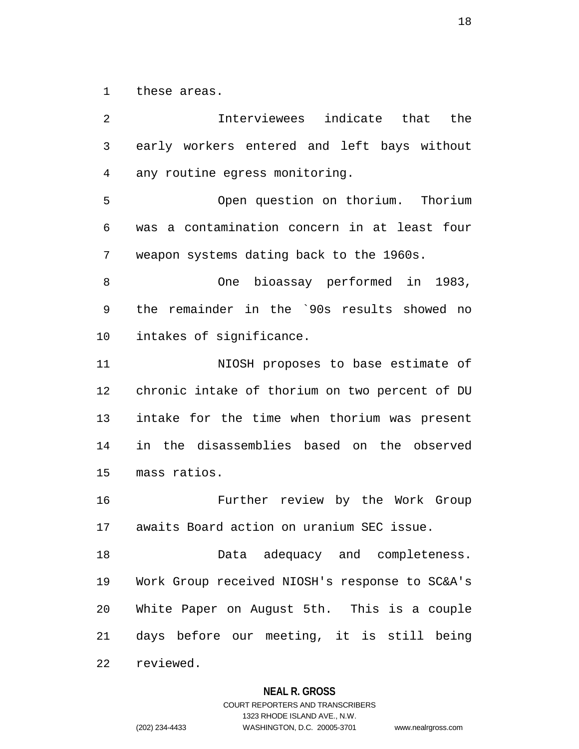1 these areas.

2 Interviewees indicate that the 3 early workers entered and left bays without 4 any routine egress monitoring. 5 Open question on thorium. Thorium 6 was a contamination concern in at least four 7 weapon systems dating back to the 1960s. 8 One bioassay performed in 1983, 9 the remainder in the `90s results showed no 10 intakes of significance. 11 NIOSH proposes to base estimate of 12 chronic intake of thorium on two percent of DU 13 intake for the time when thorium was present 14 in the disassemblies based on the observed 15 mass ratios. 16 Further review by the Work Group 17 awaits Board action on uranium SEC issue. 18 Data adequacy and completeness. 19 Work Group received NIOSH's response to SC&A's 20 White Paper on August 5th. This is a couple 21 days before our meeting, it is still being 22 reviewed.

#### **NEAL R. GROSS**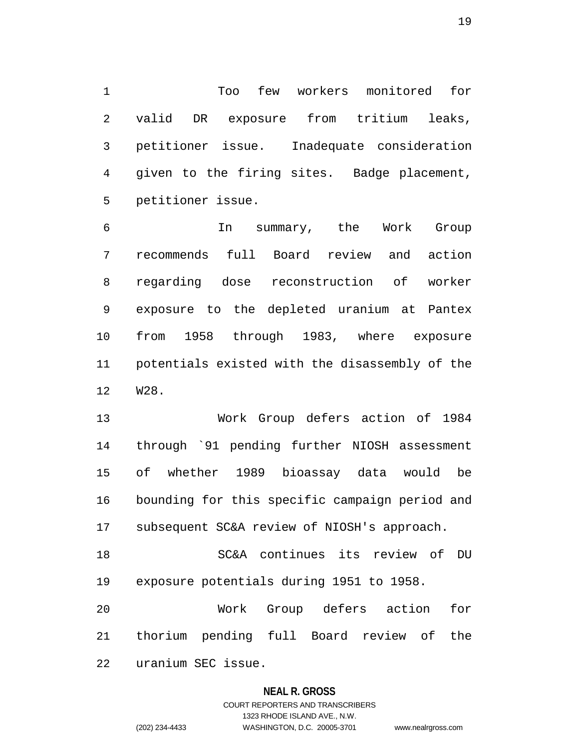1 Too few workers monitored for 2 valid DR exposure from tritium leaks, 3 petitioner issue. Inadequate consideration 4 given to the firing sites. Badge placement, 5 petitioner issue.

6 In summary, the Work Group 7 recommends full Board review and action 8 regarding dose reconstruction of worker 9 exposure to the depleted uranium at Pantex 10 from 1958 through 1983, where exposure 11 potentials existed with the disassembly of the 12 W28.

13 Work Group defers action of 1984 14 through `91 pending further NIOSH assessment 15 of whether 1989 bioassay data would be 16 bounding for this specific campaign period and 17 subsequent SC&A review of NIOSH's approach.

18 SC&A continues its review of DU 19 exposure potentials during 1951 to 1958.

20 Work Group defers action for 21 thorium pending full Board review of the 22 uranium SEC issue.

#### **NEAL R. GROSS**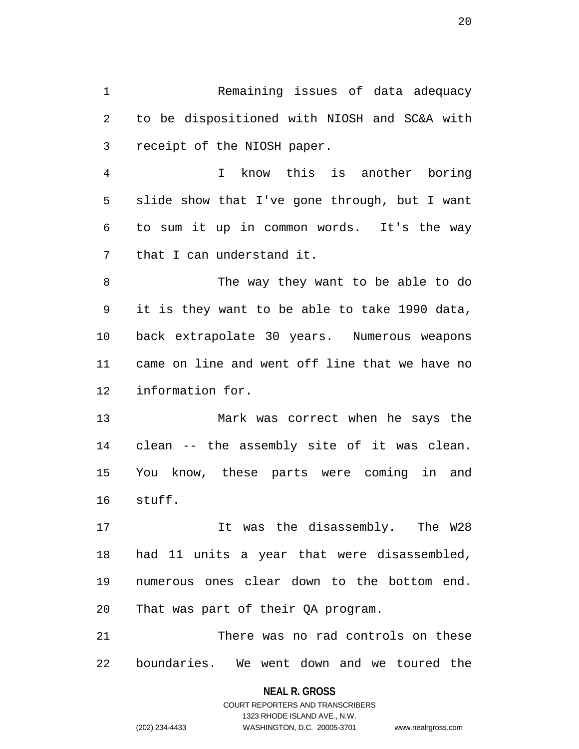1 Remaining issues of data adequacy 2 to be dispositioned with NIOSH and SC&A with 3 receipt of the NIOSH paper.

4 I know this is another boring 5 slide show that I've gone through, but I want 6 to sum it up in common words. It's the way 7 that I can understand it.

8 The way they want to be able to do 9 it is they want to be able to take 1990 data, 10 back extrapolate 30 years. Numerous weapons 11 came on line and went off line that we have no 12 information for.

13 Mark was correct when he says the 14 clean -- the assembly site of it was clean. 15 You know, these parts were coming in and 16 stuff.

17 It was the disassembly. The W28 18 had 11 units a year that were disassembled, 19 numerous ones clear down to the bottom end. 20 That was part of their QA program.

21 There was no rad controls on these 22 boundaries. We went down and we toured the

#### **NEAL R. GROSS**

COURT REPORTERS AND TRANSCRIBERS 1323 RHODE ISLAND AVE., N.W. (202) 234-4433 WASHINGTON, D.C. 20005-3701 www.nealrgross.com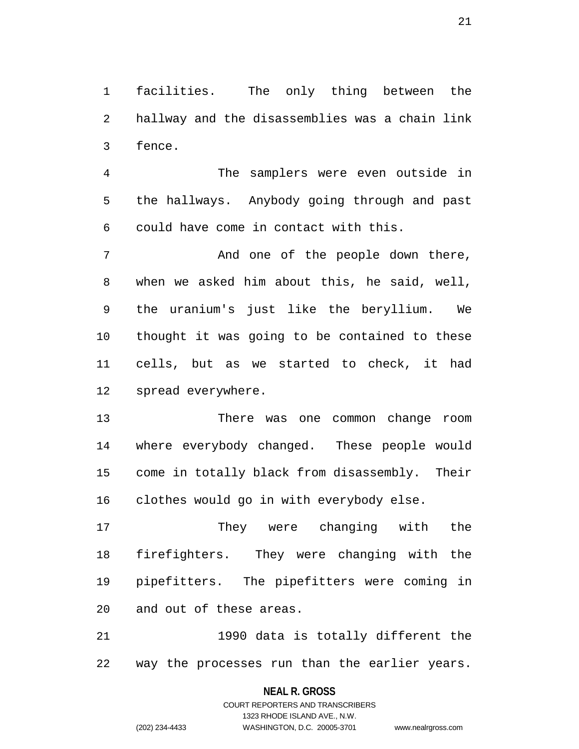1 facilities. The only thing between the 2 hallway and the disassemblies was a chain link 3 fence.

4 The samplers were even outside in 5 the hallways. Anybody going through and past 6 could have come in contact with this.

7 And one of the people down there, 8 when we asked him about this, he said, well, 9 the uranium's just like the beryllium. We 10 thought it was going to be contained to these 11 cells, but as we started to check, it had 12 spread everywhere.

13 There was one common change room 14 where everybody changed. These people would 15 come in totally black from disassembly. Their 16 clothes would go in with everybody else.

17 They were changing with the 18 firefighters. They were changing with the 19 pipefitters. The pipefitters were coming in 20 and out of these areas.

21 1990 data is totally different the 22 way the processes run than the earlier years.

#### **NEAL R. GROSS**

COURT REPORTERS AND TRANSCRIBERS 1323 RHODE ISLAND AVE., N.W. (202) 234-4433 WASHINGTON, D.C. 20005-3701 www.nealrgross.com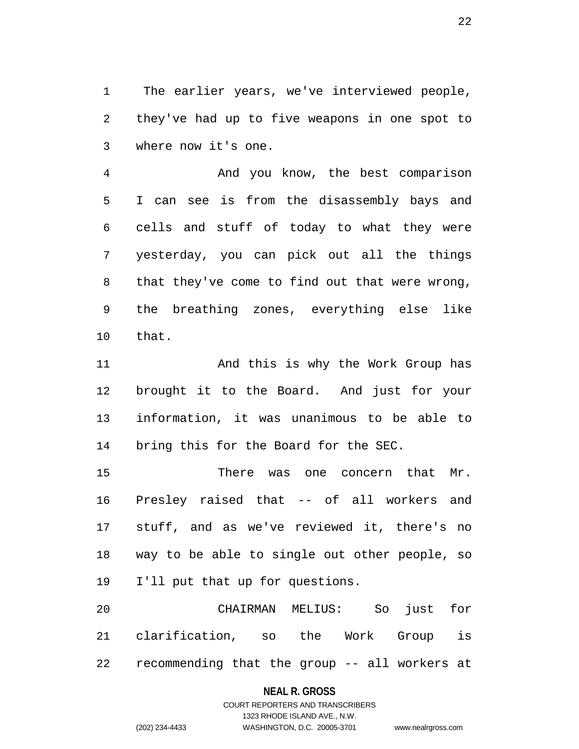1 The earlier years, we've interviewed people, 2 they've had up to five weapons in one spot to 3 where now it's one.

4 And you know, the best comparison 5 I can see is from the disassembly bays and 6 cells and stuff of today to what they were 7 yesterday, you can pick out all the things 8 that they've come to find out that were wrong, 9 the breathing zones, everything else like 10 that.

11 And this is why the Work Group has 12 brought it to the Board. And just for your 13 information, it was unanimous to be able to 14 bring this for the Board for the SEC.

15 There was one concern that Mr. 16 Presley raised that -- of all workers and 17 stuff, and as we've reviewed it, there's no 18 way to be able to single out other people, so 19 I'll put that up for questions.

20 CHAIRMAN MELIUS: So just for 21 clarification, so the Work Group is 22 recommending that the group -- all workers at

#### **NEAL R. GROSS**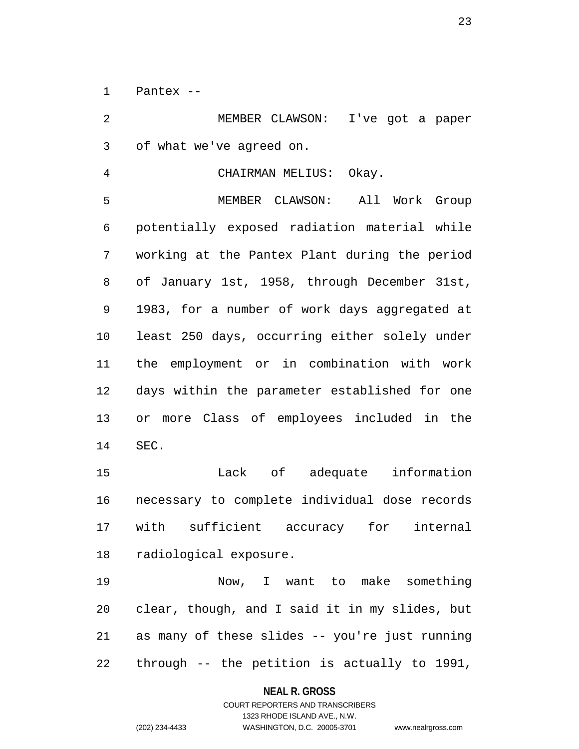1 Pantex --

2 MEMBER CLAWSON: I've got a paper 3 of what we've agreed on.

4 CHAIRMAN MELIUS: Okay.

5 MEMBER CLAWSON: All Work Group 6 potentially exposed radiation material while 7 working at the Pantex Plant during the period 8 of January 1st, 1958, through December 31st, 9 1983, for a number of work days aggregated at 10 least 250 days, occurring either solely under 11 the employment or in combination with work 12 days within the parameter established for one 13 or more Class of employees included in the 14 SEC.

15 Lack of adequate information 16 necessary to complete individual dose records 17 with sufficient accuracy for internal 18 radiological exposure.

19 Now, I want to make something 20 clear, though, and I said it in my slides, but 21 as many of these slides -- you're just running 22 through -- the petition is actually to 1991,

#### **NEAL R. GROSS**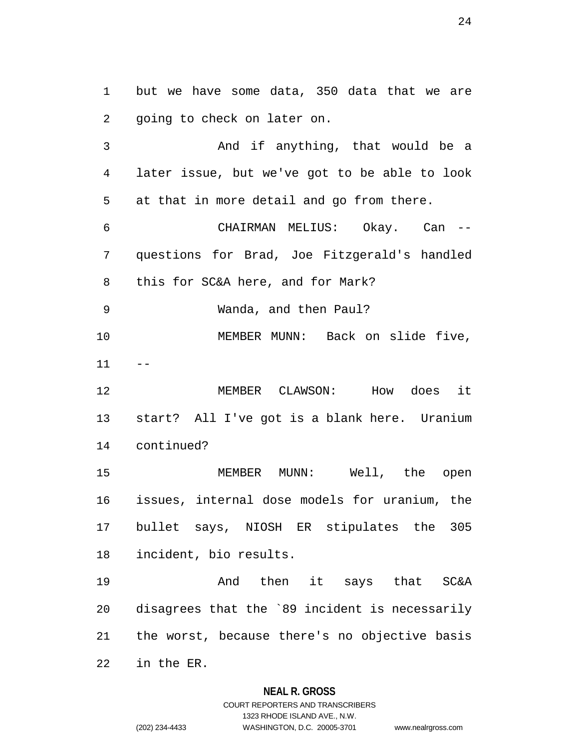1 but we have some data, 350 data that we are 2 going to check on later on.

3 And if anything, that would be a 4 later issue, but we've got to be able to look 5 at that in more detail and go from there.

6 CHAIRMAN MELIUS: Okay. Can -- 7 questions for Brad, Joe Fitzgerald's handled 8 this for SC&A here, and for Mark?

9 Wanda, and then Paul?

10 MEMBER MUNN: Back on slide five,  $11$ 

12 MEMBER CLAWSON: How does it 13 start? All I've got is a blank here. Uranium 14 continued?

15 MEMBER MUNN: Well, the open 16 issues, internal dose models for uranium, the 17 bullet says, NIOSH ER stipulates the 305 18 incident, bio results.

19 And then it says that SC&A 20 disagrees that the `89 incident is necessarily 21 the worst, because there's no objective basis 22 in the ER.

#### **NEAL R. GROSS**

COURT REPORTERS AND TRANSCRIBERS 1323 RHODE ISLAND AVE., N.W. (202) 234-4433 WASHINGTON, D.C. 20005-3701 www.nealrgross.com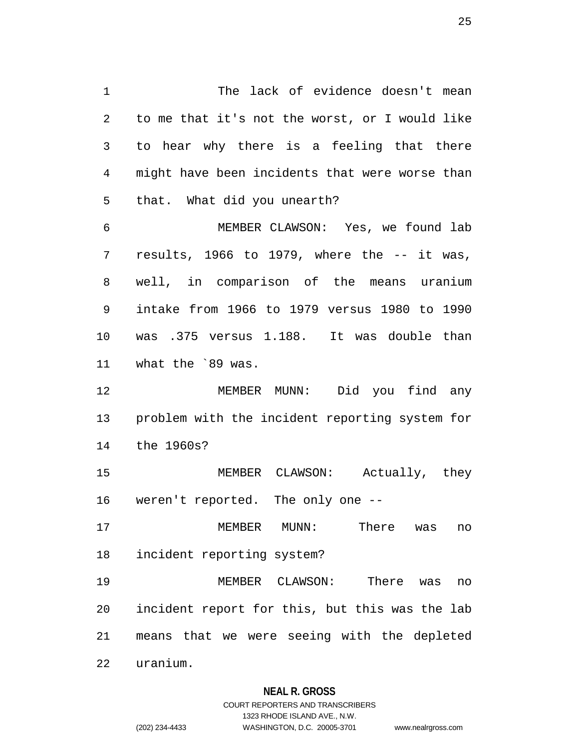1 The lack of evidence doesn't mean 2 to me that it's not the worst, or I would like 3 to hear why there is a feeling that there 4 might have been incidents that were worse than 5 that. What did you unearth? 6 MEMBER CLAWSON: Yes, we found lab 7 results, 1966 to 1979, where the -- it was, 8 well, in comparison of the means uranium 9 intake from 1966 to 1979 versus 1980 to 1990

10 was .375 versus 1.188. It was double than 11 what the `89 was.

12 MEMBER MUNN: Did you find any 13 problem with the incident reporting system for 14 the 1960s?

15 MEMBER CLAWSON: Actually, they 16 weren't reported. The only one --

17 MEMBER MUNN: There was no 18 incident reporting system?

19 MEMBER CLAWSON: There was no 20 incident report for this, but this was the lab 21 means that we were seeing with the depleted

22 uranium.

# **NEAL R. GROSS**

# COURT REPORTERS AND TRANSCRIBERS 1323 RHODE ISLAND AVE., N.W. (202) 234-4433 WASHINGTON, D.C. 20005-3701 www.nealrgross.com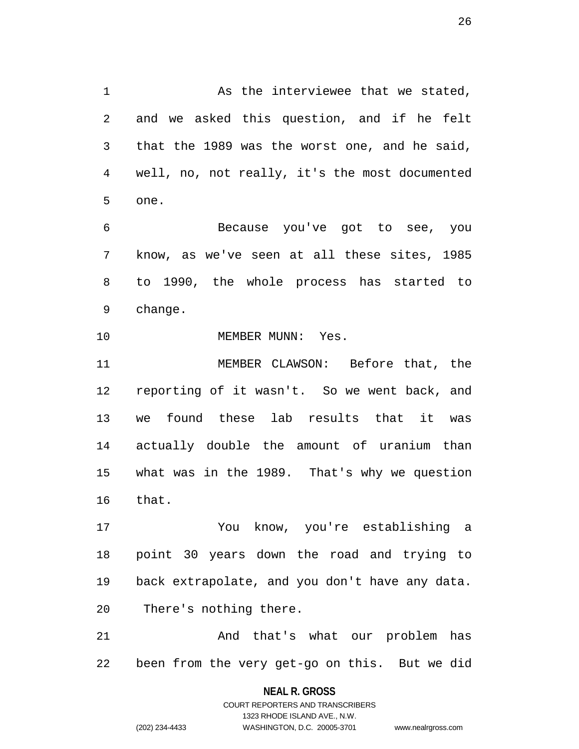1 As the interviewee that we stated, 2 and we asked this question, and if he felt 3 that the 1989 was the worst one, and he said, 4 well, no, not really, it's the most documented 5 one.

6 Because you've got to see, you 7 know, as we've seen at all these sites, 1985 8 to 1990, the whole process has started to 9 change.

10 MEMBER MUNN: Yes.

11 MEMBER CLAWSON: Before that, the 12 reporting of it wasn't. So we went back, and 13 we found these lab results that it was 14 actually double the amount of uranium than 15 what was in the 1989. That's why we question 16 that.

17 You know, you're establishing a 18 point 30 years down the road and trying to 19 back extrapolate, and you don't have any data. 20 There's nothing there.

21 And that's what our problem has 22 been from the very get-go on this. But we did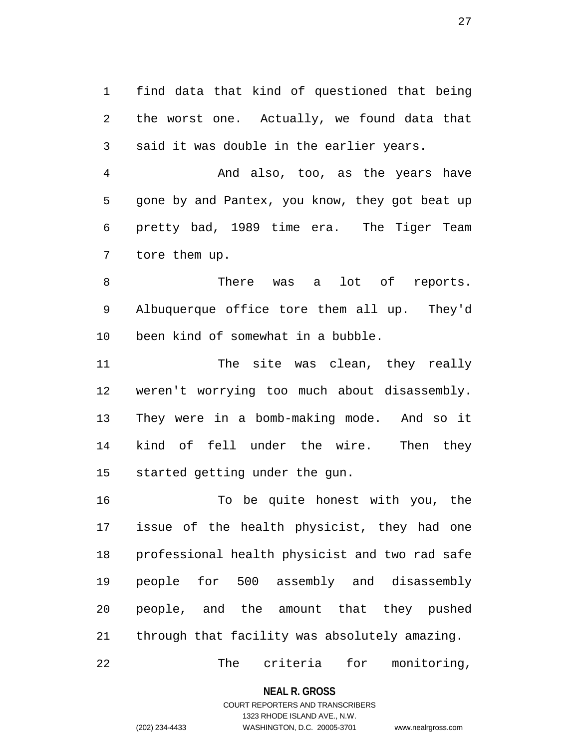1 find data that kind of questioned that being 2 the worst one. Actually, we found data that 3 said it was double in the earlier years.

4 And also, too, as the years have 5 gone by and Pantex, you know, they got beat up 6 pretty bad, 1989 time era. The Tiger Team 7 tore them up.

8 There was a lot of reports. 9 Albuquerque office tore them all up. They'd 10 been kind of somewhat in a bubble.

11 The site was clean, they really 12 weren't worrying too much about disassembly. 13 They were in a bomb-making mode. And so it 14 kind of fell under the wire. Then they 15 started getting under the gun.

16 To be quite honest with you, the 17 issue of the health physicist, they had one 18 professional health physicist and two rad safe 19 people for 500 assembly and disassembly 20 people, and the amount that they pushed 21 through that facility was absolutely amazing.

22 The criteria for monitoring,

**NEAL R. GROSS**

# COURT REPORTERS AND TRANSCRIBERS 1323 RHODE ISLAND AVE., N.W. (202) 234-4433 WASHINGTON, D.C. 20005-3701 www.nealrgross.com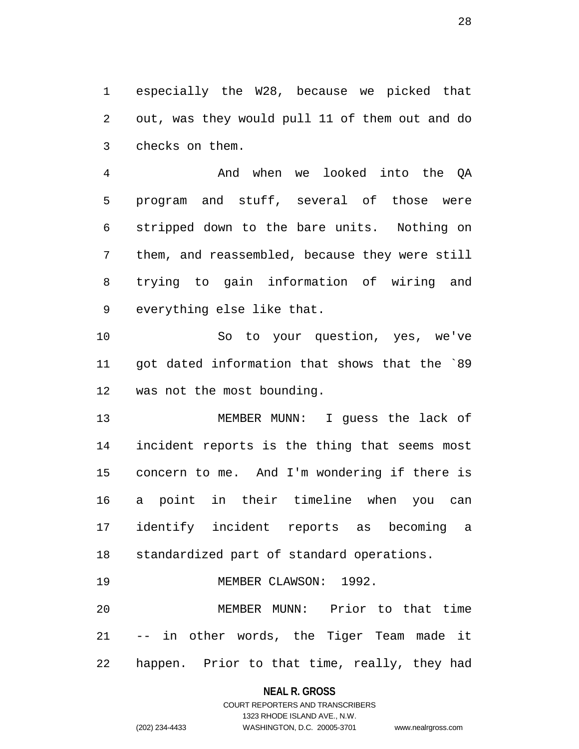1 especially the W28, because we picked that 2 out, was they would pull 11 of them out and do 3 checks on them.

4 And when we looked into the QA 5 program and stuff, several of those were 6 stripped down to the bare units. Nothing on 7 them, and reassembled, because they were still 8 trying to gain information of wiring and 9 everything else like that.

10 So to your question, yes, we've 11 got dated information that shows that the `89 12 was not the most bounding.

13 MEMBER MUNN: I guess the lack of 14 incident reports is the thing that seems most 15 concern to me. And I'm wondering if there is 16 a point in their timeline when you can 17 identify incident reports as becoming a 18 standardized part of standard operations.

19 MEMBER CLAWSON: 1992.

20 MEMBER MUNN: Prior to that time 21 -- in other words, the Tiger Team made it 22 happen. Prior to that time, really, they had

#### **NEAL R. GROSS**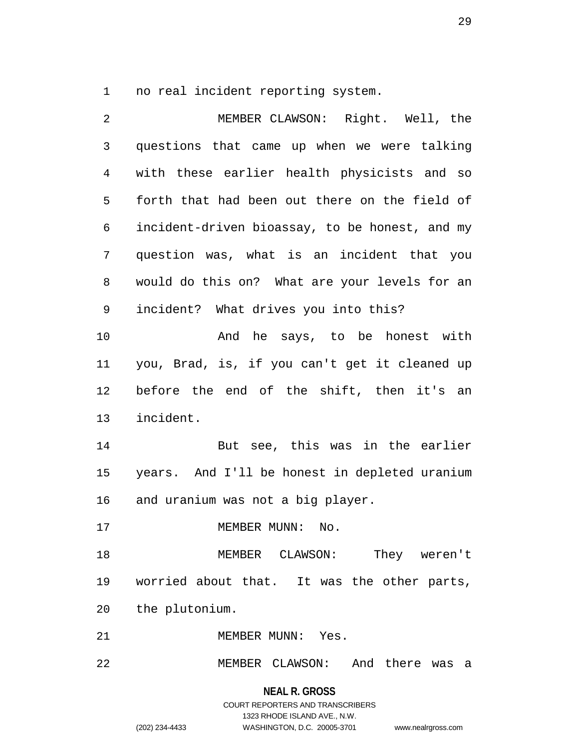1 no real incident reporting system.

2 MEMBER CLAWSON: Right. Well, the 3 questions that came up when we were talking 4 with these earlier health physicists and so 5 forth that had been out there on the field of 6 incident-driven bioassay, to be honest, and my 7 question was, what is an incident that you 8 would do this on? What are your levels for an 9 incident? What drives you into this? 10 And he says, to be honest with 11 you, Brad, is, if you can't get it cleaned up 12 before the end of the shift, then it's an 13 incident. 14 But see, this was in the earlier 15 years. And I'll be honest in depleted uranium 16 and uranium was not a big player. 17 MEMBER MUNN: No. 18 MEMBER CLAWSON: They weren't 19 worried about that. It was the other parts, 20 the plutonium. 21 MEMBER MUNN: Yes.

22 MEMBER CLAWSON: And there was a

**NEAL R. GROSS** COURT REPORTERS AND TRANSCRIBERS 1323 RHODE ISLAND AVE., N.W. (202) 234-4433 WASHINGTON, D.C. 20005-3701 www.nealrgross.com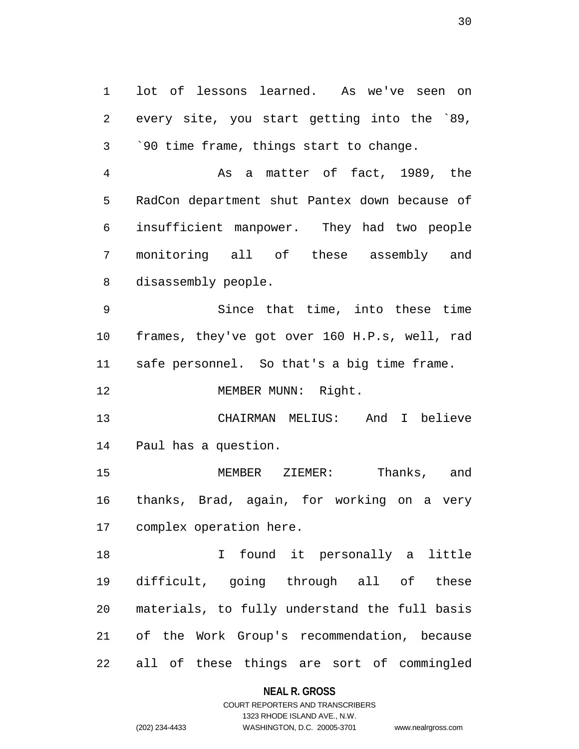1 lot of lessons learned. As we've seen on 2 every site, you start getting into the `89, 3 `90 time frame, things start to change.

4 As a matter of fact, 1989, the 5 RadCon department shut Pantex down because of 6 insufficient manpower. They had two people 7 monitoring all of these assembly and 8 disassembly people.

9 Since that time, into these time 10 frames, they've got over 160 H.P.s, well, rad 11 safe personnel. So that's a big time frame.

12 MEMBER MUNN: Right.

13 CHAIRMAN MELIUS: And I believe 14 Paul has a question.

15 MEMBER ZIEMER: Thanks, and 16 thanks, Brad, again, for working on a very 17 complex operation here.

18 I found it personally a little 19 difficult, going through all of these 20 materials, to fully understand the full basis 21 of the Work Group's recommendation, because 22 all of these things are sort of commingled

#### **NEAL R. GROSS**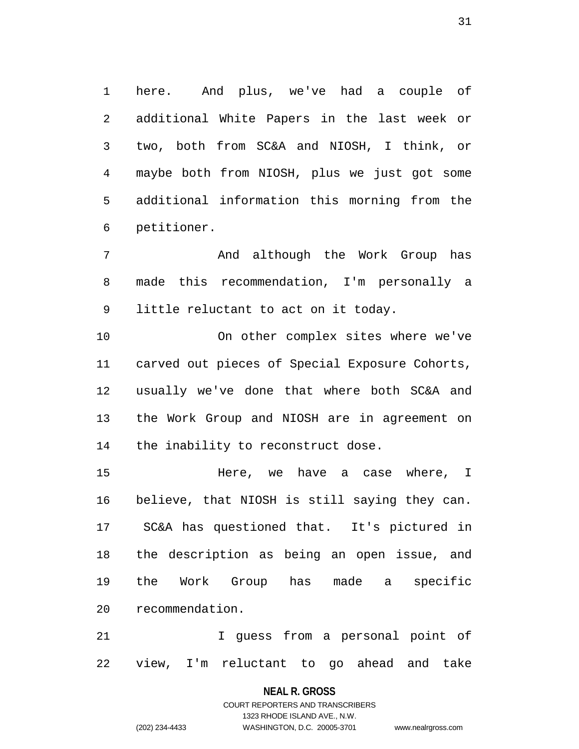1 here. And plus, we've had a couple of 2 additional White Papers in the last week or 3 two, both from SC&A and NIOSH, I think, or 4 maybe both from NIOSH, plus we just got some 5 additional information this morning from the 6 petitioner.

7 And although the Work Group has 8 made this recommendation, I'm personally a 9 little reluctant to act on it today.

10 On other complex sites where we've 11 carved out pieces of Special Exposure Cohorts, 12 usually we've done that where both SC&A and 13 the Work Group and NIOSH are in agreement on 14 the inability to reconstruct dose.

15 Here, we have a case where, I 16 believe, that NIOSH is still saying they can. 17 SC&A has questioned that. It's pictured in 18 the description as being an open issue, and 19 the Work Group has made a specific 20 recommendation.

21 I guess from a personal point of 22 view, I'm reluctant to go ahead and take

#### **NEAL R. GROSS**

COURT REPORTERS AND TRANSCRIBERS 1323 RHODE ISLAND AVE., N.W. (202) 234-4433 WASHINGTON, D.C. 20005-3701 www.nealrgross.com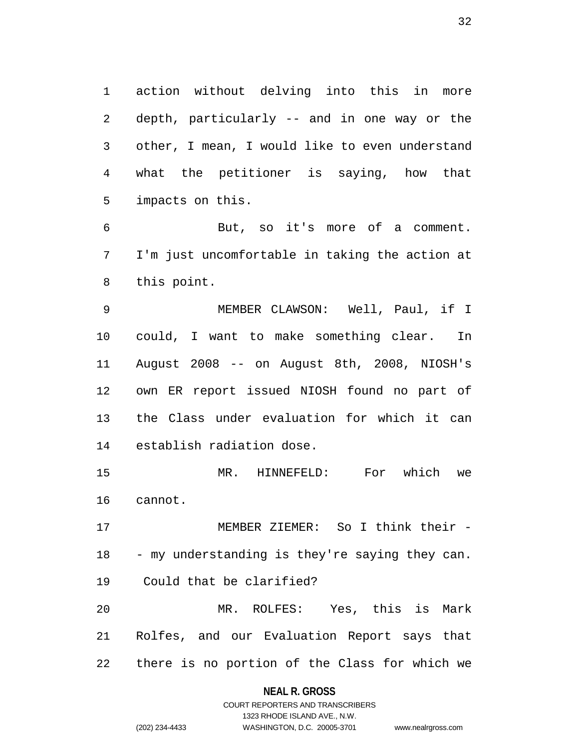1 action without delving into this in more 2 depth, particularly -- and in one way or the 3 other, I mean, I would like to even understand 4 what the petitioner is saying, how that 5 impacts on this.

6 But, so it's more of a comment. 7 I'm just uncomfortable in taking the action at 8 this point.

9 MEMBER CLAWSON: Well, Paul, if I 10 could, I want to make something clear. In 11 August 2008 -- on August 8th, 2008, NIOSH's 12 own ER report issued NIOSH found no part of 13 the Class under evaluation for which it can 14 establish radiation dose.

15 MR. HINNEFELD: For which we 16 cannot.

17 MEMBER ZIEMER: So I think their - 18 - my understanding is they're saying they can. 19 Could that be clarified? 20 MR. ROLFES: Yes, this is Mark 21 Rolfes, and our Evaluation Report says that

22 there is no portion of the Class for which we

**NEAL R. GROSS**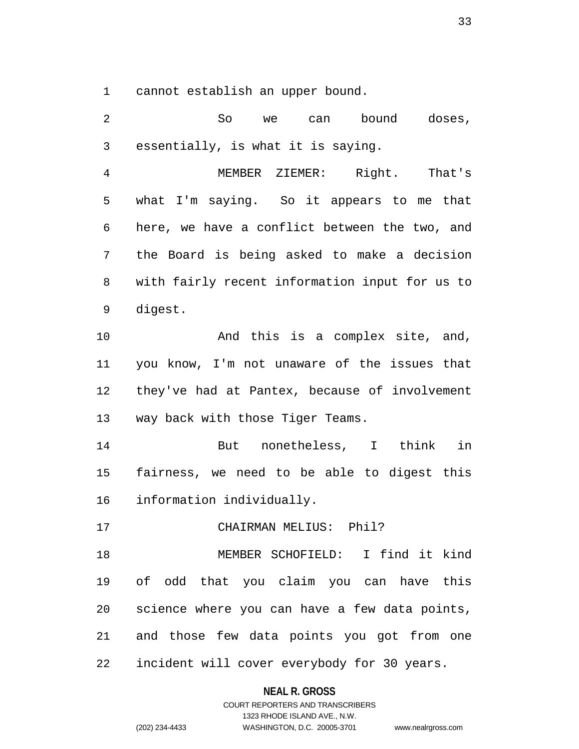1 cannot establish an upper bound.

2 So we can bound doses, 3 essentially, is what it is saying. 4 MEMBER ZIEMER: Right. That's 5 what I'm saying. So it appears to me that 6 here, we have a conflict between the two, and 7 the Board is being asked to make a decision 8 with fairly recent information input for us to 9 digest. 10 And this is a complex site, and, 11 you know, I'm not unaware of the issues that 12 they've had at Pantex, because of involvement 13 way back with those Tiger Teams. 14 But nonetheless, I think in 15 fairness, we need to be able to digest this 16 information individually. 17 CHAIRMAN MELIUS: Phil? 18 MEMBER SCHOFIELD: I find it kind 19 of odd that you claim you can have this 20 science where you can have a few data points, 21 and those few data points you got from one 22 incident will cover everybody for 30 years.

#### **NEAL R. GROSS**

COURT REPORTERS AND TRANSCRIBERS 1323 RHODE ISLAND AVE., N.W. (202) 234-4433 WASHINGTON, D.C. 20005-3701 www.nealrgross.com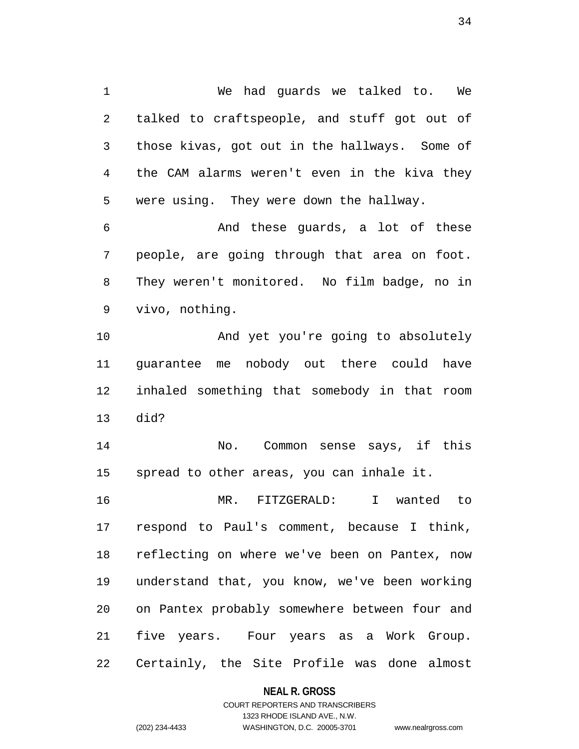1 We had guards we talked to. We 2 talked to craftspeople, and stuff got out of 3 those kivas, got out in the hallways. Some of 4 the CAM alarms weren't even in the kiva they 5 were using. They were down the hallway.

6 And these guards, a lot of these 7 people, are going through that area on foot. 8 They weren't monitored. No film badge, no in 9 vivo, nothing.

10 And yet you're going to absolutely 11 guarantee me nobody out there could have 12 inhaled something that somebody in that room 13 did?

14 No. Common sense says, if this 15 spread to other areas, you can inhale it.

16 MR. FITZGERALD: I wanted to 17 respond to Paul's comment, because I think, 18 reflecting on where we've been on Pantex, now 19 understand that, you know, we've been working 20 on Pantex probably somewhere between four and 21 five years. Four years as a Work Group. 22 Certainly, the Site Profile was done almost

#### **NEAL R. GROSS**

COURT REPORTERS AND TRANSCRIBERS 1323 RHODE ISLAND AVE., N.W. (202) 234-4433 WASHINGTON, D.C. 20005-3701 www.nealrgross.com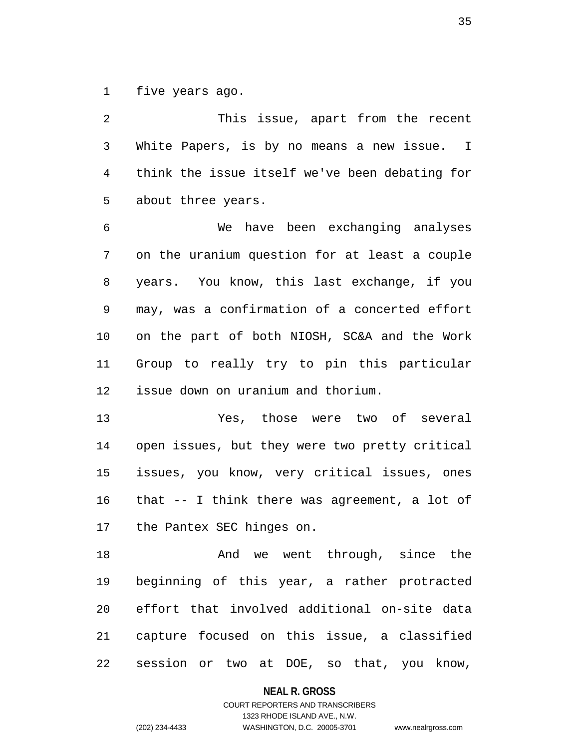1 five years ago.

2 This issue, apart from the recent 3 White Papers, is by no means a new issue. I 4 think the issue itself we've been debating for 5 about three years.

6 We have been exchanging analyses 7 on the uranium question for at least a couple 8 years. You know, this last exchange, if you 9 may, was a confirmation of a concerted effort 10 on the part of both NIOSH, SC&A and the Work 11 Group to really try to pin this particular 12 issue down on uranium and thorium.

13 Yes, those were two of several 14 open issues, but they were two pretty critical 15 issues, you know, very critical issues, ones 16 that -- I think there was agreement, a lot of 17 the Pantex SEC hinges on.

18 And we went through, since the 19 beginning of this year, a rather protracted 20 effort that involved additional on-site data 21 capture focused on this issue, a classified 22 session or two at DOE, so that, you know,

**NEAL R. GROSS**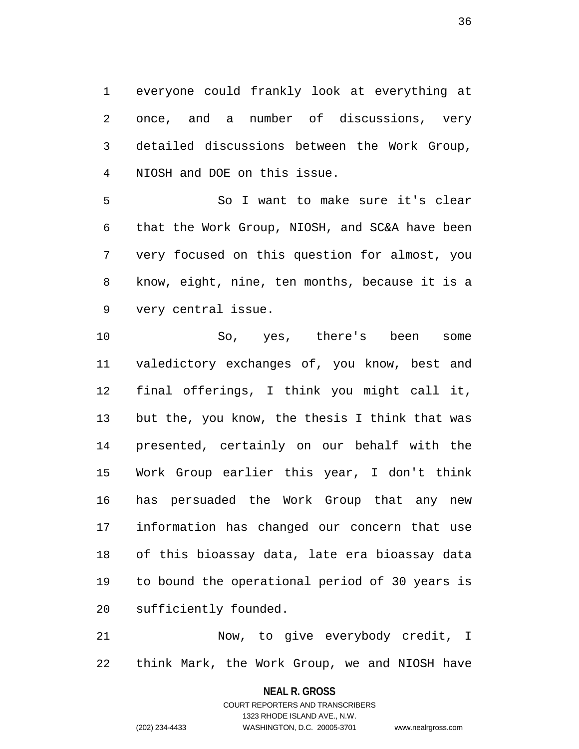1 everyone could frankly look at everything at 2 once, and a number of discussions, very 3 detailed discussions between the Work Group, 4 NIOSH and DOE on this issue.

5 So I want to make sure it's clear 6 that the Work Group, NIOSH, and SC&A have been 7 very focused on this question for almost, you 8 know, eight, nine, ten months, because it is a 9 very central issue.

10 So, yes, there's been some 11 valedictory exchanges of, you know, best and 12 final offerings, I think you might call it, 13 but the, you know, the thesis I think that was 14 presented, certainly on our behalf with the 15 Work Group earlier this year, I don't think 16 has persuaded the Work Group that any new 17 information has changed our concern that use 18 of this bioassay data, late era bioassay data 19 to bound the operational period of 30 years is 20 sufficiently founded.

21 Now, to give everybody credit, I 22 think Mark, the Work Group, we and NIOSH have

**NEAL R. GROSS**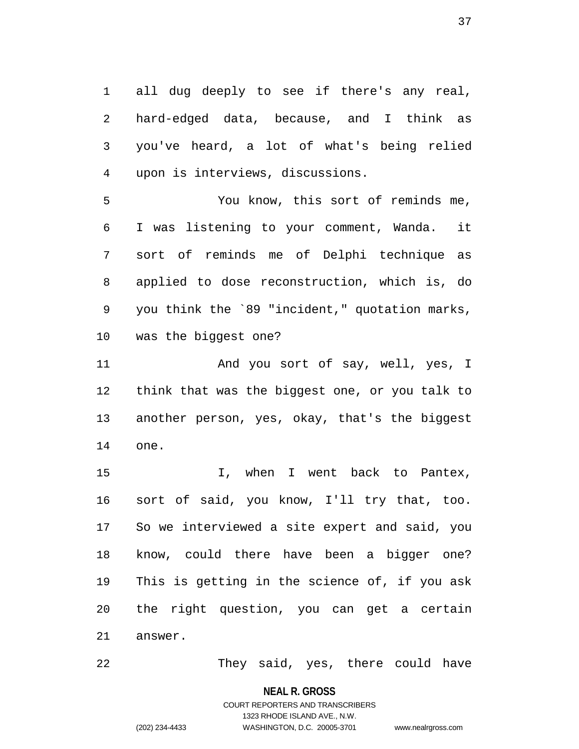1 all dug deeply to see if there's any real, 2 hard-edged data, because, and I think as 3 you've heard, a lot of what's being relied 4 upon is interviews, discussions.

5 You know, this sort of reminds me, 6 I was listening to your comment, Wanda. it 7 sort of reminds me of Delphi technique as 8 applied to dose reconstruction, which is, do 9 you think the `89 "incident," quotation marks, 10 was the biggest one?

11 And you sort of say, well, yes, I 12 think that was the biggest one, or you talk to 13 another person, yes, okay, that's the biggest 14 one.

15 I, when I went back to Pantex, 16 sort of said, you know, I'll try that, too. 17 So we interviewed a site expert and said, you 18 know, could there have been a bigger one? 19 This is getting in the science of, if you ask 20 the right question, you can get a certain 21 answer.

22 They said, yes, there could have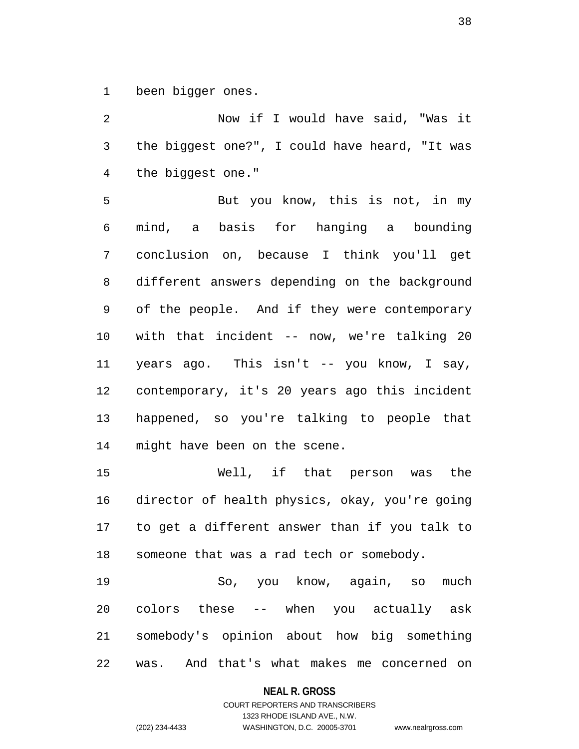1 been bigger ones.

2 Now if I would have said, "Was it 3 the biggest one?", I could have heard, "It was 4 the biggest one."

5 But you know, this is not, in my 6 mind, a basis for hanging a bounding 7 conclusion on, because I think you'll get 8 different answers depending on the background 9 of the people. And if they were contemporary 10 with that incident -- now, we're talking 20 11 years ago. This isn't -- you know, I say, 12 contemporary, it's 20 years ago this incident 13 happened, so you're talking to people that 14 might have been on the scene.

15 Well, if that person was the 16 director of health physics, okay, you're going 17 to get a different answer than if you talk to 18 someone that was a rad tech or somebody.

19 So, you know, again, so much 20 colors these -- when you actually ask 21 somebody's opinion about how big something 22 was. And that's what makes me concerned on

#### **NEAL R. GROSS**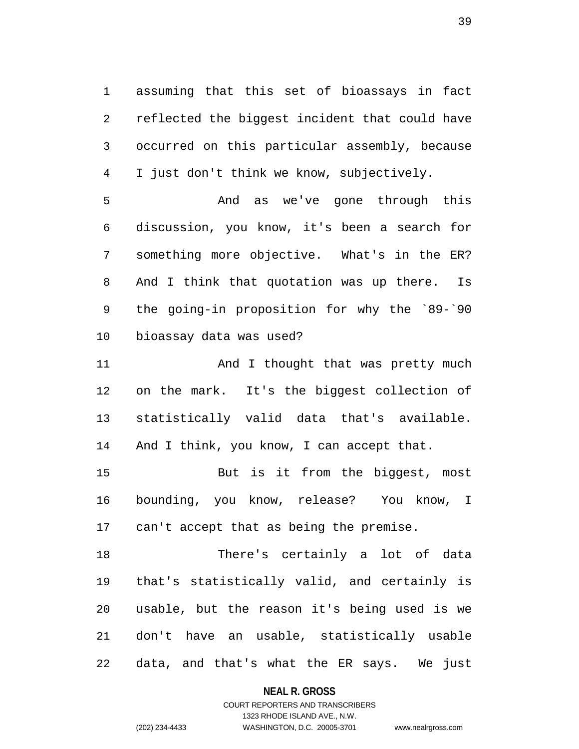1 assuming that this set of bioassays in fact 2 reflected the biggest incident that could have 3 occurred on this particular assembly, because 4 I just don't think we know, subjectively.

5 And as we've gone through this 6 discussion, you know, it's been a search for 7 something more objective. What's in the ER? 8 And I think that quotation was up there. Is 9 the going-in proposition for why the `89-`90 10 bioassay data was used?

11 And I thought that was pretty much 12 on the mark. It's the biggest collection of 13 statistically valid data that's available. 14 And I think, you know, I can accept that.

15 But is it from the biggest, most 16 bounding, you know, release? You know, I 17 can't accept that as being the premise.

18 There's certainly a lot of data 19 that's statistically valid, and certainly is 20 usable, but the reason it's being used is we 21 don't have an usable, statistically usable 22 data, and that's what the ER says. We just

### **NEAL R. GROSS**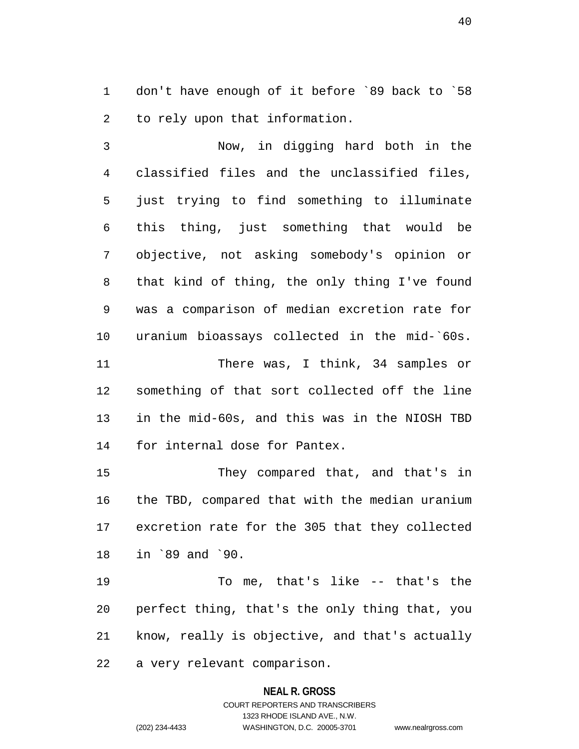1 don't have enough of it before `89 back to `58 2 to rely upon that information.

3 Now, in digging hard both in the 4 classified files and the unclassified files, 5 just trying to find something to illuminate 6 this thing, just something that would be 7 objective, not asking somebody's opinion or 8 that kind of thing, the only thing I've found 9 was a comparison of median excretion rate for 10 uranium bioassays collected in the mid-`60s. 11 There was, I think, 34 samples or 12 something of that sort collected off the line 13 in the mid-60s, and this was in the NIOSH TBD 14 for internal dose for Pantex.

15 They compared that, and that's in 16 the TBD, compared that with the median uranium 17 excretion rate for the 305 that they collected 18 in `89 and `90.

19 To me, that's like -- that's the 20 perfect thing, that's the only thing that, you 21 know, really is objective, and that's actually 22 a very relevant comparison.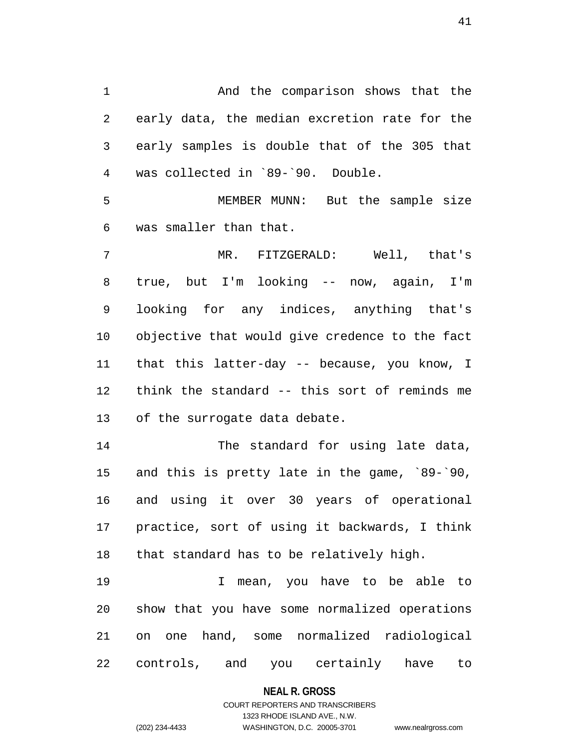1 And the comparison shows that the 2 early data, the median excretion rate for the 3 early samples is double that of the 305 that 4 was collected in `89-`90. Double.

5 MEMBER MUNN: But the sample size 6 was smaller than that.

7 MR. FITZGERALD: Well, that's 8 true, but I'm looking -- now, again, I'm 9 looking for any indices, anything that's 10 objective that would give credence to the fact 11 that this latter-day -- because, you know, I 12 think the standard -- this sort of reminds me 13 of the surrogate data debate.

14 The standard for using late data, 15 and this is pretty late in the game, `89-`90, 16 and using it over 30 years of operational 17 practice, sort of using it backwards, I think 18 that standard has to be relatively high.

19 I mean, you have to be able to 20 show that you have some normalized operations 21 on one hand, some normalized radiological 22 controls, and you certainly have to

#### **NEAL R. GROSS**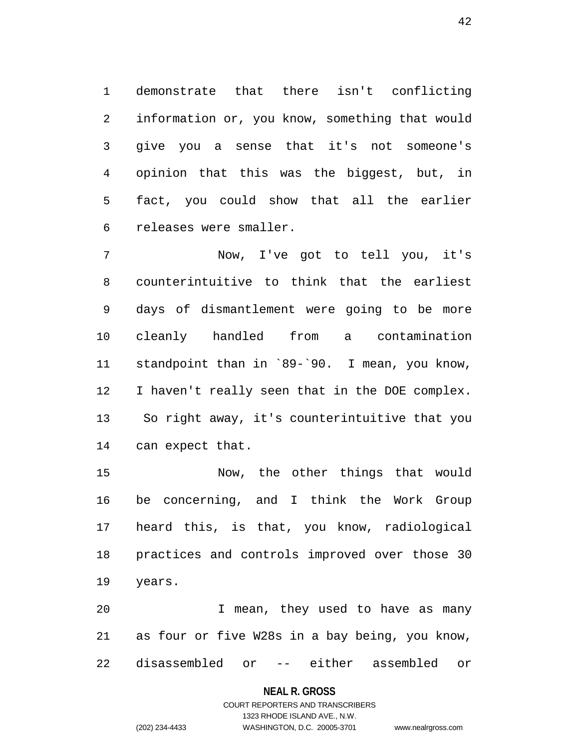1 demonstrate that there isn't conflicting 2 information or, you know, something that would 3 give you a sense that it's not someone's 4 opinion that this was the biggest, but, in 5 fact, you could show that all the earlier 6 releases were smaller.

7 Now, I've got to tell you, it's 8 counterintuitive to think that the earliest 9 days of dismantlement were going to be more 10 cleanly handled from a contamination 11 standpoint than in `89-`90. I mean, you know, 12 I haven't really seen that in the DOE complex. 13 So right away, it's counterintuitive that you 14 can expect that.

15 Now, the other things that would 16 be concerning, and I think the Work Group 17 heard this, is that, you know, radiological 18 practices and controls improved over those 30 19 years.

20 I mean, they used to have as many 21 as four or five W28s in a bay being, you know, 22 disassembled or -- either assembled or

#### **NEAL R. GROSS**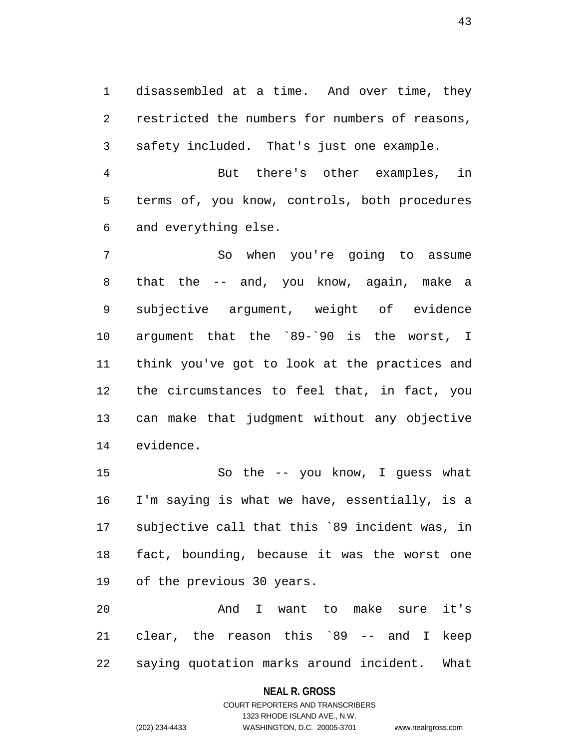1 disassembled at a time. And over time, they 2 restricted the numbers for numbers of reasons, 3 safety included. That's just one example.

4 But there's other examples, in 5 terms of, you know, controls, both procedures 6 and everything else.

7 So when you're going to assume 8 that the -- and, you know, again, make a 9 subjective argument, weight of evidence 10 argument that the `89-`90 is the worst, I 11 think you've got to look at the practices and 12 the circumstances to feel that, in fact, you 13 can make that judgment without any objective 14 evidence.

15 So the -- you know, I guess what 16 I'm saying is what we have, essentially, is a 17 subjective call that this `89 incident was, in 18 fact, bounding, because it was the worst one 19 of the previous 30 years.

20 And I want to make sure it's 21 clear, the reason this `89 -- and I keep 22 saying quotation marks around incident. What

### **NEAL R. GROSS**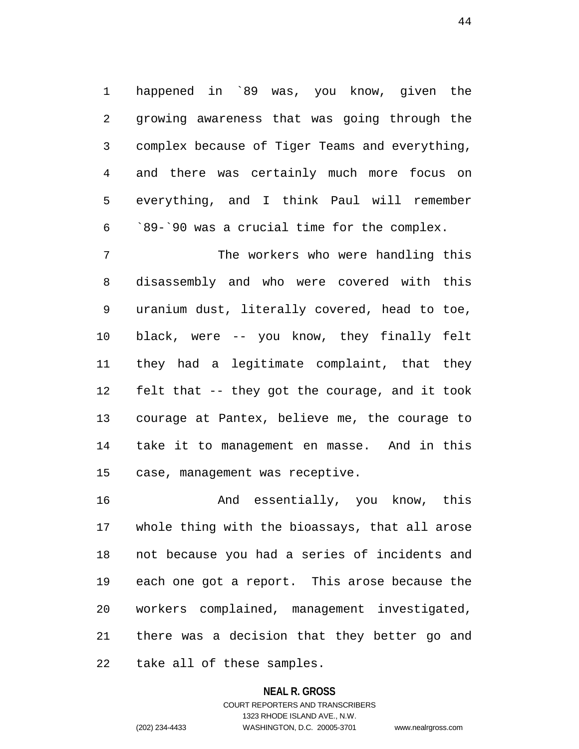1 happened in `89 was, you know, given the 2 growing awareness that was going through the 3 complex because of Tiger Teams and everything, 4 and there was certainly much more focus on 5 everything, and I think Paul will remember 6 `89-`90 was a crucial time for the complex.

7 The workers who were handling this 8 disassembly and who were covered with this 9 uranium dust, literally covered, head to toe, 10 black, were -- you know, they finally felt 11 they had a legitimate complaint, that they 12 felt that -- they got the courage, and it took 13 courage at Pantex, believe me, the courage to 14 take it to management en masse. And in this 15 case, management was receptive.

16 And essentially, you know, this 17 whole thing with the bioassays, that all arose 18 not because you had a series of incidents and 19 each one got a report. This arose because the 20 workers complained, management investigated, 21 there was a decision that they better go and 22 take all of these samples.

#### **NEAL R. GROSS**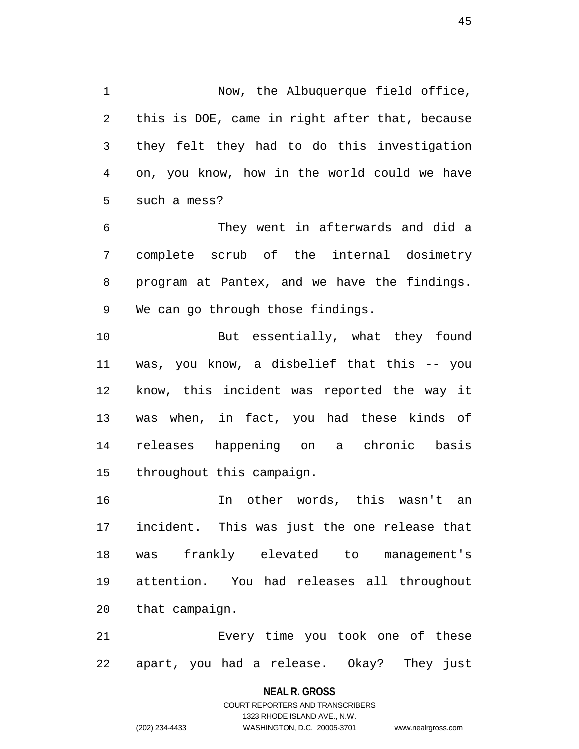1 Now, the Albuquerque field office, 2 this is DOE, came in right after that, because 3 they felt they had to do this investigation 4 on, you know, how in the world could we have 5 such a mess?

6 They went in afterwards and did a 7 complete scrub of the internal dosimetry 8 program at Pantex, and we have the findings. 9 We can go through those findings.

10 But essentially, what they found 11 was, you know, a disbelief that this -- you 12 know, this incident was reported the way it 13 was when, in fact, you had these kinds of 14 releases happening on a chronic basis 15 throughout this campaign.

16 In other words, this wasn't an 17 incident. This was just the one release that 18 was frankly elevated to management's 19 attention. You had releases all throughout 20 that campaign.

21 Every time you took one of these 22 apart, you had a release. Okay? They just

#### **NEAL R. GROSS**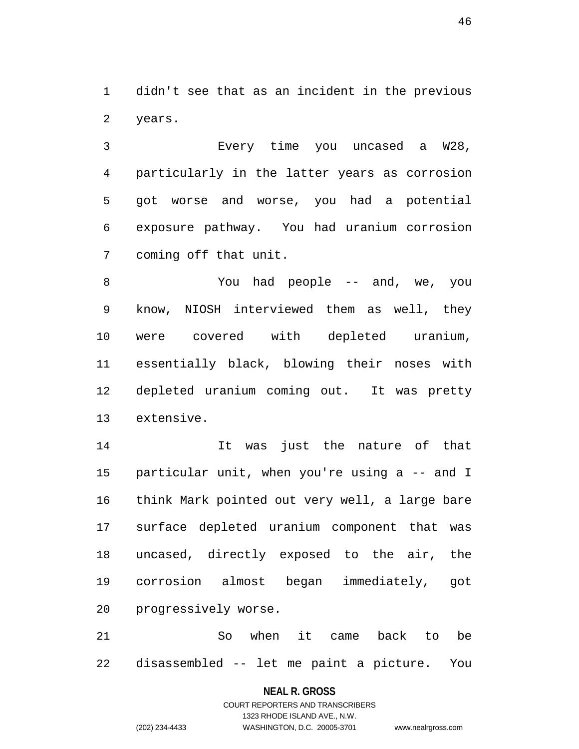1 didn't see that as an incident in the previous 2 years.

3 Every time you uncased a W28, 4 particularly in the latter years as corrosion 5 got worse and worse, you had a potential 6 exposure pathway. You had uranium corrosion 7 coming off that unit.

8 You had people -- and, we, you 9 know, NIOSH interviewed them as well, they 10 were covered with depleted uranium, 11 essentially black, blowing their noses with 12 depleted uranium coming out. It was pretty 13 extensive.

14 It was just the nature of that 15 particular unit, when you're using a -- and I 16 think Mark pointed out very well, a large bare 17 surface depleted uranium component that was 18 uncased, directly exposed to the air, the 19 corrosion almost began immediately, got 20 progressively worse.

21 So when it came back to be 22 disassembled -- let me paint a picture. You

### **NEAL R. GROSS**

# COURT REPORTERS AND TRANSCRIBERS 1323 RHODE ISLAND AVE., N.W. (202) 234-4433 WASHINGTON, D.C. 20005-3701 www.nealrgross.com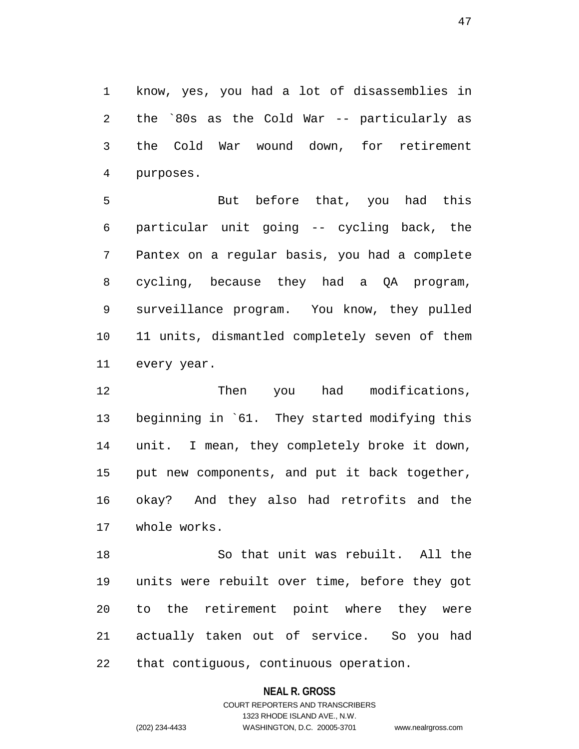1 know, yes, you had a lot of disassemblies in 2 the `80s as the Cold War -- particularly as 3 the Cold War wound down, for retirement 4 purposes.

5 But before that, you had this 6 particular unit going -- cycling back, the 7 Pantex on a regular basis, you had a complete 8 cycling, because they had a QA program, 9 surveillance program. You know, they pulled 10 11 units, dismantled completely seven of them 11 every year.

12 Then you had modifications, 13 beginning in `61. They started modifying this 14 unit. I mean, they completely broke it down, 15 put new components, and put it back together, 16 okay? And they also had retrofits and the 17 whole works.

18 So that unit was rebuilt. All the 19 units were rebuilt over time, before they got 20 to the retirement point where they were 21 actually taken out of service. So you had 22 that contiguous, continuous operation.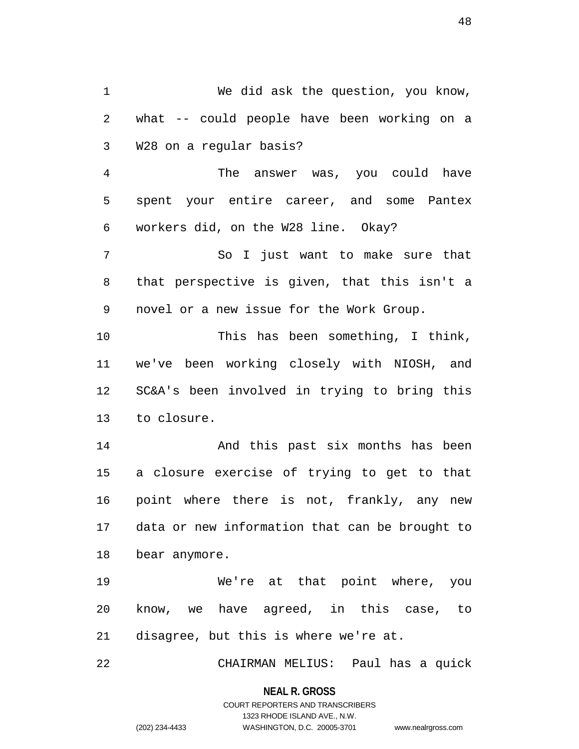1 We did ask the question, you know, 2 what -- could people have been working on a 3 W28 on a regular basis? 4 The answer was, you could have 5 spent your entire career, and some Pantex 6 workers did, on the W28 line. Okay? 7 So I just want to make sure that 8 that perspective is given, that this isn't a 9 novel or a new issue for the Work Group. 10 This has been something, I think, 11 we've been working closely with NIOSH, and 12 SC&A's been involved in trying to bring this 13 to closure. 14 And this past six months has been 15 a closure exercise of trying to get to that 16 point where there is not, frankly, any new 17 data or new information that can be brought to 18 bear anymore. 19 We're at that point where, you 20 know, we have agreed, in this case, to 21 disagree, but this is where we're at. 22 CHAIRMAN MELIUS: Paul has a quick

> **NEAL R. GROSS** COURT REPORTERS AND TRANSCRIBERS

> > 1323 RHODE ISLAND AVE., N.W.

(202) 234-4433 WASHINGTON, D.C. 20005-3701 www.nealrgross.com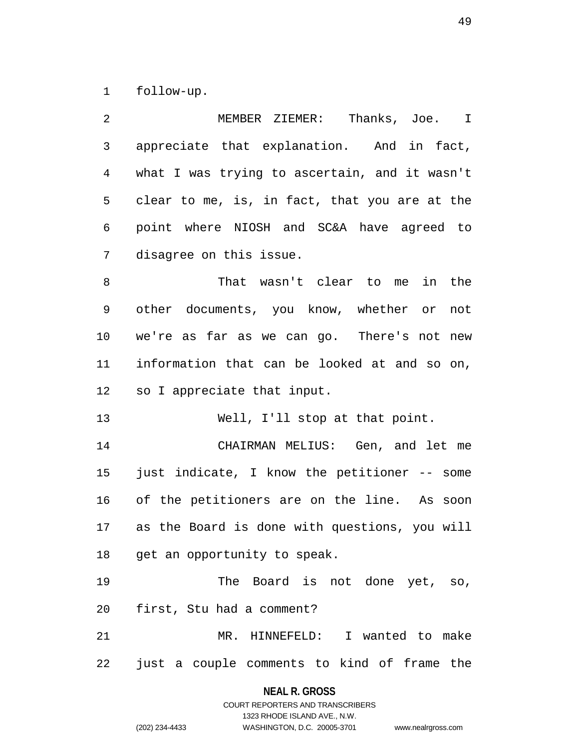1 follow-up.

| 2  | MEMBER ZIEMER: Thanks, Joe. I                 |
|----|-----------------------------------------------|
| 3  | appreciate that explanation. And in fact,     |
| 4  | what I was trying to ascertain, and it wasn't |
| 5  | clear to me, is, in fact, that you are at the |
| 6  | point where NIOSH and SC&A have agreed to     |
| 7  | disagree on this issue.                       |
| 8  | That wasn't clear to me<br>in the             |
| 9  | other documents, you know, whether or not     |
| 10 | we're as far as we can go. There's not new    |
| 11 | information that can be looked at and so on,  |
| 12 | so I appreciate that input.                   |
| 13 | Well, I'll stop at that point.                |
| 14 | CHAIRMAN MELIUS: Gen, and let me              |
| 15 |                                               |
|    | just indicate, I know the petitioner -- some  |
| 16 | of the petitioners are on the line. As soon   |
| 17 | as the Board is done with questions, you will |
|    | 18 get an opportunity to speak.               |
| 19 | The Board is not done yet, so,                |
| 20 | first, Stu had a comment?                     |
| 21 | MR. HINNEFELD: I wanted to make               |

**NEAL R. GROSS** COURT REPORTERS AND TRANSCRIBERS

1323 RHODE ISLAND AVE., N.W.

(202) 234-4433 WASHINGTON, D.C. 20005-3701 www.nealrgross.com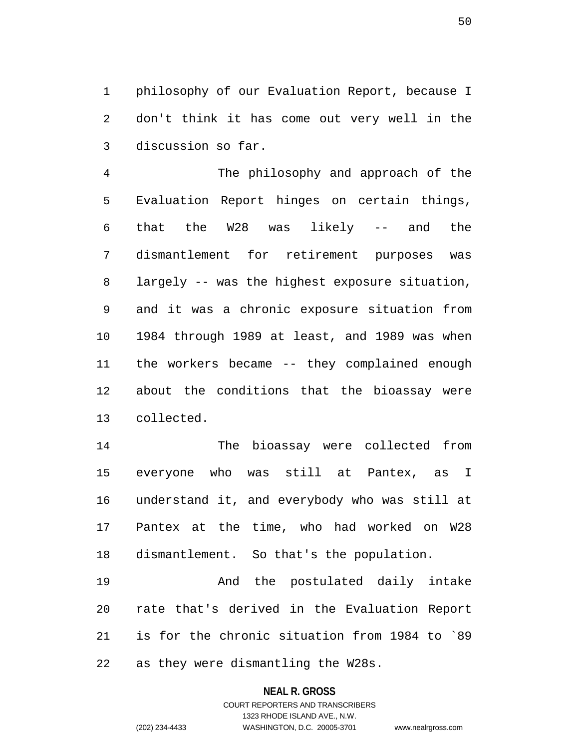1 philosophy of our Evaluation Report, because I 2 don't think it has come out very well in the 3 discussion so far.

4 The philosophy and approach of the 5 Evaluation Report hinges on certain things, 6 that the W28 was likely -- and the 7 dismantlement for retirement purposes was 8 largely -- was the highest exposure situation, 9 and it was a chronic exposure situation from 10 1984 through 1989 at least, and 1989 was when 11 the workers became -- they complained enough 12 about the conditions that the bioassay were 13 collected.

14 The bioassay were collected from 15 everyone who was still at Pantex, as I 16 understand it, and everybody who was still at 17 Pantex at the time, who had worked on W28 18 dismantlement. So that's the population.

19 And the postulated daily intake 20 rate that's derived in the Evaluation Report 21 is for the chronic situation from 1984 to `89 22 as they were dismantling the W28s.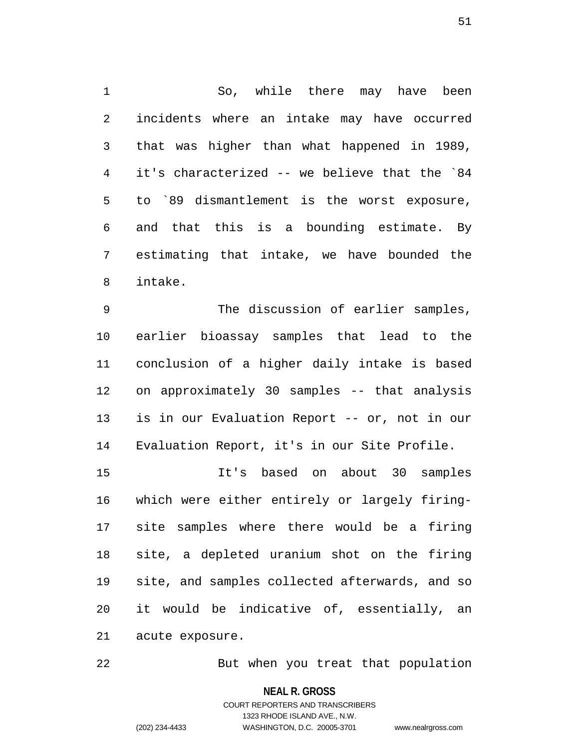1 So, while there may have been 2 incidents where an intake may have occurred 3 that was higher than what happened in 1989, 4 it's characterized -- we believe that the `84 5 to `89 dismantlement is the worst exposure, 6 and that this is a bounding estimate. By 7 estimating that intake, we have bounded the 8 intake.

9 The discussion of earlier samples, 10 earlier bioassay samples that lead to the 11 conclusion of a higher daily intake is based 12 on approximately 30 samples -- that analysis 13 is in our Evaluation Report -- or, not in our 14 Evaluation Report, it's in our Site Profile.

15 It's based on about 30 samples 16 which were either entirely or largely firing-17 site samples where there would be a firing 18 site, a depleted uranium shot on the firing 19 site, and samples collected afterwards, and so 20 it would be indicative of, essentially, an 21 acute exposure.

22 But when you treat that population

**NEAL R. GROSS**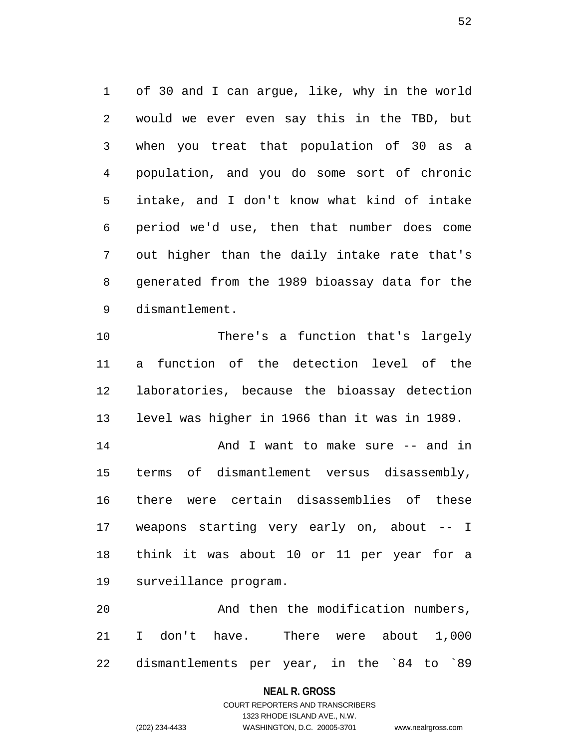1 of 30 and I can argue, like, why in the world 2 would we ever even say this in the TBD, but 3 when you treat that population of 30 as a 4 population, and you do some sort of chronic 5 intake, and I don't know what kind of intake 6 period we'd use, then that number does come 7 out higher than the daily intake rate that's 8 generated from the 1989 bioassay data for the 9 dismantlement.

10 There's a function that's largely 11 a function of the detection level of the 12 laboratories, because the bioassay detection 13 level was higher in 1966 than it was in 1989. 14 And I want to make sure -- and in 15 terms of dismantlement versus disassembly, 16 there were certain disassemblies of these 17 weapons starting very early on, about -- I

18 think it was about 10 or 11 per year for a 19 surveillance program.

20 And then the modification numbers, 21 I don't have. There were about 1,000 22 dismantlements per year, in the `84 to `89

### **NEAL R. GROSS**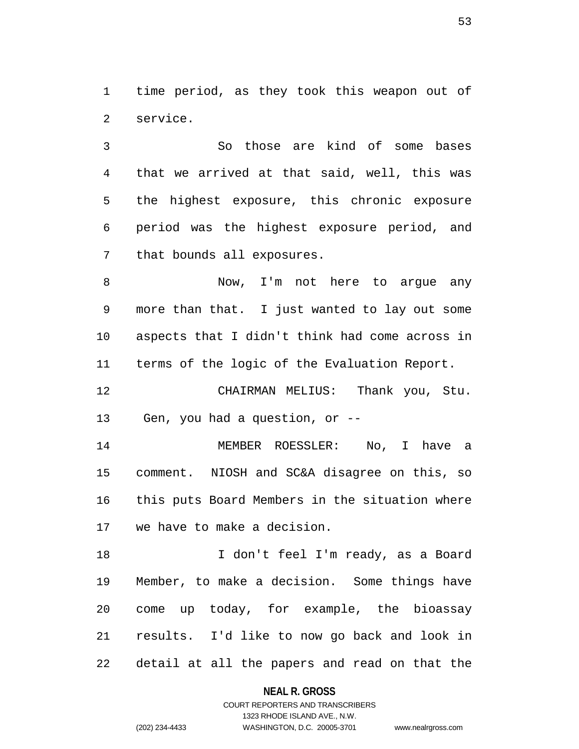1 time period, as they took this weapon out of 2 service.

3 So those are kind of some bases 4 that we arrived at that said, well, this was 5 the highest exposure, this chronic exposure 6 period was the highest exposure period, and 7 that bounds all exposures.

8 Now, I'm not here to arque any 9 more than that. I just wanted to lay out some 10 aspects that I didn't think had come across in 11 terms of the logic of the Evaluation Report.

12 CHAIRMAN MELIUS: Thank you, Stu. 13 Gen, you had a question, or --

14 MEMBER ROESSLER: No, I have a 15 comment. NIOSH and SC&A disagree on this, so 16 this puts Board Members in the situation where 17 we have to make a decision.

18 I don't feel I'm ready, as a Board 19 Member, to make a decision. Some things have 20 come up today, for example, the bioassay 21 results. I'd like to now go back and look in 22 detail at all the papers and read on that the

**NEAL R. GROSS**

# COURT REPORTERS AND TRANSCRIBERS 1323 RHODE ISLAND AVE., N.W. (202) 234-4433 WASHINGTON, D.C. 20005-3701 www.nealrgross.com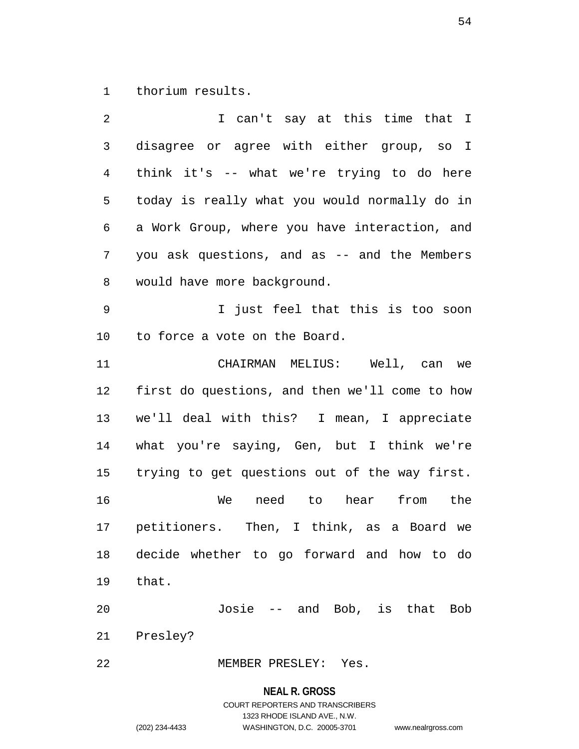1 thorium results.

2 I can't say at this time that I 3 disagree or agree with either group, so I 4 think it's -- what we're trying to do here 5 today is really what you would normally do in 6 a Work Group, where you have interaction, and 7 you ask questions, and as -- and the Members 8 would have more background. 9 I just feel that this is too soon 10 to force a vote on the Board. 11 CHAIRMAN MELIUS: Well, can we 12 first do questions, and then we'll come to how 13 we'll deal with this? I mean, I appreciate 14 what you're saying, Gen, but I think we're 15 trying to get questions out of the way first. 16 We need to hear from the 17 petitioners. Then, I think, as a Board we 18 decide whether to go forward and how to do 19 that. 20 Josie -- and Bob, is that Bob 21 Presley? 22 MEMBER PRESLEY: Yes.

**NEAL R. GROSS**

COURT REPORTERS AND TRANSCRIBERS 1323 RHODE ISLAND AVE., N.W. (202) 234-4433 WASHINGTON, D.C. 20005-3701 www.nealrgross.com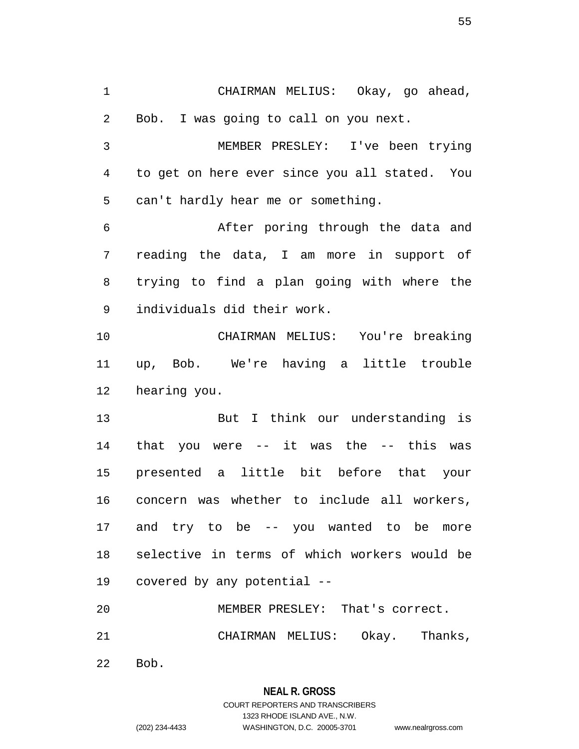1 CHAIRMAN MELIUS: Okay, go ahead, 2 Bob. I was going to call on you next. 3 MEMBER PRESLEY: I've been trying 4 to get on here ever since you all stated. You 5 can't hardly hear me or something. 6 After poring through the data and 7 reading the data, I am more in support of 8 trying to find a plan going with where the 9 individuals did their work. 10 CHAIRMAN MELIUS: You're breaking 11 up, Bob. We're having a little trouble 12 hearing you. 13 But I think our understanding is 14 that you were -- it was the -- this was 15 presented a little bit before that your 16 concern was whether to include all workers, 17 and try to be -- you wanted to be more 18 selective in terms of which workers would be 19 covered by any potential -- 20 MEMBER PRESLEY: That's correct. 21 CHAIRMAN MELIUS: Okay. Thanks,

22 Bob.

### **NEAL R. GROSS**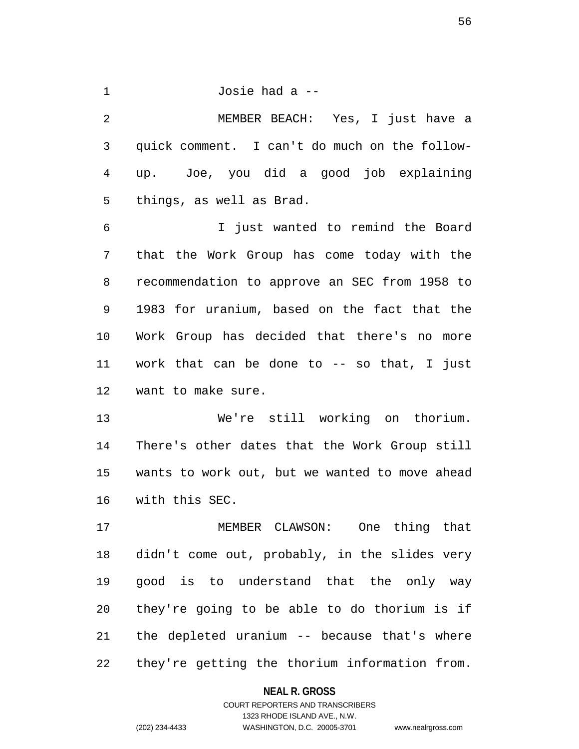1 Josie had a -- 2 MEMBER BEACH: Yes, I just have a 3 quick comment. I can't do much on the follow-4 up. Joe, you did a good job explaining 5 things, as well as Brad. 6 I just wanted to remind the Board 7 that the Work Group has come today with the 8 recommendation to approve an SEC from 1958 to 9 1983 for uranium, based on the fact that the 10 Work Group has decided that there's no more

11 work that can be done to -- so that, I just 12 want to make sure.

13 We're still working on thorium. 14 There's other dates that the Work Group still 15 wants to work out, but we wanted to move ahead 16 with this SEC.

17 MEMBER CLAWSON: One thing that 18 didn't come out, probably, in the slides very 19 good is to understand that the only way 20 they're going to be able to do thorium is if 21 the depleted uranium -- because that's where 22 they're getting the thorium information from.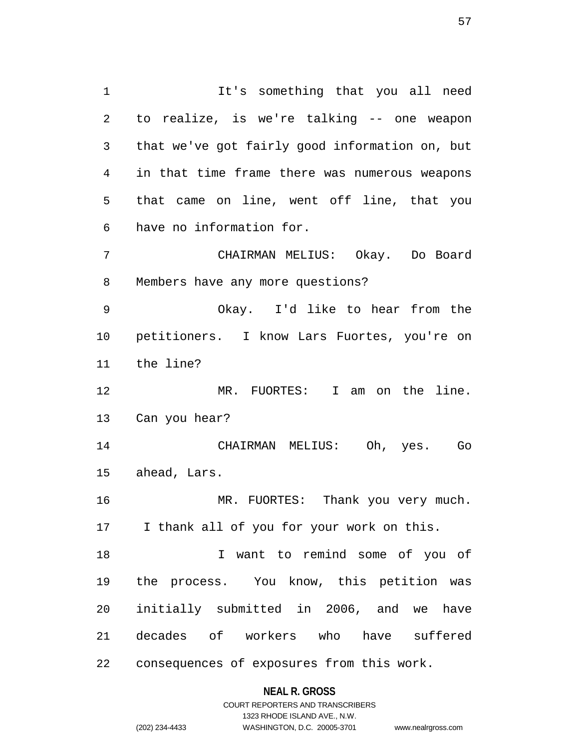1 It's something that you all need 2 to realize, is we're talking -- one weapon 3 that we've got fairly good information on, but 4 in that time frame there was numerous weapons 5 that came on line, went off line, that you 6 have no information for. 7 CHAIRMAN MELIUS: Okay. Do Board 8 Members have any more questions? 9 Okay. I'd like to hear from the 10 petitioners. I know Lars Fuortes, you're on 11 the line? 12 MR. FUORTES: I am on the line. 13 Can you hear? 14 CHAIRMAN MELIUS: Oh, yes. Go 15 ahead, Lars. 16 MR. FUORTES: Thank you very much. 17 I thank all of you for your work on this. 18 I want to remind some of you of 19 the process. You know, this petition was 20 initially submitted in 2006, and we have

22 consequences of exposures from this work.

**NEAL R. GROSS** COURT REPORTERS AND TRANSCRIBERS

21 decades of workers who have suffered

1323 RHODE ISLAND AVE., N.W. (202) 234-4433 WASHINGTON, D.C. 20005-3701 www.nealrgross.com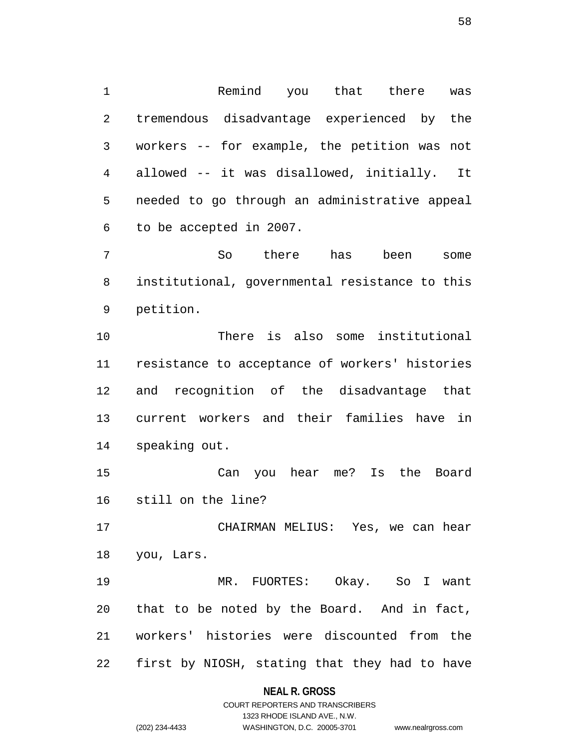1 Remind you that there was 2 tremendous disadvantage experienced by the 3 workers -- for example, the petition was not 4 allowed -- it was disallowed, initially. It 5 needed to go through an administrative appeal 6 to be accepted in 2007.

7 So there has been some 8 institutional, governmental resistance to this 9 petition.

10 There is also some institutional 11 resistance to acceptance of workers' histories 12 and recognition of the disadvantage that 13 current workers and their families have in 14 speaking out.

15 Can you hear me? Is the Board 16 still on the line?

17 CHAIRMAN MELIUS: Yes, we can hear 18 you, Lars.

19 MR. FUORTES: Okay. So I want 20 that to be noted by the Board. And in fact, 21 workers' histories were discounted from the 22 first by NIOSH, stating that they had to have

### **NEAL R. GROSS**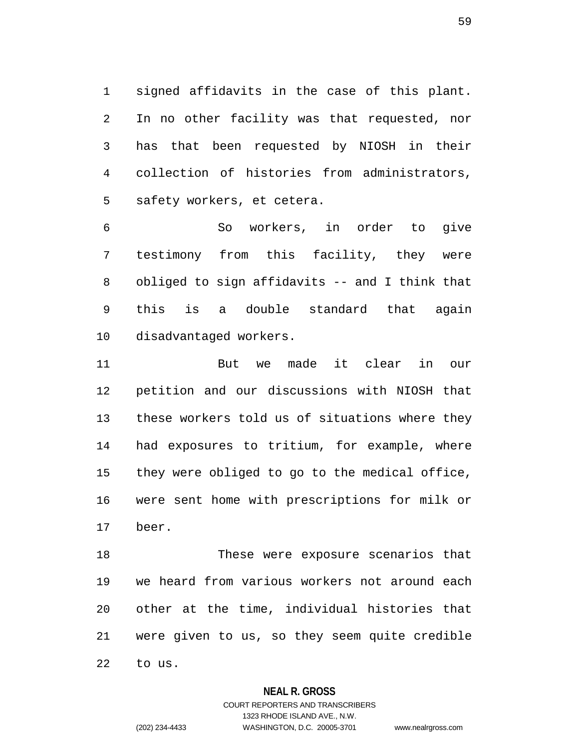1 signed affidavits in the case of this plant. 2 In no other facility was that requested, nor 3 has that been requested by NIOSH in their 4 collection of histories from administrators, 5 safety workers, et cetera.

6 So workers, in order to give 7 testimony from this facility, they were 8 obliged to sign affidavits -- and I think that 9 this is a double standard that again 10 disadvantaged workers.

11 But we made it clear in our 12 petition and our discussions with NIOSH that 13 these workers told us of situations where they 14 had exposures to tritium, for example, where 15 they were obliged to go to the medical office, 16 were sent home with prescriptions for milk or 17 beer.

18 These were exposure scenarios that 19 we heard from various workers not around each 20 other at the time, individual histories that 21 were given to us, so they seem quite credible 22 to us.

### **NEAL R. GROSS**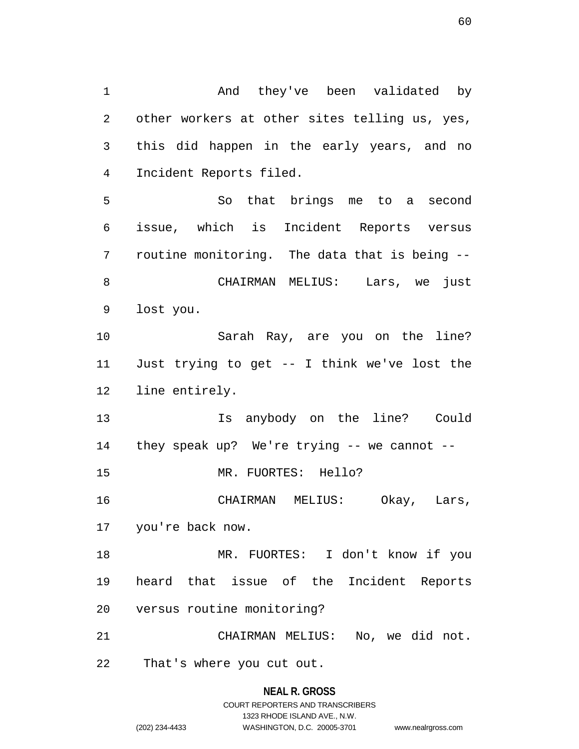1 And they've been validated by 2 other workers at other sites telling us, yes, 3 this did happen in the early years, and no 4 Incident Reports filed. 5 So that brings me to a second 6 issue, which is Incident Reports versus 7 routine monitoring. The data that is being -- 8 CHAIRMAN MELIUS: Lars, we just 9 lost you. 10 Sarah Ray, are you on the line? 11 Just trying to get -- I think we've lost the 12 line entirely. 13 Is anybody on the line? Could 14 they speak up? We're trying -- we cannot -- 15 MR. FUORTES: Hello? 16 CHAIRMAN MELIUS: Okay, Lars, 17 you're back now. 18 MR. FUORTES: I don't know if you 19 heard that issue of the Incident Reports 20 versus routine monitoring? 21 CHAIRMAN MELIUS: No, we did not. 22 That's where you cut out.

> **NEAL R. GROSS** COURT REPORTERS AND TRANSCRIBERS 1323 RHODE ISLAND AVE., N.W. (202) 234-4433 WASHINGTON, D.C. 20005-3701 www.nealrgross.com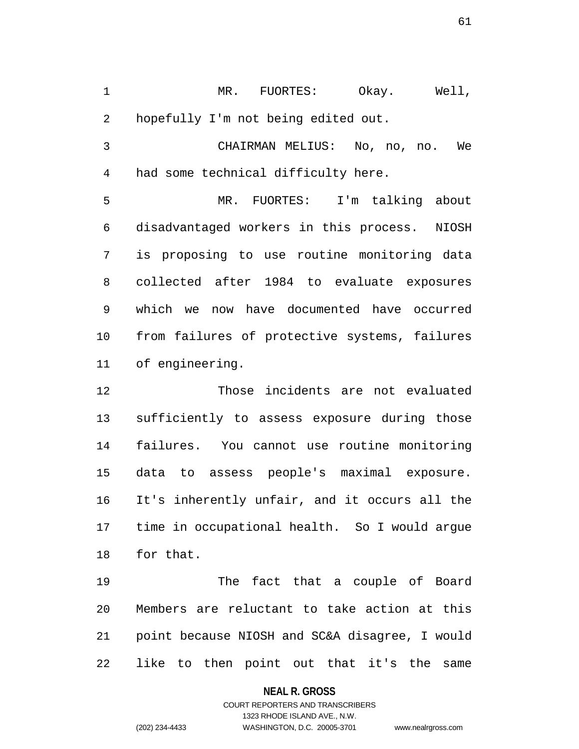1 MR. FUORTES: Okay. Well, 2 hopefully I'm not being edited out.

3 CHAIRMAN MELIUS: No, no, no. We 4 had some technical difficulty here.

5 MR. FUORTES: I'm talking about 6 disadvantaged workers in this process. NIOSH 7 is proposing to use routine monitoring data 8 collected after 1984 to evaluate exposures 9 which we now have documented have occurred 10 from failures of protective systems, failures 11 of engineering.

12 Those incidents are not evaluated 13 sufficiently to assess exposure during those 14 failures. You cannot use routine monitoring 15 data to assess people's maximal exposure. 16 It's inherently unfair, and it occurs all the 17 time in occupational health. So I would argue 18 for that.

19 The fact that a couple of Board 20 Members are reluctant to take action at this 21 point because NIOSH and SC&A disagree, I would 22 like to then point out that it's the same

### **NEAL R. GROSS**

# COURT REPORTERS AND TRANSCRIBERS 1323 RHODE ISLAND AVE., N.W. (202) 234-4433 WASHINGTON, D.C. 20005-3701 www.nealrgross.com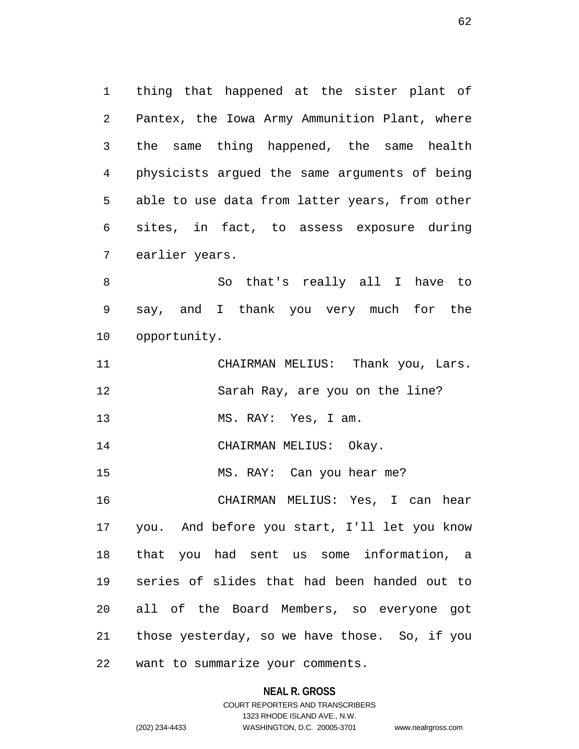1 thing that happened at the sister plant of 2 Pantex, the Iowa Army Ammunition Plant, where 3 the same thing happened, the same health 4 physicists argued the same arguments of being 5 able to use data from latter years, from other 6 sites, in fact, to assess exposure during 7 earlier years.

8 So that's really all I have to 9 say, and I thank you very much for the 10 opportunity.

11 CHAIRMAN MELIUS: Thank you, Lars. 12 Sarah Ray, are you on the line?

13 MS. RAY: Yes, I am.

14 CHAIRMAN MELIUS: Okay.

15 MS. RAY: Can you hear me?

16 CHAIRMAN MELIUS: Yes, I can hear 17 you. And before you start, I'll let you know 18 that you had sent us some information, a 19 series of slides that had been handed out to 20 all of the Board Members, so everyone got 21 those yesterday, so we have those. So, if you

22 want to summarize your comments.

## **NEAL R. GROSS**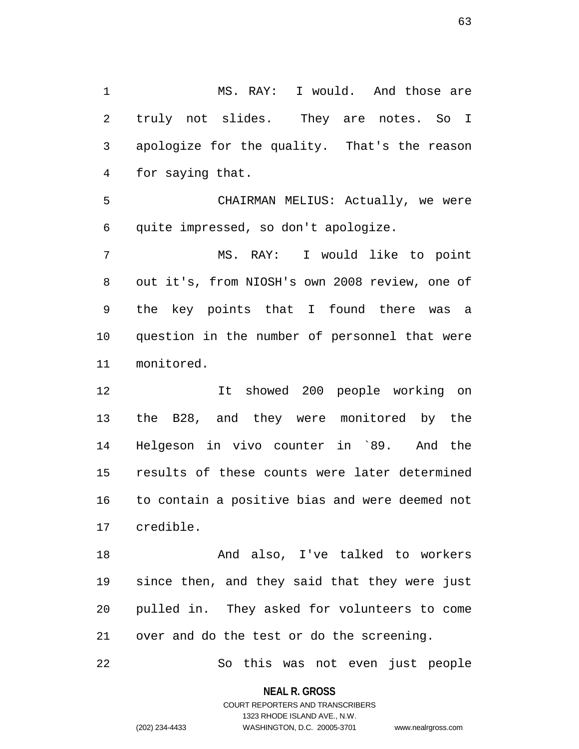1 MS. RAY: I would. And those are 2 truly not slides. They are notes. So I 3 apologize for the quality. That's the reason 4 for saying that.

5 CHAIRMAN MELIUS: Actually, we were 6 quite impressed, so don't apologize.

7 MS. RAY: I would like to point 8 out it's, from NIOSH's own 2008 review, one of 9 the key points that I found there was a 10 question in the number of personnel that were 11 monitored.

12 It showed 200 people working on 13 the B28, and they were monitored by the 14 Helgeson in vivo counter in `89. And the 15 results of these counts were later determined 16 to contain a positive bias and were deemed not 17 credible.

18 And also, I've talked to workers 19 since then, and they said that they were just 20 pulled in. They asked for volunteers to come 21 over and do the test or do the screening.

22 So this was not even just people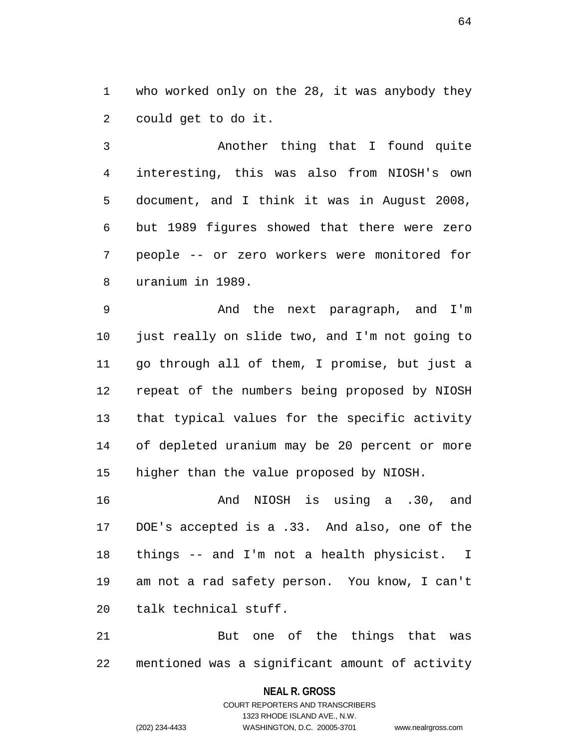1 who worked only on the 28, it was anybody they 2 could get to do it.

3 Another thing that I found quite 4 interesting, this was also from NIOSH's own 5 document, and I think it was in August 2008, 6 but 1989 figures showed that there were zero 7 people -- or zero workers were monitored for 8 uranium in 1989.

9 And the next paragraph, and I'm 10 just really on slide two, and I'm not going to 11 go through all of them, I promise, but just a 12 repeat of the numbers being proposed by NIOSH 13 that typical values for the specific activity 14 of depleted uranium may be 20 percent or more 15 higher than the value proposed by NIOSH.

16 And NIOSH is using a .30, and 17 DOE's accepted is a .33. And also, one of the 18 things -- and I'm not a health physicist. I 19 am not a rad safety person. You know, I can't 20 talk technical stuff.

21 But one of the things that was 22 mentioned was a significant amount of activity

### **NEAL R. GROSS**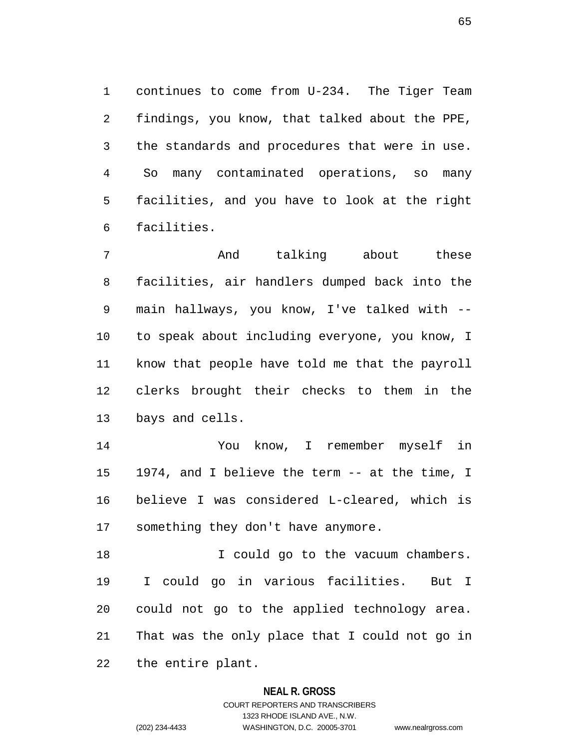1 continues to come from U-234. The Tiger Team 2 findings, you know, that talked about the PPE, 3 the standards and procedures that were in use. 4 So many contaminated operations, so many 5 facilities, and you have to look at the right 6 facilities.

7 and talking about these 8 facilities, air handlers dumped back into the 9 main hallways, you know, I've talked with -- 10 to speak about including everyone, you know, I 11 know that people have told me that the payroll 12 clerks brought their checks to them in the 13 bays and cells.

14 You know, I remember myself in 15 1974, and I believe the term -- at the time, I 16 believe I was considered L-cleared, which is 17 something they don't have anymore.

18 I could go to the vacuum chambers. 19 I could go in various facilities. But I 20 could not go to the applied technology area. 21 That was the only place that I could not go in 22 the entire plant.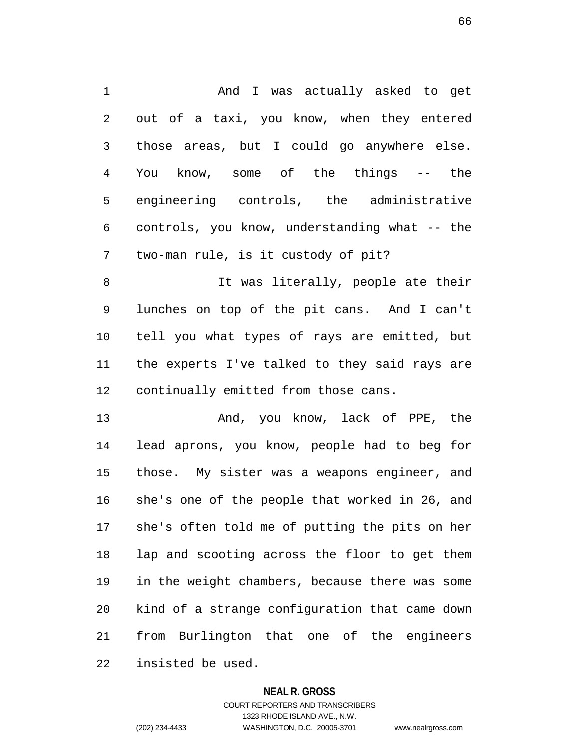1 And I was actually asked to get 2 out of a taxi, you know, when they entered 3 those areas, but I could go anywhere else. 4 You know, some of the things -- the 5 engineering controls, the administrative 6 controls, you know, understanding what -- the 7 two-man rule, is it custody of pit?

8 1t was literally, people ate their 9 lunches on top of the pit cans. And I can't 10 tell you what types of rays are emitted, but 11 the experts I've talked to they said rays are 12 continually emitted from those cans.

13 And, you know, lack of PPE, the 14 lead aprons, you know, people had to beg for 15 those. My sister was a weapons engineer, and 16 she's one of the people that worked in 26, and 17 she's often told me of putting the pits on her 18 lap and scooting across the floor to get them 19 in the weight chambers, because there was some 20 kind of a strange configuration that came down 21 from Burlington that one of the engineers 22 insisted be used.

### **NEAL R. GROSS**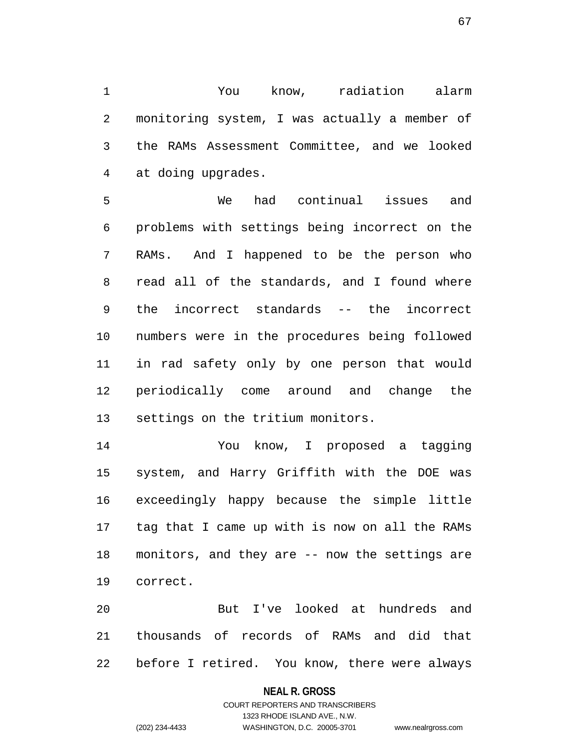1 You know, radiation alarm 2 monitoring system, I was actually a member of 3 the RAMs Assessment Committee, and we looked 4 at doing upgrades.

5 We had continual issues and 6 problems with settings being incorrect on the 7 RAMs. And I happened to be the person who 8 read all of the standards, and I found where 9 the incorrect standards -- the incorrect 10 numbers were in the procedures being followed 11 in rad safety only by one person that would 12 periodically come around and change the 13 settings on the tritium monitors.

14 You know, I proposed a tagging 15 system, and Harry Griffith with the DOE was 16 exceedingly happy because the simple little 17 tag that I came up with is now on all the RAMs 18 monitors, and they are -- now the settings are 19 correct.

20 But I've looked at hundreds and 21 thousands of records of RAMs and did that 22 before I retired. You know, there were always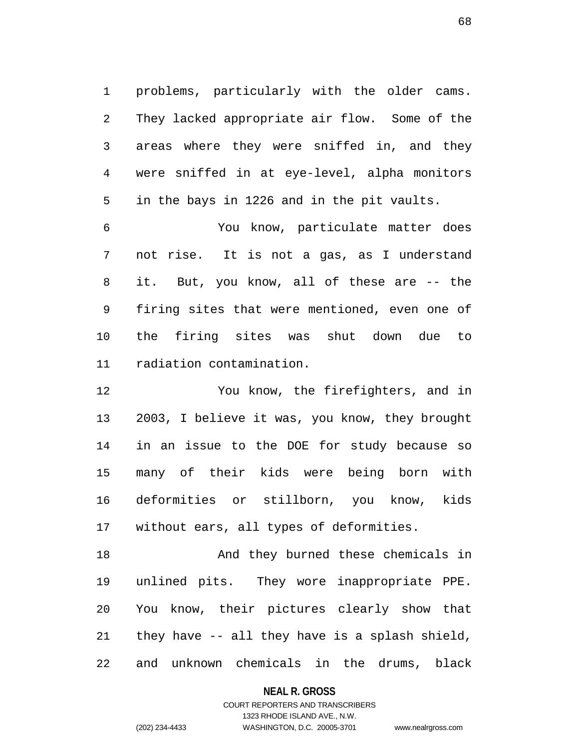1 problems, particularly with the older cams. 2 They lacked appropriate air flow. Some of the 3 areas where they were sniffed in, and they 4 were sniffed in at eye-level, alpha monitors 5 in the bays in 1226 and in the pit vaults.

6 You know, particulate matter does 7 not rise. It is not a gas, as I understand 8 it. But, you know, all of these are -- the 9 firing sites that were mentioned, even one of 10 the firing sites was shut down due to 11 radiation contamination.

12 You know, the firefighters, and in 13 2003, I believe it was, you know, they brought 14 in an issue to the DOE for study because so 15 many of their kids were being born with 16 deformities or stillborn, you know, kids 17 without ears, all types of deformities.

18 And they burned these chemicals in 19 unlined pits. They wore inappropriate PPE. 20 You know, their pictures clearly show that 21 they have -- all they have is a splash shield, 22 and unknown chemicals in the drums, black

**NEAL R. GROSS**

COURT REPORTERS AND TRANSCRIBERS 1323 RHODE ISLAND AVE., N.W. (202) 234-4433 WASHINGTON, D.C. 20005-3701 www.nealrgross.com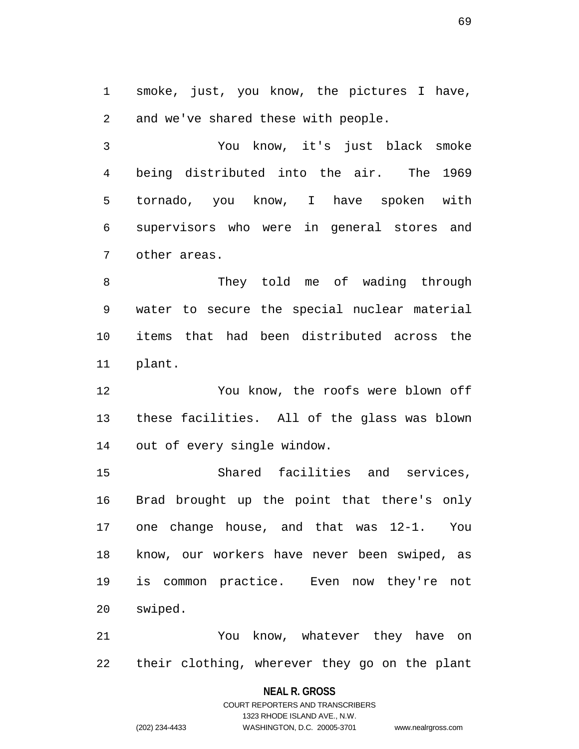1 smoke, just, you know, the pictures I have, 2 and we've shared these with people.

3 You know, it's just black smoke 4 being distributed into the air. The 1969 5 tornado, you know, I have spoken with 6 supervisors who were in general stores and 7 other areas.

8 They told me of wading through 9 water to secure the special nuclear material 10 items that had been distributed across the 11 plant.

12 You know, the roofs were blown off 13 these facilities. All of the glass was blown 14 out of every single window.

15 Shared facilities and services, 16 Brad brought up the point that there's only 17 one change house, and that was 12-1. You 18 know, our workers have never been swiped, as 19 is common practice. Even now they're not 20 swiped.

21 You know, whatever they have on 22 their clothing, wherever they go on the plant

### **NEAL R. GROSS**

COURT REPORTERS AND TRANSCRIBERS 1323 RHODE ISLAND AVE., N.W. (202) 234-4433 WASHINGTON, D.C. 20005-3701 www.nealrgross.com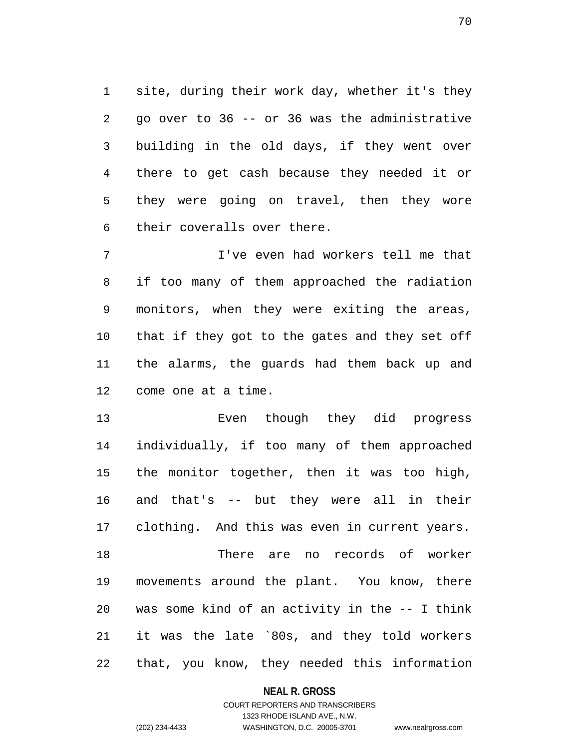1 site, during their work day, whether it's they 2 go over to 36 -- or 36 was the administrative 3 building in the old days, if they went over 4 there to get cash because they needed it or 5 they were going on travel, then they wore 6 their coveralls over there.

7 I've even had workers tell me that 8 if too many of them approached the radiation 9 monitors, when they were exiting the areas, 10 that if they got to the gates and they set off 11 the alarms, the guards had them back up and 12 come one at a time.

13 Even though they did progress 14 individually, if too many of them approached 15 the monitor together, then it was too high, 16 and that's -- but they were all in their 17 clothing. And this was even in current years. 18 There are no records of worker 19 movements around the plant. You know, there 20 was some kind of an activity in the -- I think 21 it was the late `80s, and they told workers 22 that, you know, they needed this information

**NEAL R. GROSS**

# COURT REPORTERS AND TRANSCRIBERS 1323 RHODE ISLAND AVE., N.W. (202) 234-4433 WASHINGTON, D.C. 20005-3701 www.nealrgross.com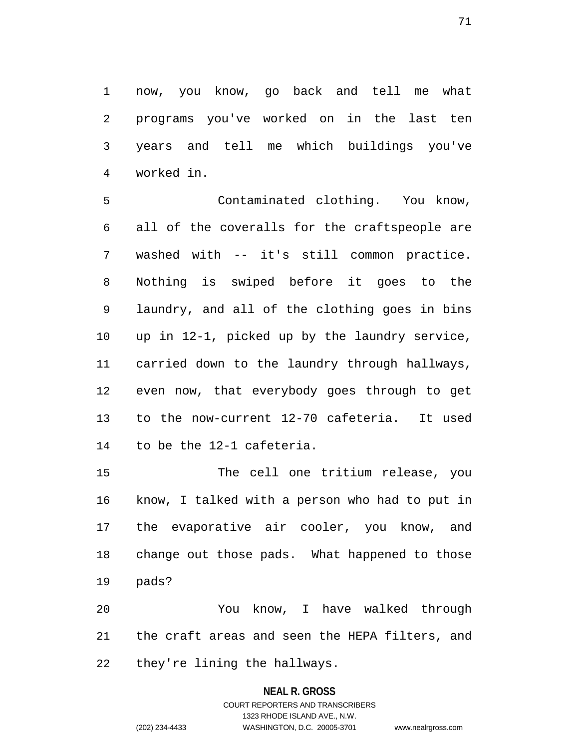1 now, you know, go back and tell me what 2 programs you've worked on in the last ten 3 years and tell me which buildings you've 4 worked in.

5 Contaminated clothing. You know, 6 all of the coveralls for the craftspeople are 7 washed with -- it's still common practice. 8 Nothing is swiped before it goes to the 9 laundry, and all of the clothing goes in bins 10 up in 12-1, picked up by the laundry service, 11 carried down to the laundry through hallways, 12 even now, that everybody goes through to get 13 to the now-current 12-70 cafeteria. It used 14 to be the 12-1 cafeteria.

15 The cell one tritium release, you 16 know, I talked with a person who had to put in 17 the evaporative air cooler, you know, and 18 change out those pads. What happened to those 19 pads?

20 You know, I have walked through 21 the craft areas and seen the HEPA filters, and 22 they're lining the hallways.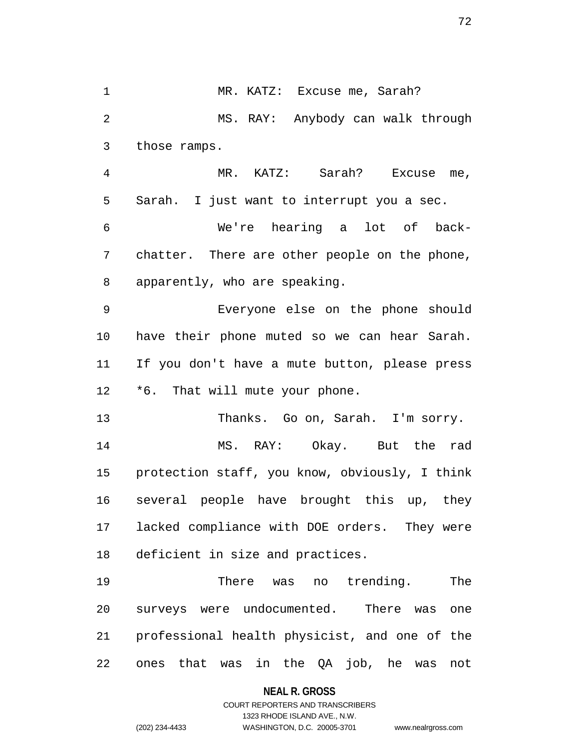1 MR. KATZ: Excuse me, Sarah? 2 MS. RAY: Anybody can walk through 3 those ramps. 4 MR. KATZ: Sarah? Excuse me, 5 Sarah. I just want to interrupt you a sec. 6 We're hearing a lot of back-7 chatter. There are other people on the phone, 8 apparently, who are speaking. 9 Everyone else on the phone should 10 have their phone muted so we can hear Sarah. 11 If you don't have a mute button, please press 12 \*6. That will mute your phone. 13 Thanks. Go on, Sarah. I'm sorry. 14 MS. RAY: Okay. But the rad 15 protection staff, you know, obviously, I think 16 several people have brought this up, they 17 lacked compliance with DOE orders. They were 18 deficient in size and practices. 19 There was no trending. The 20 surveys were undocumented. There was one 21 professional health physicist, and one of the

22 ones that was in the QA job, he was not

**NEAL R. GROSS**

COURT REPORTERS AND TRANSCRIBERS 1323 RHODE ISLAND AVE., N.W. (202) 234-4433 WASHINGTON, D.C. 20005-3701 www.nealrgross.com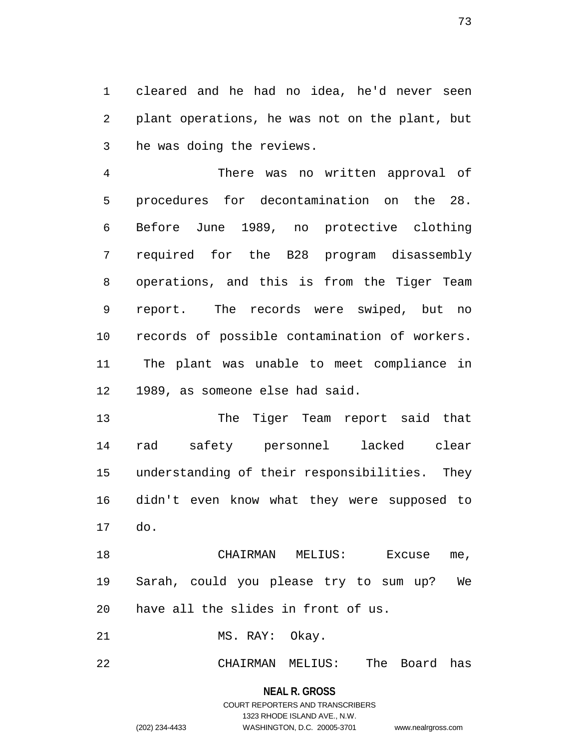1 cleared and he had no idea, he'd never seen 2 plant operations, he was not on the plant, but 3 he was doing the reviews.

4 There was no written approval of 5 procedures for decontamination on the 28. 6 Before June 1989, no protective clothing 7 required for the B28 program disassembly 8 operations, and this is from the Tiger Team 9 report. The records were swiped, but no 10 records of possible contamination of workers. 11 The plant was unable to meet compliance in 12 1989, as someone else had said.

13 The Tiger Team report said that 14 rad safety personnel lacked clear 15 understanding of their responsibilities. They 16 didn't even know what they were supposed to 17 do.

18 CHAIRMAN MELIUS: Excuse me, 19 Sarah, could you please try to sum up? We 20 have all the slides in front of us.

21 MS. RAY: Okay.

22 CHAIRMAN MELIUS: The Board has

**NEAL R. GROSS** COURT REPORTERS AND TRANSCRIBERS 1323 RHODE ISLAND AVE., N.W. (202) 234-4433 WASHINGTON, D.C. 20005-3701 www.nealrgross.com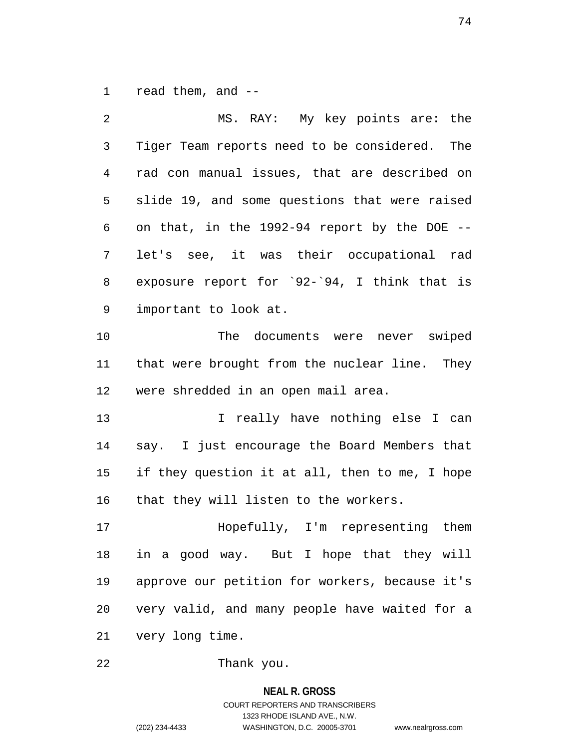1 read them, and --

| 2            | MS. RAY: My key points are: the                |
|--------------|------------------------------------------------|
| $\mathsf{3}$ | Tiger Team reports need to be considered. The  |
| 4            | rad con manual issues, that are described on   |
| 5            | slide 19, and some questions that were raised  |
| 6            | on that, in the 1992-94 report by the DOE --   |
| 7            | let's see, it was their occupational rad       |
| 8            | exposure report for `92-`94, I think that is   |
| 9            | important to look at.                          |
| 10           | The documents were never swiped                |
| 11           | that were brought from the nuclear line. They  |
| 12           | were shredded in an open mail area.            |
| 13           | I really have nothing else I can               |
| 14           | say. I just encourage the Board Members that   |
| 15           | if they question it at all, then to me, I hope |
| 16           | that they will listen to the workers.          |
| 17           | Hopefully, I'm representing them               |
| 18           | in a good way. But I hope that they will       |
| 19           | approve our petition for workers, because it's |
| 20           | very valid, and many people have waited for a  |
| 21           | very long time.                                |
|              |                                                |

22 Thank you.

# **NEAL R. GROSS** COURT REPORTERS AND TRANSCRIBERS 1323 RHODE ISLAND AVE., N.W. (202) 234-4433 WASHINGTON, D.C. 20005-3701 www.nealrgross.com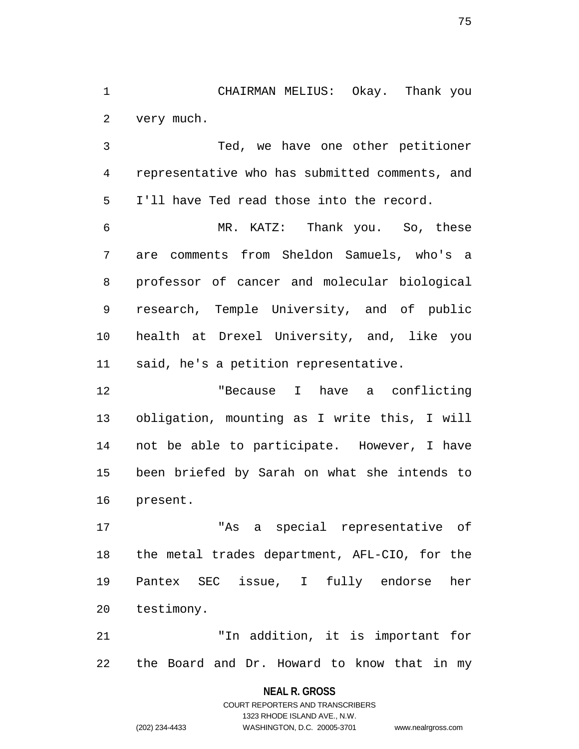1 CHAIRMAN MELIUS: Okay. Thank you 2 very much.

3 Ted, we have one other petitioner 4 representative who has submitted comments, and 5 I'll have Ted read those into the record.

6 MR. KATZ: Thank you. So, these 7 are comments from Sheldon Samuels, who's a 8 professor of cancer and molecular biological 9 research, Temple University, and of public 10 health at Drexel University, and, like you 11 said, he's a petition representative.

12 "Because I have a conflicting 13 obligation, mounting as I write this, I will 14 not be able to participate. However, I have 15 been briefed by Sarah on what she intends to 16 present.

17 "As a special representative of 18 the metal trades department, AFL-CIO, for the 19 Pantex SEC issue, I fully endorse her 20 testimony.

21 "In addition, it is important for 22 the Board and Dr. Howard to know that in my

> **NEAL R. GROSS** COURT REPORTERS AND TRANSCRIBERS 1323 RHODE ISLAND AVE., N.W. (202) 234-4433 WASHINGTON, D.C. 20005-3701 www.nealrgross.com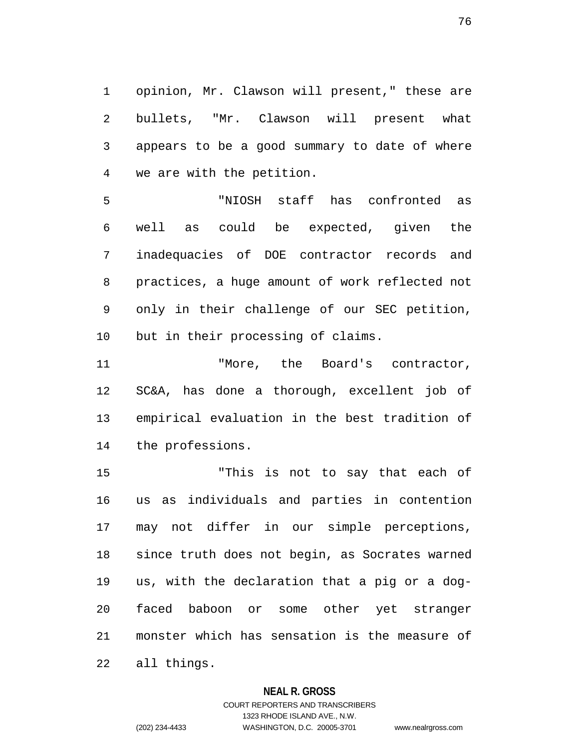1 opinion, Mr. Clawson will present," these are 2 bullets, "Mr. Clawson will present what 3 appears to be a good summary to date of where 4 we are with the petition.

5 "NIOSH staff has confronted as 6 well as could be expected, given the 7 inadequacies of DOE contractor records and 8 practices, a huge amount of work reflected not 9 only in their challenge of our SEC petition, 10 but in their processing of claims.

11 The Board's contractor, 12 SC&A, has done a thorough, excellent job of 13 empirical evaluation in the best tradition of 14 the professions.

15 "This is not to say that each of 16 us as individuals and parties in contention 17 may not differ in our simple perceptions, 18 since truth does not begin, as Socrates warned 19 us, with the declaration that a pig or a dog-20 faced baboon or some other yet stranger 21 monster which has sensation is the measure of 22 all things.

### **NEAL R. GROSS**

# COURT REPORTERS AND TRANSCRIBERS 1323 RHODE ISLAND AVE., N.W. (202) 234-4433 WASHINGTON, D.C. 20005-3701 www.nealrgross.com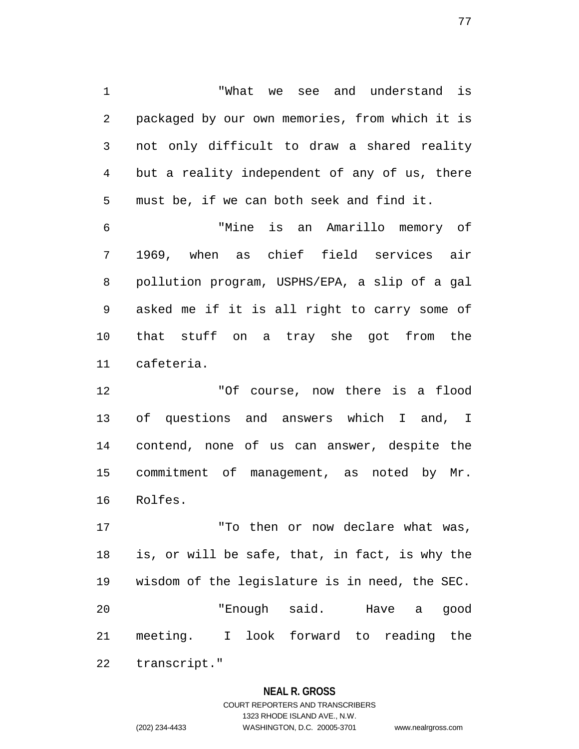1 "What we see and understand is 2 packaged by our own memories, from which it is 3 not only difficult to draw a shared reality 4 but a reality independent of any of us, there 5 must be, if we can both seek and find it.

6 "Mine is an Amarillo memory of 7 1969, when as chief field services air 8 pollution program, USPHS/EPA, a slip of a gal 9 asked me if it is all right to carry some of 10 that stuff on a tray she got from the 11 cafeteria.

12 "Of course, now there is a flood 13 of questions and answers which I and, I 14 contend, none of us can answer, despite the 15 commitment of management, as noted by Mr. 16 Rolfes.

17 To then or now declare what was, 18 is, or will be safe, that, in fact, is why the 19 wisdom of the legislature is in need, the SEC. 20 "Enough said. Have a good 21 meeting. I look forward to reading the 22 transcript."

### **NEAL R. GROSS**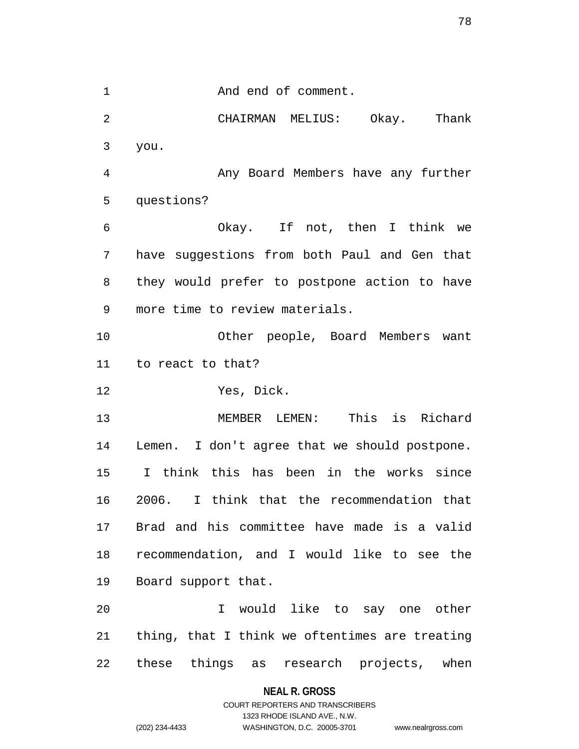1 And end of comment.

2 CHAIRMAN MELIUS: Okay. Thank 3 you. 4 Any Board Members have any further

5 questions?

6 Okay. If not, then I think we 7 have suggestions from both Paul and Gen that 8 they would prefer to postpone action to have 9 more time to review materials.

10 Other people, Board Members want 11 to react to that?

12 Yes, Dick.

13 MEMBER LEMEN: This is Richard 14 Lemen. I don't agree that we should postpone. 15 I think this has been in the works since 16 2006. I think that the recommendation that 17 Brad and his committee have made is a valid 18 recommendation, and I would like to see the 19 Board support that.

20 I would like to say one other 21 thing, that I think we oftentimes are treating 22 these things as research projects, when

### **NEAL R. GROSS**

# COURT REPORTERS AND TRANSCRIBERS 1323 RHODE ISLAND AVE., N.W. (202) 234-4433 WASHINGTON, D.C. 20005-3701 www.nealrgross.com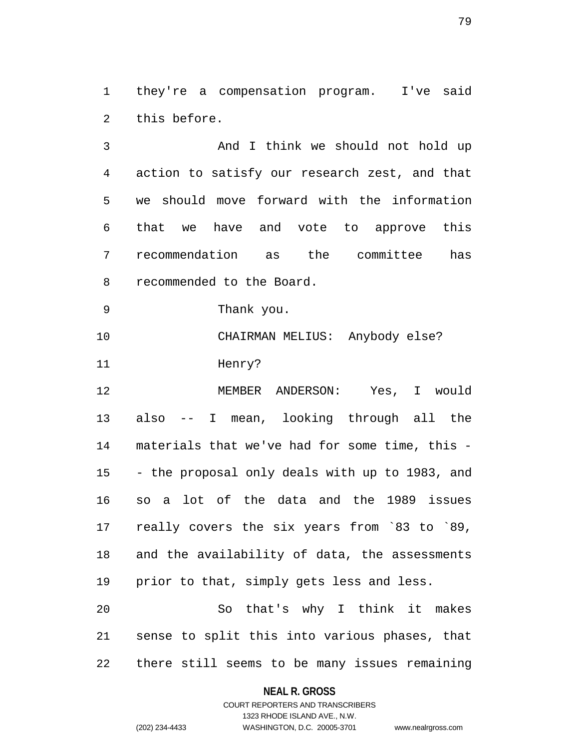1 they're a compensation program. I've said 2 this before.

3 And I think we should not hold up 4 action to satisfy our research zest, and that 5 we should move forward with the information 6 that we have and vote to approve this 7 recommendation as the committee has 8 recommended to the Board.

9 Thank you.

10 CHAIRMAN MELIUS: Anybody else? 11 Henry?

12 MEMBER ANDERSON: Yes, I would 13 also -- I mean, looking through all the 14 materials that we've had for some time, this - 15 - the proposal only deals with up to 1983, and 16 so a lot of the data and the 1989 issues 17 really covers the six years from `83 to `89, 18 and the availability of data, the assessments 19 prior to that, simply gets less and less. 20 So that's why I think it makes

21 sense to split this into various phases, that 22 there still seems to be many issues remaining

### **NEAL R. GROSS**

### COURT REPORTERS AND TRANSCRIBERS 1323 RHODE ISLAND AVE., N.W. (202) 234-4433 WASHINGTON, D.C. 20005-3701 www.nealrgross.com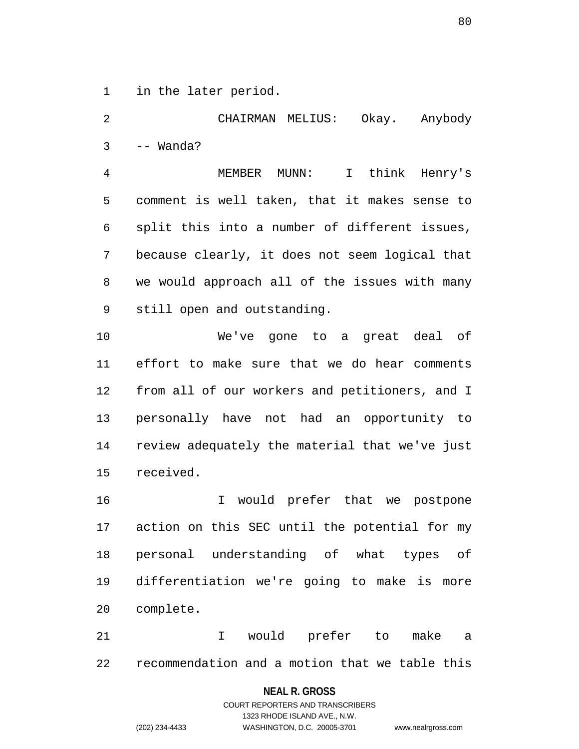1 in the later period.

2 CHAIRMAN MELIUS: Okay. Anybody 3 -- Wanda? 4 MEMBER MUNN: I think Henry's 5 comment is well taken, that it makes sense to 6 split this into a number of different issues, 7 because clearly, it does not seem logical that 8 we would approach all of the issues with many 9 still open and outstanding. 10 We've gone to a great deal of 11 effort to make sure that we do hear comments 12 from all of our workers and petitioners, and I 13 personally have not had an opportunity to 14 review adequately the material that we've just 15 received. 16 I would prefer that we postpone

17 action on this SEC until the potential for my 18 personal understanding of what types of 19 differentiation we're going to make is more 20 complete.

21 I would prefer to make a 22 recommendation and a motion that we table this

### **NEAL R. GROSS**

### COURT REPORTERS AND TRANSCRIBERS 1323 RHODE ISLAND AVE., N.W. (202) 234-4433 WASHINGTON, D.C. 20005-3701 www.nealrgross.com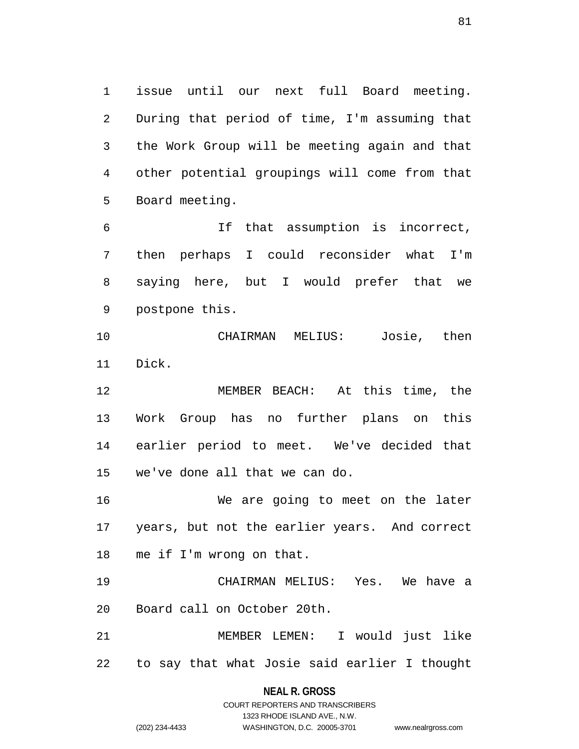1 issue until our next full Board meeting. 2 During that period of time, I'm assuming that 3 the Work Group will be meeting again and that 4 other potential groupings will come from that 5 Board meeting.

6 If that assumption is incorrect, 7 then perhaps I could reconsider what I'm 8 saying here, but I would prefer that we 9 postpone this.

10 CHAIRMAN MELIUS: Josie, then 11 Dick.

12 MEMBER BEACH: At this time, the 13 Work Group has no further plans on this 14 earlier period to meet. We've decided that 15 we've done all that we can do.

16 We are going to meet on the later 17 years, but not the earlier years. And correct 18 me if I'm wrong on that.

19 CHAIRMAN MELIUS: Yes. We have a 20 Board call on October 20th.

21 MEMBER LEMEN: I would just like 22 to say that what Josie said earlier I thought

> **NEAL R. GROSS** COURT REPORTERS AND TRANSCRIBERS

> > 1323 RHODE ISLAND AVE., N.W.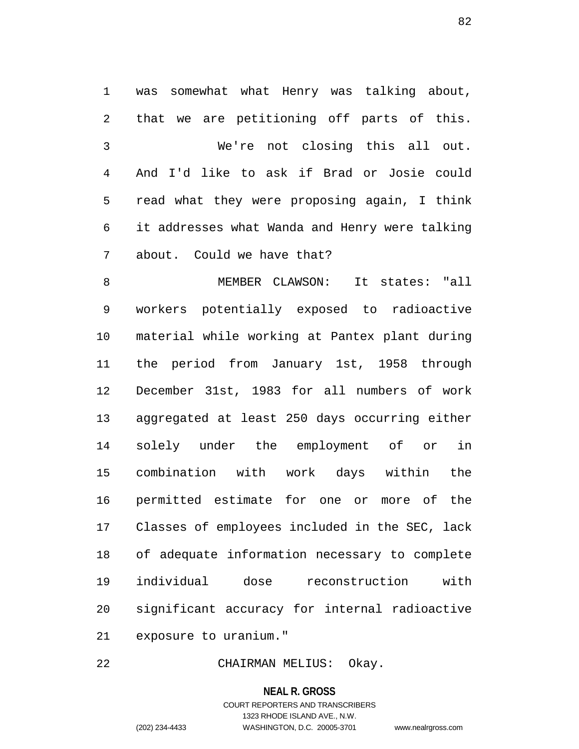1 was somewhat what Henry was talking about, 2 that we are petitioning off parts of this. 3 We're not closing this all out. 4 And I'd like to ask if Brad or Josie could 5 read what they were proposing again, I think 6 it addresses what Wanda and Henry were talking 7 about. Could we have that?

8 MEMBER CLAWSON: It states: "all 9 workers potentially exposed to radioactive 10 material while working at Pantex plant during 11 the period from January 1st, 1958 through 12 December 31st, 1983 for all numbers of work 13 aggregated at least 250 days occurring either 14 solely under the employment of or in 15 combination with work days within the 16 permitted estimate for one or more of the 17 Classes of employees included in the SEC, lack 18 of adequate information necessary to complete 19 individual dose reconstruction with 20 significant accuracy for internal radioactive 21 exposure to uranium."

22 CHAIRMAN MELIUS: Okay.

**NEAL R. GROSS** COURT REPORTERS AND TRANSCRIBERS 1323 RHODE ISLAND AVE., N.W. (202) 234-4433 WASHINGTON, D.C. 20005-3701 www.nealrgross.com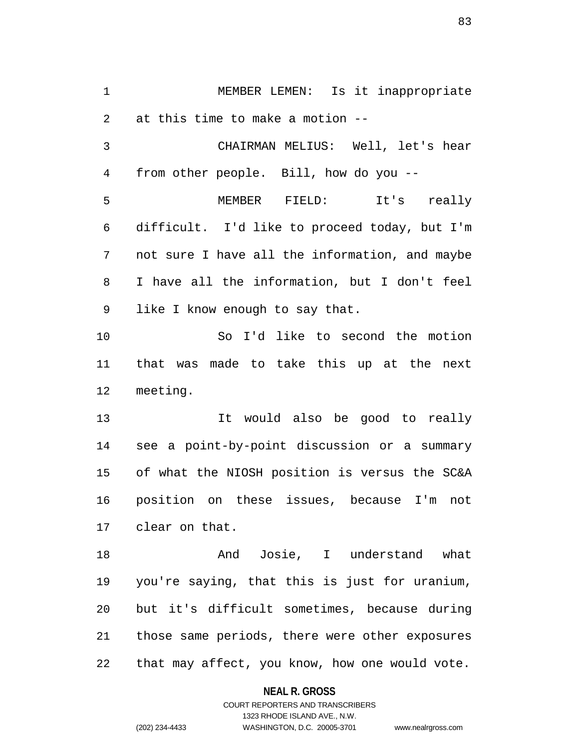1 MEMBER LEMEN: Is it inappropriate 2 at this time to make a motion -- 3 CHAIRMAN MELIUS: Well, let's hear

4 from other people. Bill, how do you --

5 MEMBER FIELD: It's really 6 difficult. I'd like to proceed today, but I'm 7 not sure I have all the information, and maybe 8 I have all the information, but I don't feel 9 like I know enough to say that.

10 So I'd like to second the motion 11 that was made to take this up at the next 12 meeting.

13 It would also be good to really 14 see a point-by-point discussion or a summary 15 of what the NIOSH position is versus the SC&A 16 position on these issues, because I'm not 17 clear on that.

18 And Josie, I understand what 19 you're saying, that this is just for uranium, 20 but it's difficult sometimes, because during 21 those same periods, there were other exposures 22 that may affect, you know, how one would vote.

#### **NEAL R. GROSS**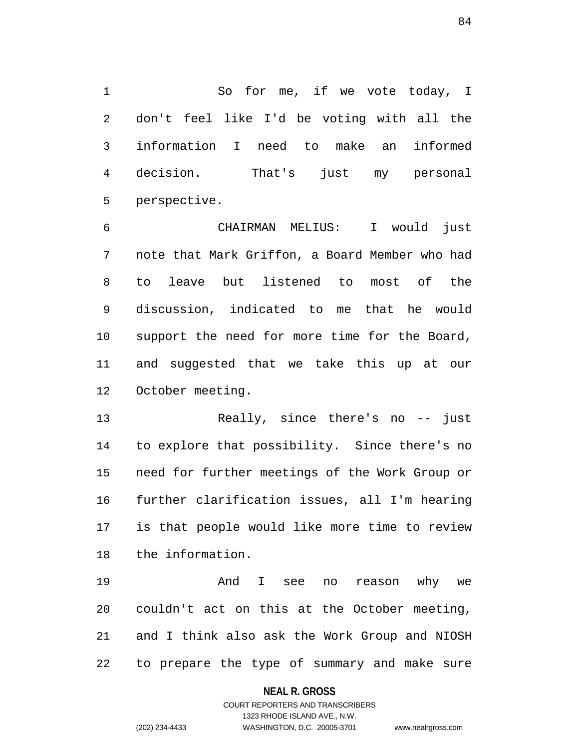1 So for me, if we vote today, I 2 don't feel like I'd be voting with all the 3 information I need to make an informed 4 decision. That's just my personal 5 perspective.

6 CHAIRMAN MELIUS: I would just 7 note that Mark Griffon, a Board Member who had 8 to leave but listened to most of the 9 discussion, indicated to me that he would 10 support the need for more time for the Board, 11 and suggested that we take this up at our 12 October meeting.

13 Really, since there's no -- just 14 to explore that possibility. Since there's no 15 need for further meetings of the Work Group or 16 further clarification issues, all I'm hearing 17 is that people would like more time to review 18 the information.

19 And I see no reason why we 20 couldn't act on this at the October meeting, 21 and I think also ask the Work Group and NIOSH 22 to prepare the type of summary and make sure

### **NEAL R. GROSS**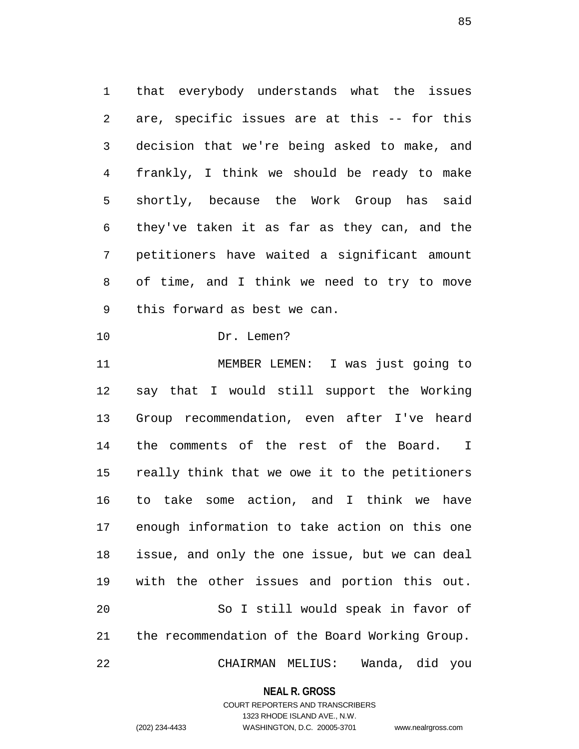1 that everybody understands what the issues 2 are, specific issues are at this -- for this 3 decision that we're being asked to make, and 4 frankly, I think we should be ready to make 5 shortly, because the Work Group has said 6 they've taken it as far as they can, and the 7 petitioners have waited a significant amount 8 of time, and I think we need to try to move 9 this forward as best we can.

10 Dr. Lemen?

11 MEMBER LEMEN: I was just going to 12 say that I would still support the Working 13 Group recommendation, even after I've heard 14 the comments of the rest of the Board. I 15 really think that we owe it to the petitioners 16 to take some action, and I think we have 17 enough information to take action on this one 18 issue, and only the one issue, but we can deal 19 with the other issues and portion this out. 20 So I still would speak in favor of 21 the recommendation of the Board Working Group. 22 CHAIRMAN MELIUS: Wanda, did you

#### **NEAL R. GROSS**

COURT REPORTERS AND TRANSCRIBERS 1323 RHODE ISLAND AVE., N.W. (202) 234-4433 WASHINGTON, D.C. 20005-3701 www.nealrgross.com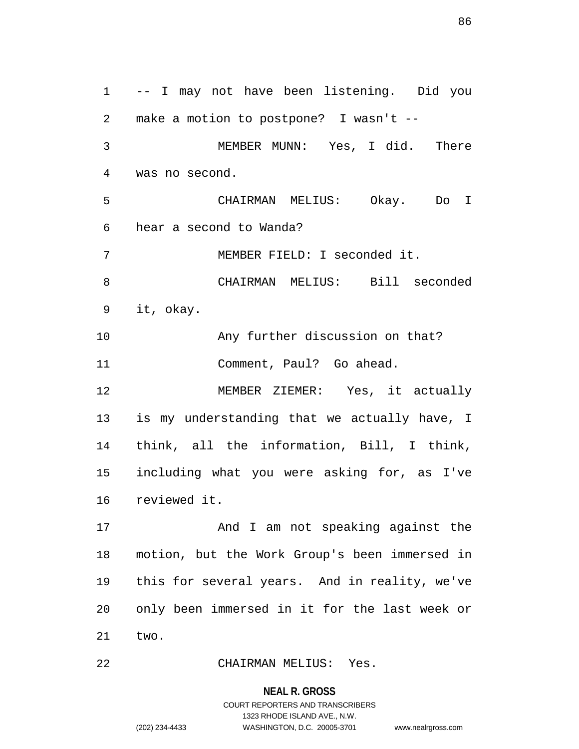1 -- I may not have been listening. Did you 2 make a motion to postpone? I wasn't -- 3 MEMBER MUNN: Yes, I did. There 4 was no second. 5 CHAIRMAN MELIUS: Okay. Do I 6 hear a second to Wanda? 7 MEMBER FIELD: I seconded it. 8 CHAIRMAN MELIUS: Bill seconded 9 it, okay. 10 Any further discussion on that? 11 Comment, Paul? Go ahead. 12 MEMBER ZIEMER: Yes, it actually 13 is my understanding that we actually have, I 14 think, all the information, Bill, I think, 15 including what you were asking for, as I've 16 reviewed it. 17 And I am not speaking against the 18 motion, but the Work Group's been immersed in 19 this for several years. And in reality, we've 20 only been immersed in it for the last week or 21 two.

22 CHAIRMAN MELIUS: Yes.

**NEAL R. GROSS** COURT REPORTERS AND TRANSCRIBERS 1323 RHODE ISLAND AVE., N.W.

(202) 234-4433 WASHINGTON, D.C. 20005-3701 www.nealrgross.com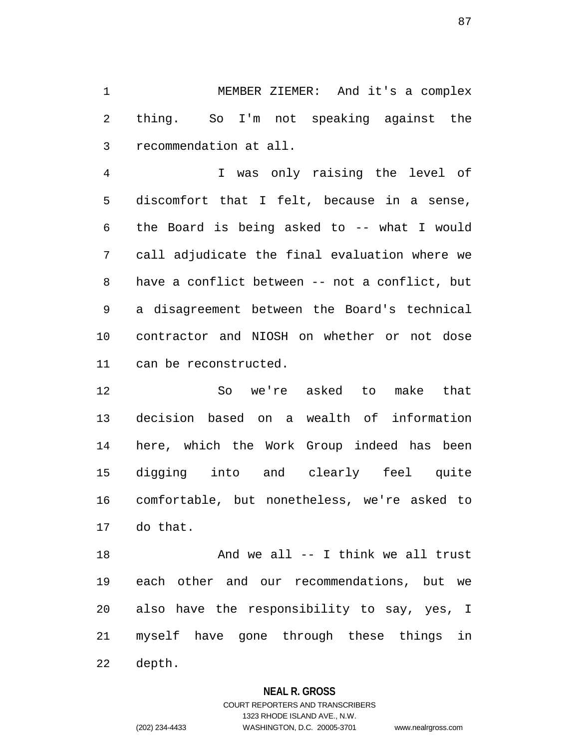1 MEMBER ZIEMER: And it's a complex 2 thing. So I'm not speaking against the 3 recommendation at all.

4 I was only raising the level of 5 discomfort that I felt, because in a sense, 6 the Board is being asked to -- what I would 7 call adjudicate the final evaluation where we 8 have a conflict between -- not a conflict, but 9 a disagreement between the Board's technical 10 contractor and NIOSH on whether or not dose 11 can be reconstructed.

12 So we're asked to make that 13 decision based on a wealth of information 14 here, which the Work Group indeed has been 15 digging into and clearly feel quite 16 comfortable, but nonetheless, we're asked to 17 do that.

18 And we all -- I think we all trust 19 each other and our recommendations, but we 20 also have the responsibility to say, yes, I 21 myself have gone through these things in 22 depth.

### **NEAL R. GROSS**

COURT REPORTERS AND TRANSCRIBERS 1323 RHODE ISLAND AVE., N.W. (202) 234-4433 WASHINGTON, D.C. 20005-3701 www.nealrgross.com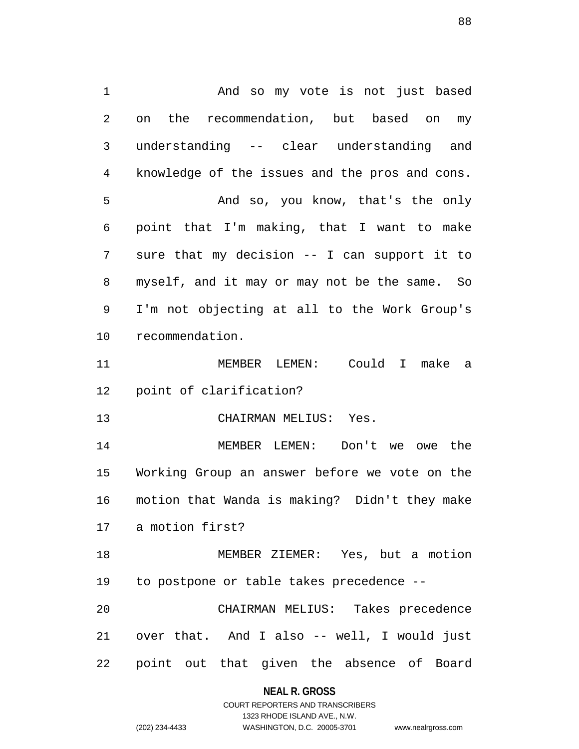1 And so my vote is not just based 2 on the recommendation, but based on my 3 understanding -- clear understanding and 4 knowledge of the issues and the pros and cons. 5 And so, you know, that's the only 6 point that I'm making, that I want to make 7 sure that my decision -- I can support it to 8 myself, and it may or may not be the same. So 9 I'm not objecting at all to the Work Group's 10 recommendation. 11 MEMBER LEMEN: Could I make a 12 point of clarification? 13 CHAIRMAN MELIUS: Yes. 14 MEMBER LEMEN: Don't we owe the 15 Working Group an answer before we vote on the 16 motion that Wanda is making? Didn't they make 17 a motion first? 18 MEMBER ZIEMER: Yes, but a motion 19 to postpone or table takes precedence -- 20 CHAIRMAN MELIUS: Takes precedence 21 over that. And I also -- well, I would just 22 point out that given the absence of Board

#### **NEAL R. GROSS**

COURT REPORTERS AND TRANSCRIBERS 1323 RHODE ISLAND AVE., N.W. (202) 234-4433 WASHINGTON, D.C. 20005-3701 www.nealrgross.com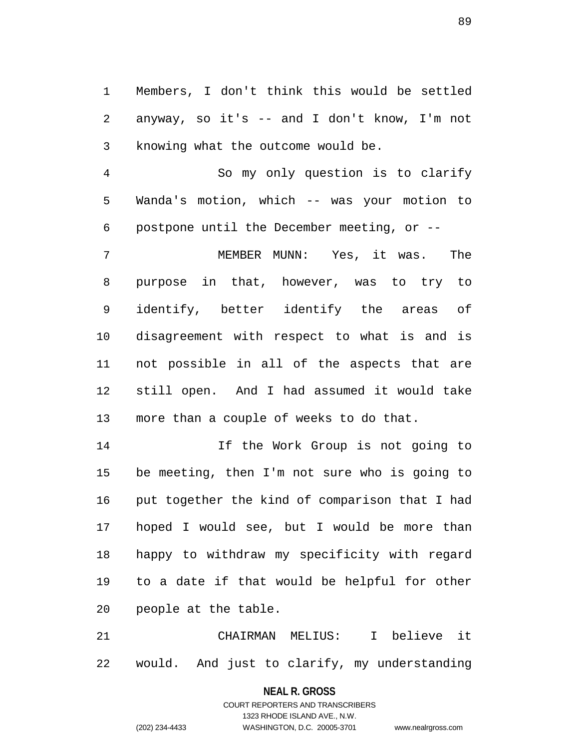1 Members, I don't think this would be settled 2 anyway, so it's -- and I don't know, I'm not 3 knowing what the outcome would be.

4 So my only question is to clarify 5 Wanda's motion, which -- was your motion to 6 postpone until the December meeting, or --

7 MEMBER MUNN: Yes, it was. The 8 purpose in that, however, was to try to 9 identify, better identify the areas of 10 disagreement with respect to what is and is 11 not possible in all of the aspects that are 12 still open. And I had assumed it would take 13 more than a couple of weeks to do that.

14 If the Work Group is not going to 15 be meeting, then I'm not sure who is going to 16 put together the kind of comparison that I had 17 hoped I would see, but I would be more than 18 happy to withdraw my specificity with regard 19 to a date if that would be helpful for other 20 people at the table.

21 CHAIRMAN MELIUS: I believe it 22 would. And just to clarify, my understanding

**NEAL R. GROSS**

COURT REPORTERS AND TRANSCRIBERS 1323 RHODE ISLAND AVE., N.W. (202) 234-4433 WASHINGTON, D.C. 20005-3701 www.nealrgross.com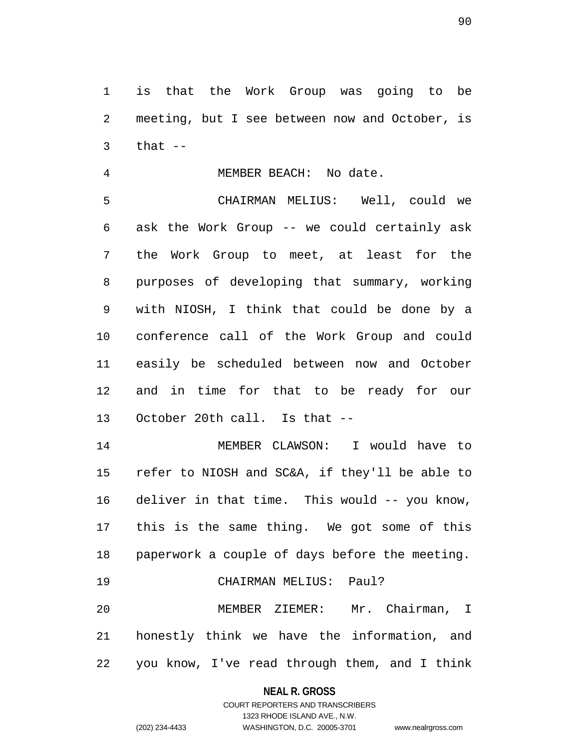1 is that the Work Group was going to be 2 meeting, but I see between now and October, is  $3$  that  $-$ 

4 MEMBER BEACH: No date.

5 CHAIRMAN MELIUS: Well, could we 6 ask the Work Group -- we could certainly ask 7 the Work Group to meet, at least for the 8 purposes of developing that summary, working 9 with NIOSH, I think that could be done by a 10 conference call of the Work Group and could 11 easily be scheduled between now and October 12 and in time for that to be ready for our 13 October 20th call. Is that --

14 MEMBER CLAWSON: I would have to 15 refer to NIOSH and SC&A, if they'll be able to 16 deliver in that time. This would -- you know, 17 this is the same thing. We got some of this 18 paperwork a couple of days before the meeting.

19 CHAIRMAN MELIUS: Paul?

20 MEMBER ZIEMER: Mr. Chairman, I 21 honestly think we have the information, and 22 you know, I've read through them, and I think

**NEAL R. GROSS**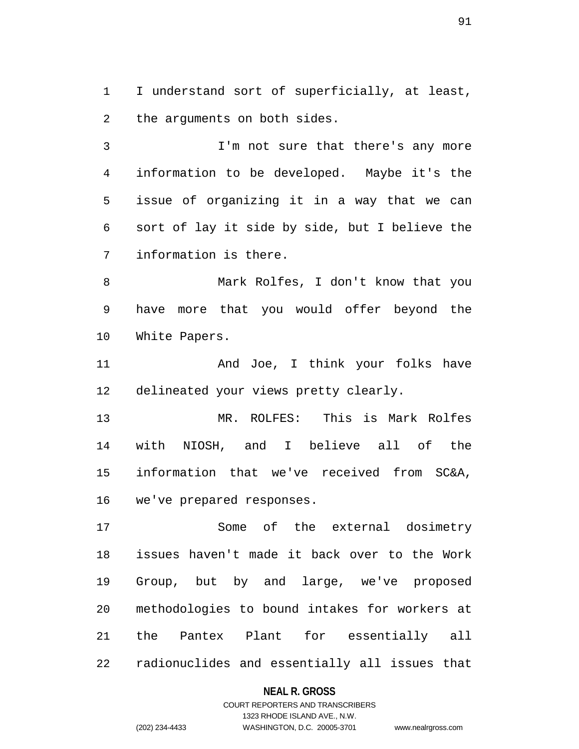1 I understand sort of superficially, at least, 2 the arguments on both sides.

3 I'm not sure that there's any more 4 information to be developed. Maybe it's the 5 issue of organizing it in a way that we can 6 sort of lay it side by side, but I believe the 7 information is there.

8 Mark Rolfes, I don't know that you 9 have more that you would offer beyond the 10 White Papers.

11 And Joe, I think your folks have 12 delineated your views pretty clearly.

13 MR. ROLFES: This is Mark Rolfes 14 with NIOSH, and I believe all of the 15 information that we've received from SC&A, 16 we've prepared responses.

17 Some of the external dosimetry 18 issues haven't made it back over to the Work 19 Group, but by and large, we've proposed 20 methodologies to bound intakes for workers at 21 the Pantex Plant for essentially all 22 radionuclides and essentially all issues that

### **NEAL R. GROSS**

### COURT REPORTERS AND TRANSCRIBERS 1323 RHODE ISLAND AVE., N.W. (202) 234-4433 WASHINGTON, D.C. 20005-3701 www.nealrgross.com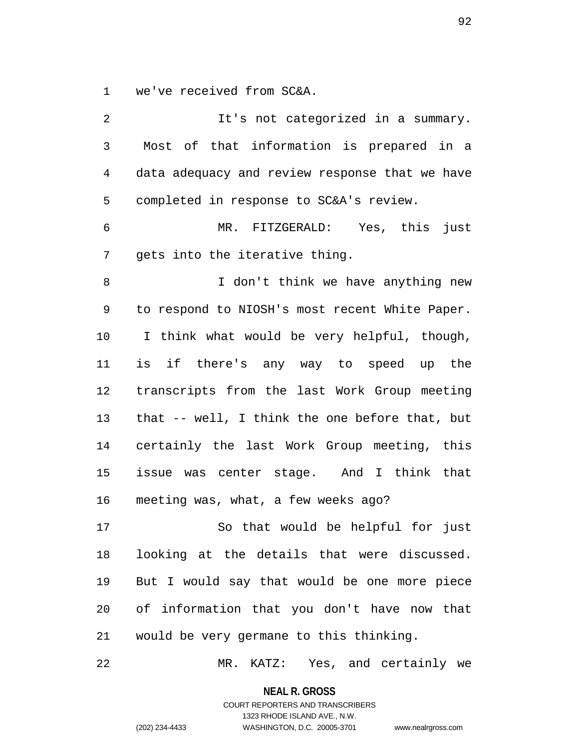1 we've received from SC&A.

2 It's not categorized in a summary. 3 Most of that information is prepared in a 4 data adequacy and review response that we have 5 completed in response to SC&A's review. 6 MR. FITZGERALD: Yes, this just 7 gets into the iterative thing. 8 I don't think we have anything new 9 to respond to NIOSH's most recent White Paper. 10 I think what would be very helpful, though, 11 is if there's any way to speed up the 12 transcripts from the last Work Group meeting 13 that -- well, I think the one before that, but 14 certainly the last Work Group meeting, this 15 issue was center stage. And I think that 16 meeting was, what, a few weeks ago? 17 So that would be helpful for just 18 looking at the details that were discussed. 19 But I would say that would be one more piece 20 of information that you don't have now that 21 would be very germane to this thinking.

22 MR. KATZ: Yes, and certainly we

**NEAL R. GROSS** COURT REPORTERS AND TRANSCRIBERS

1323 RHODE ISLAND AVE., N.W.

(202) 234-4433 WASHINGTON, D.C. 20005-3701 www.nealrgross.com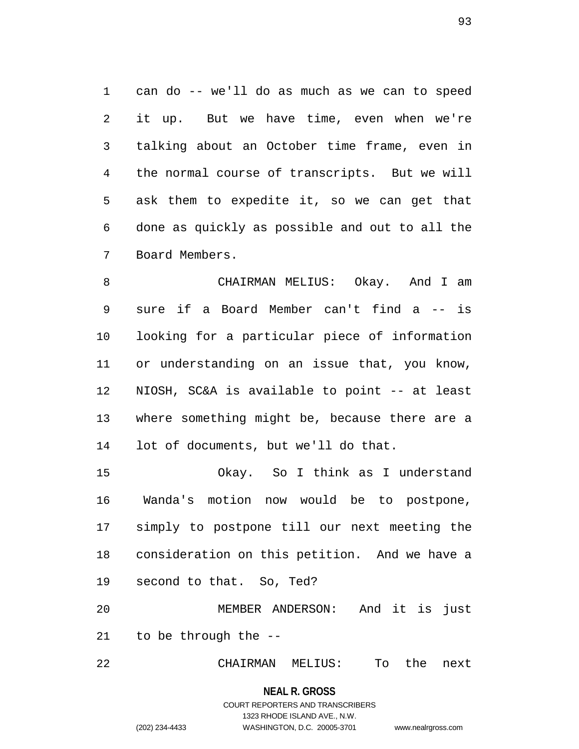1 can do -- we'll do as much as we can to speed 2 it up. But we have time, even when we're 3 talking about an October time frame, even in 4 the normal course of transcripts. But we will 5 ask them to expedite it, so we can get that 6 done as quickly as possible and out to all the 7 Board Members.

8 CHAIRMAN MELIUS: Okay. And I am 9 sure if a Board Member can't find a -- is 10 looking for a particular piece of information 11 or understanding on an issue that, you know, 12 NIOSH, SC&A is available to point -- at least 13 where something might be, because there are a 14 lot of documents, but we'll do that.

15 Okay. So I think as I understand 16 Wanda's motion now would be to postpone, 17 simply to postpone till our next meeting the 18 consideration on this petition. And we have a 19 second to that. So, Ted?

20 MEMBER ANDERSON: And it is just 21 to be through the --

22 CHAIRMAN MELIUS: To the next

**NEAL R. GROSS**

### COURT REPORTERS AND TRANSCRIBERS 1323 RHODE ISLAND AVE., N.W. (202) 234-4433 WASHINGTON, D.C. 20005-3701 www.nealrgross.com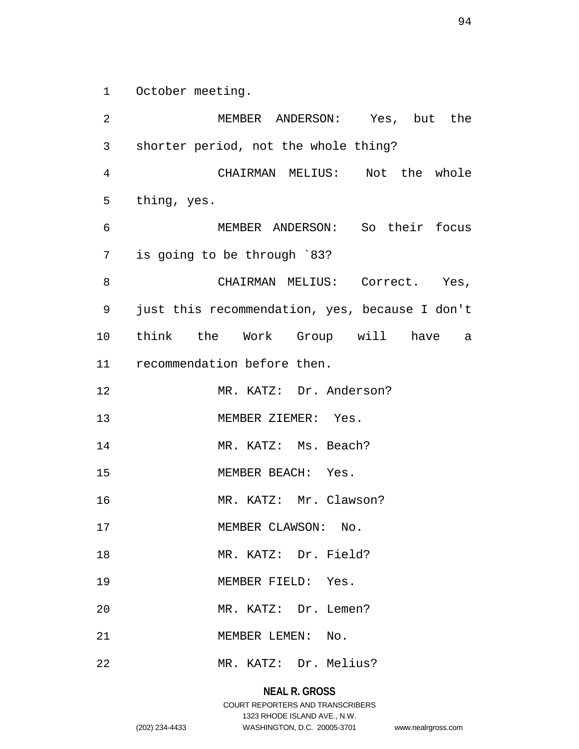1 October meeting.

2 MEMBER ANDERSON: Yes, but the 3 shorter period, not the whole thing? 4 CHAIRMAN MELIUS: Not the whole 5 thing, yes. 6 MEMBER ANDERSON: So their focus 7 is going to be through `83? 8 CHAIRMAN MELIUS: Correct. Yes, 9 just this recommendation, yes, because I don't 10 think the Work Group will have a 11 recommendation before then. 12 MR. KATZ: Dr. Anderson? 13 MEMBER ZIEMER: Yes. 14 MR. KATZ: Ms. Beach? 15 MEMBER BEACH: Yes. 16 MR. KATZ: Mr. Clawson? 17 MEMBER CLAWSON: No. 18 MR. KATZ: Dr. Field? 19 MEMBER FIELD: Yes. 20 MR. KATZ: Dr. Lemen? 21 MEMBER LEMEN: No. 22 MR. KATZ: Dr. Melius?

# **NEAL R. GROSS**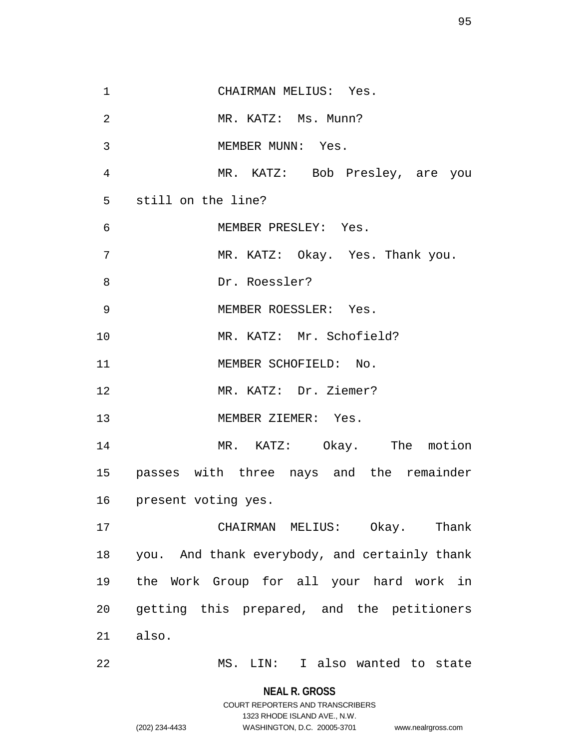| $\mathbf{1}$   | CHAIRMAN MELIUS: Yes.                         |
|----------------|-----------------------------------------------|
| $\overline{2}$ | MR. KATZ: Ms. Munn?                           |
| 3              | MEMBER MUNN: Yes.                             |
| 4              | MR. KATZ: Bob Presley, are you                |
| 5              | still on the line?                            |
| $\epsilon$     | MEMBER PRESLEY: Yes.                          |
| 7              | MR. KATZ: Okay. Yes. Thank you.               |
| 8              | Dr. Roessler?                                 |
| 9              | MEMBER ROESSLER: Yes.                         |
| 10             | MR. KATZ: Mr. Schofield?                      |
| 11             | MEMBER SCHOFIELD: No.                         |
| 12             | MR. KATZ: Dr. Ziemer?                         |
| 13             | MEMBER ZIEMER: Yes.                           |
| 14             | MR. KATZ: Okay. The motion                    |
|                | 15 passes with three nays and the remainder   |
| 16             | present voting yes.                           |
| 17             | CHAIRMAN MELIUS: Okay. Thank                  |
| 18             | you. And thank everybody, and certainly thank |
| 19             | the Work Group for all your hard work in      |
| 20             | getting this prepared, and the petitioners    |
| 21             | also.                                         |
| 22             | I also wanted to state<br>MS. LIN:            |

**NEAL R. GROSS** COURT REPORTERS AND TRANSCRIBERS

1323 RHODE ISLAND AVE., N.W.

(202) 234-4433 WASHINGTON, D.C. 20005-3701 www.nealrgross.com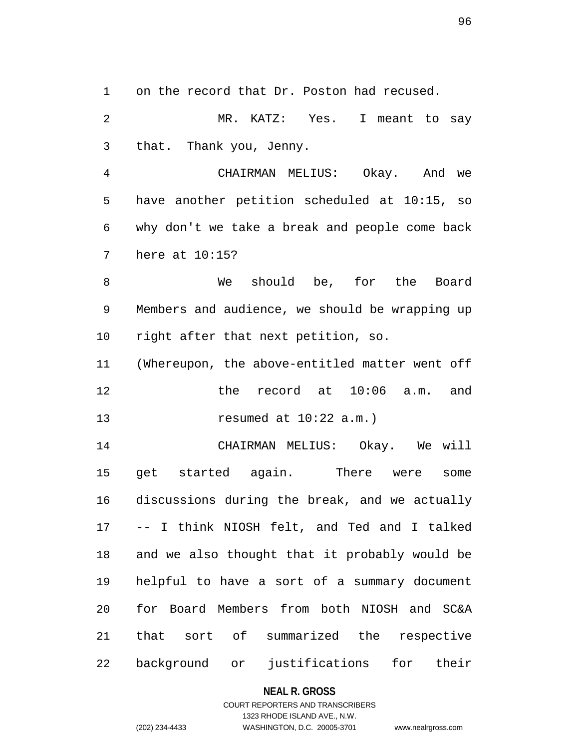1 on the record that Dr. Poston had recused.

2 MR. KATZ: Yes. I meant to say 3 that. Thank you, Jenny.

4 CHAIRMAN MELIUS: Okay. And we 5 have another petition scheduled at 10:15, so 6 why don't we take a break and people come back 7 here at 10:15?

8 We should be, for the Board 9 Members and audience, we should be wrapping up 10 right after that next petition, so.

11 (Whereupon, the above-entitled matter went off 12 the record at 10:06 a.m. and 13 resumed at 10:22 a.m.)

14 CHAIRMAN MELIUS: Okay. We will 15 get started again. There were some 16 discussions during the break, and we actually 17 -- I think NIOSH felt, and Ted and I talked 18 and we also thought that it probably would be 19 helpful to have a sort of a summary document 20 for Board Members from both NIOSH and SC&A 21 that sort of summarized the respective 22 background or justifications for their

### **NEAL R. GROSS**

### COURT REPORTERS AND TRANSCRIBERS 1323 RHODE ISLAND AVE., N.W. (202) 234-4433 WASHINGTON, D.C. 20005-3701 www.nealrgross.com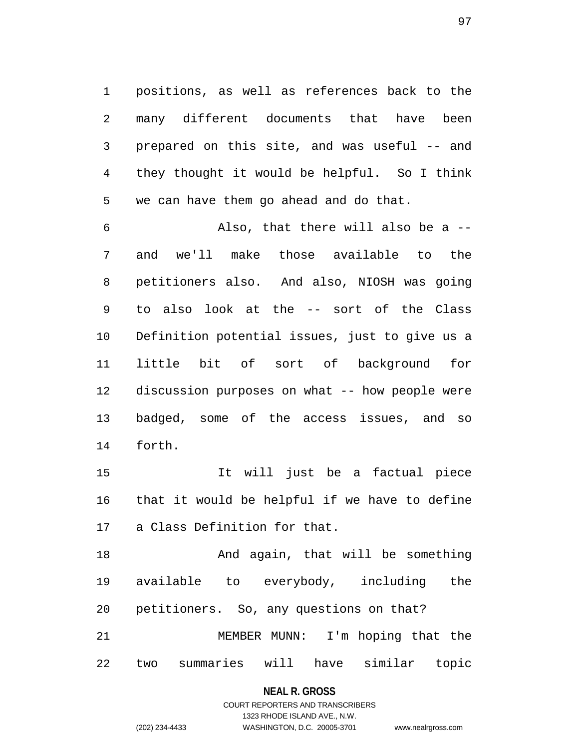1 positions, as well as references back to the 2 many different documents that have been 3 prepared on this site, and was useful -- and 4 they thought it would be helpful. So I think 5 we can have them go ahead and do that.

6 Also, that there will also be a -- 7 and we'll make those available to the 8 petitioners also. And also, NIOSH was going 9 to also look at the -- sort of the Class 10 Definition potential issues, just to give us a 11 little bit of sort of background for 12 discussion purposes on what -- how people were 13 badged, some of the access issues, and so 14 forth.

15 It will just be a factual piece 16 that it would be helpful if we have to define 17 a Class Definition for that.

18 And again, that will be something 19 available to everybody, including the 20 petitioners. So, any questions on that? 21 MEMBER MUNN: I'm hoping that the 22 two summaries will have similar topic

**NEAL R. GROSS**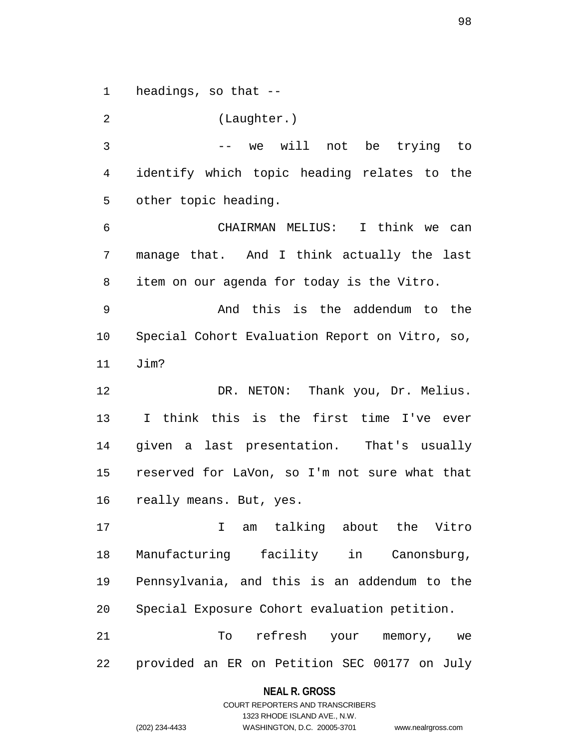1 headings, so that --

2 (Laughter.) 3 -- we will not be trying to 4 identify which topic heading relates to the 5 other topic heading. 6 CHAIRMAN MELIUS: I think we can 7 manage that. And I think actually the last 8 item on our agenda for today is the Vitro. 9 And this is the addendum to the 10 Special Cohort Evaluation Report on Vitro, so, 11 Jim? 12 DR. NETON: Thank you, Dr. Melius. 13 I think this is the first time I've ever 14 given a last presentation. That's usually 15 reserved for LaVon, so I'm not sure what that 16 really means. But, yes.

17 I am talking about the Vitro 18 Manufacturing facility in Canonsburg, 19 Pennsylvania, and this is an addendum to the 20 Special Exposure Cohort evaluation petition.

21 To refresh your memory, we 22 provided an ER on Petition SEC 00177 on July

### **NEAL R. GROSS** COURT REPORTERS AND TRANSCRIBERS

1323 RHODE ISLAND AVE., N.W.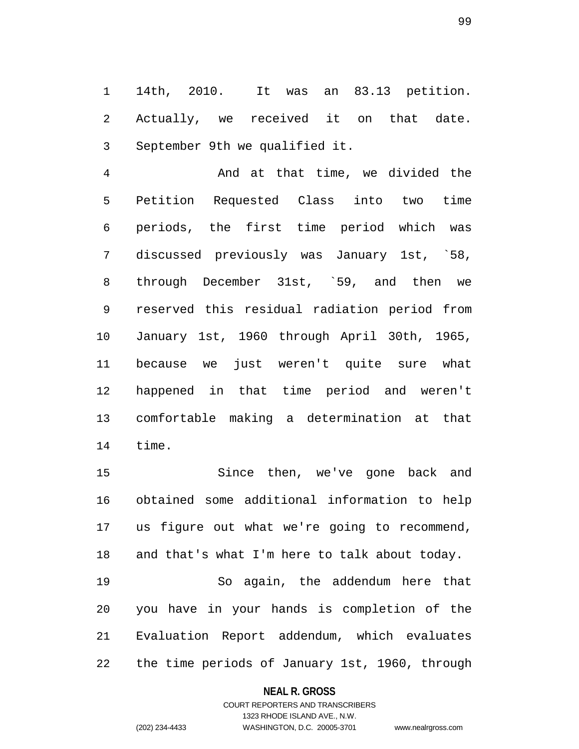1 14th, 2010. It was an 83.13 petition. 2 Actually, we received it on that date. 3 September 9th we qualified it.

4 And at that time, we divided the 5 Petition Requested Class into two time 6 periods, the first time period which was 7 discussed previously was January 1st, `58, 8 through December 31st, `59, and then we 9 reserved this residual radiation period from 10 January 1st, 1960 through April 30th, 1965, 11 because we just weren't quite sure what 12 happened in that time period and weren't 13 comfortable making a determination at that 14 time.

15 Since then, we've gone back and 16 obtained some additional information to help 17 us figure out what we're going to recommend, 18 and that's what I'm here to talk about today. 19 So again, the addendum here that 20 you have in your hands is completion of the 21 Evaluation Report addendum, which evaluates 22 the time periods of January 1st, 1960, through

### **NEAL R. GROSS**

COURT REPORTERS AND TRANSCRIBERS 1323 RHODE ISLAND AVE., N.W. (202) 234-4433 WASHINGTON, D.C. 20005-3701 www.nealrgross.com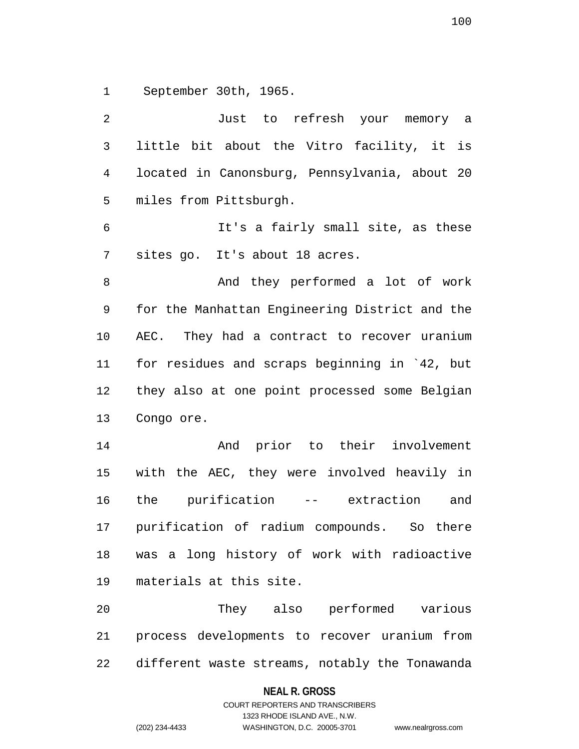1 September 30th, 1965.

2 Just to refresh your memory a 3 little bit about the Vitro facility, it is 4 located in Canonsburg, Pennsylvania, about 20 5 miles from Pittsburgh. 6 It's a fairly small site, as these 7 sites go. It's about 18 acres. 8 And they performed a lot of work 9 for the Manhattan Engineering District and the 10 AEC. They had a contract to recover uranium 11 for residues and scraps beginning in `42, but 12 they also at one point processed some Belgian 13 Congo ore. 14 And prior to their involvement 15 with the AEC, they were involved heavily in 16 the purification -- extraction and 17 purification of radium compounds. So there 18 was a long history of work with radioactive 19 materials at this site. 20 They also performed various 21 process developments to recover uranium from 22 different waste streams, notably the Tonawanda

**NEAL R. GROSS**

COURT REPORTERS AND TRANSCRIBERS 1323 RHODE ISLAND AVE., N.W. (202) 234-4433 WASHINGTON, D.C. 20005-3701 www.nealrgross.com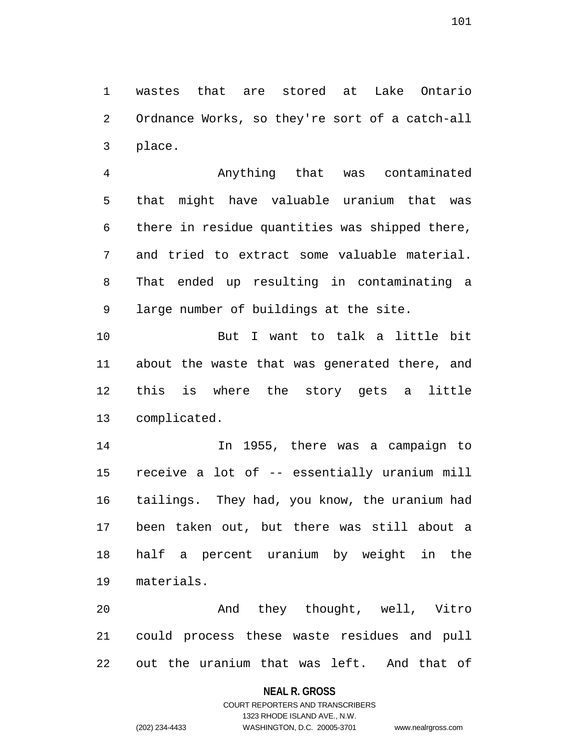1 wastes that are stored at Lake Ontario 2 Ordnance Works, so they're sort of a catch-all 3 place.

4 Anything that was contaminated 5 that might have valuable uranium that was 6 there in residue quantities was shipped there, 7 and tried to extract some valuable material. 8 That ended up resulting in contaminating a 9 large number of buildings at the site.

10 But I want to talk a little bit 11 about the waste that was generated there, and 12 this is where the story gets a little 13 complicated.

14 In 1955, there was a campaign to 15 receive a lot of -- essentially uranium mill 16 tailings. They had, you know, the uranium had 17 been taken out, but there was still about a 18 half a percent uranium by weight in the 19 materials.

20 And they thought, well, Vitro 21 could process these waste residues and pull 22 out the uranium that was left. And that of

### **NEAL R. GROSS**

# COURT REPORTERS AND TRANSCRIBERS 1323 RHODE ISLAND AVE., N.W. (202) 234-4433 WASHINGTON, D.C. 20005-3701 www.nealrgross.com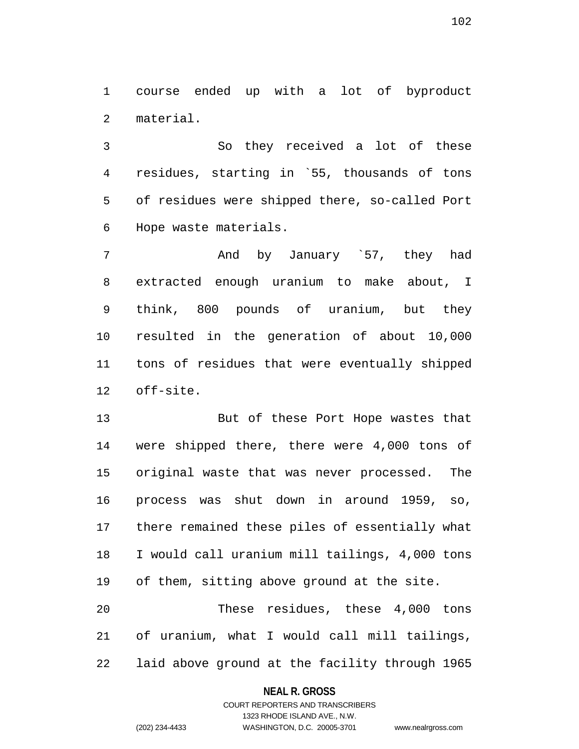1 course ended up with a lot of byproduct 2 material.

3 So they received a lot of these 4 residues, starting in `55, thousands of tons 5 of residues were shipped there, so-called Port 6 Hope waste materials.

7 And by January `57, they had 8 extracted enough uranium to make about, I 9 think, 800 pounds of uranium, but they 10 resulted in the generation of about 10,000 11 tons of residues that were eventually shipped 12 off-site.

13 But of these Port Hope wastes that 14 were shipped there, there were 4,000 tons of 15 original waste that was never processed. The 16 process was shut down in around 1959, so, 17 there remained these piles of essentially what 18 I would call uranium mill tailings, 4,000 tons 19 of them, sitting above ground at the site. 20 These residues, these 4,000 tons

22 laid above ground at the facility through 1965

21 of uranium, what I would call mill tailings,

#### **NEAL R. GROSS**

COURT REPORTERS AND TRANSCRIBERS 1323 RHODE ISLAND AVE., N.W. (202) 234-4433 WASHINGTON, D.C. 20005-3701 www.nealrgross.com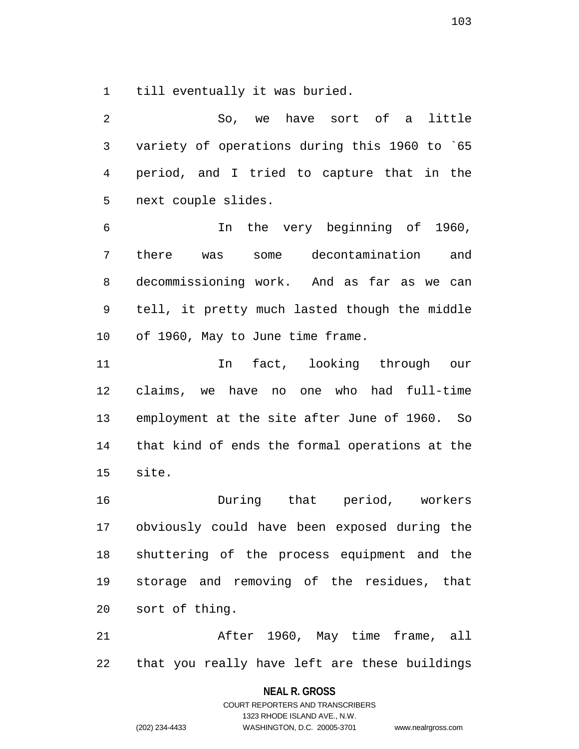1 till eventually it was buried.

2 So, we have sort of a little 3 variety of operations during this 1960 to `65 4 period, and I tried to capture that in the 5 next couple slides.

6 In the very beginning of 1960, 7 there was some decontamination and 8 decommissioning work. And as far as we can 9 tell, it pretty much lasted though the middle 10 of 1960, May to June time frame.

11 In fact, looking through our 12 claims, we have no one who had full-time 13 employment at the site after June of 1960. So 14 that kind of ends the formal operations at the 15 site.

16 During that period, workers 17 obviously could have been exposed during the 18 shuttering of the process equipment and the 19 storage and removing of the residues, that 20 sort of thing.

21 After 1960, May time frame, all 22 that you really have left are these buildings

> **NEAL R. GROSS** COURT REPORTERS AND TRANSCRIBERS 1323 RHODE ISLAND AVE., N.W. (202) 234-4433 WASHINGTON, D.C. 20005-3701 www.nealrgross.com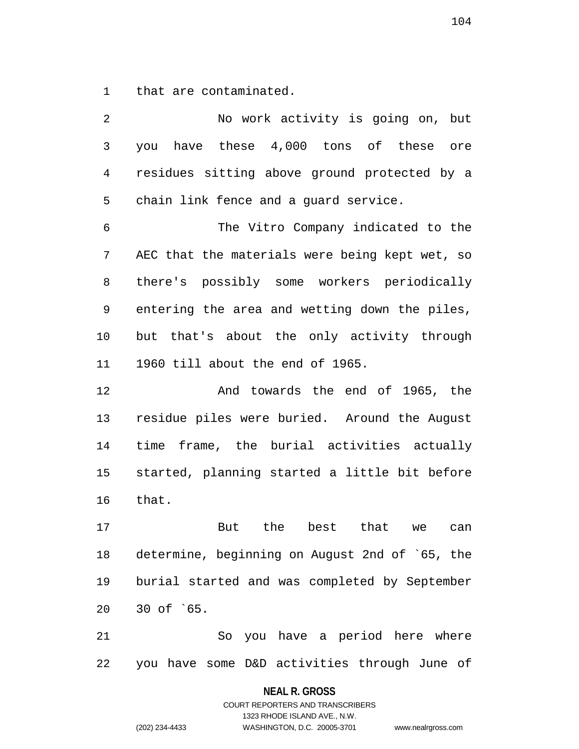1 that are contaminated.

2 No work activity is going on, but 3 you have these 4,000 tons of these ore 4 residues sitting above ground protected by a 5 chain link fence and a guard service. 6 The Vitro Company indicated to the 7 AEC that the materials were being kept wet, so 8 there's possibly some workers periodically 9 entering the area and wetting down the piles, 10 but that's about the only activity through 11 1960 till about the end of 1965. 12 And towards the end of 1965, the 13 residue piles were buried. Around the August 14 time frame, the burial activities actually 15 started, planning started a little bit before 16 that. 17 But the best that we can 18 determine, beginning on August 2nd of `65, the 19 burial started and was completed by September 20 30 of `65.

21 So you have a period here where 22 you have some D&D activities through June of

### **NEAL R. GROSS**

COURT REPORTERS AND TRANSCRIBERS 1323 RHODE ISLAND AVE., N.W. (202) 234-4433 WASHINGTON, D.C. 20005-3701 www.nealrgross.com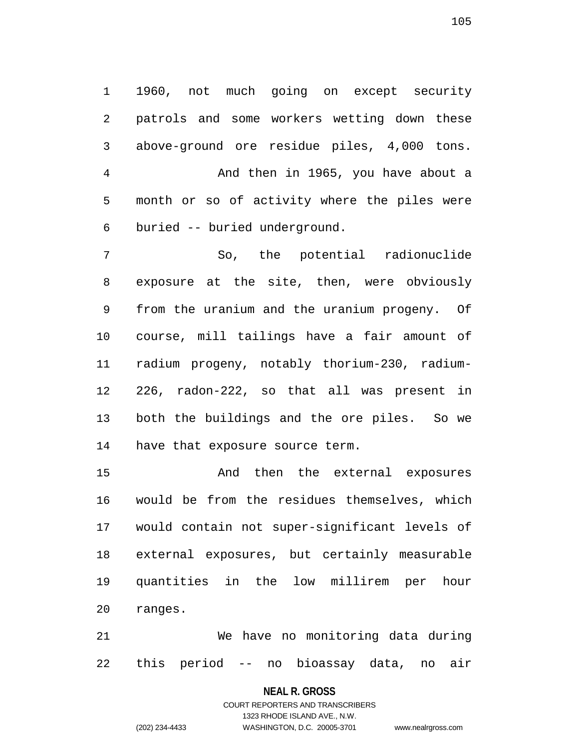1 1960, not much going on except security 2 patrols and some workers wetting down these 3 above-ground ore residue piles, 4,000 tons. 4 And then in 1965, you have about a 5 month or so of activity where the piles were 6 buried -- buried underground.

7 So, the potential radionuclide 8 exposure at the site, then, were obviously 9 from the uranium and the uranium progeny. Of 10 course, mill tailings have a fair amount of 11 radium progeny, notably thorium-230, radium-12 226, radon-222, so that all was present in 13 both the buildings and the ore piles. So we 14 have that exposure source term.

15 And then the external exposures 16 would be from the residues themselves, which 17 would contain not super-significant levels of 18 external exposures, but certainly measurable 19 quantities in the low millirem per hour 20 ranges.

21 We have no monitoring data during 22 this period -- no bioassay data, no air

**NEAL R. GROSS**

COURT REPORTERS AND TRANSCRIBERS 1323 RHODE ISLAND AVE., N.W. (202) 234-4433 WASHINGTON, D.C. 20005-3701 www.nealrgross.com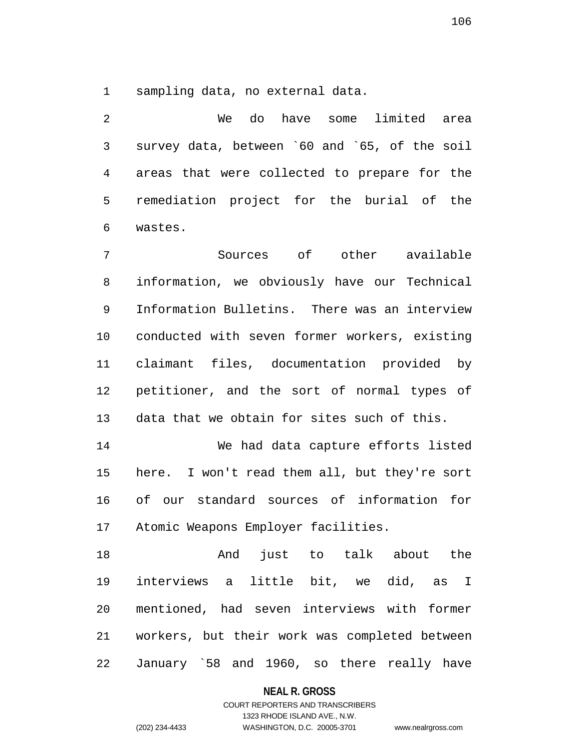1 sampling data, no external data.

2 We do have some limited area 3 survey data, between `60 and `65, of the soil 4 areas that were collected to prepare for the 5 remediation project for the burial of the 6 wastes.

7 Sources of other available 8 information, we obviously have our Technical 9 Information Bulletins. There was an interview 10 conducted with seven former workers, existing 11 claimant files, documentation provided by 12 petitioner, and the sort of normal types of 13 data that we obtain for sites such of this.

14 We had data capture efforts listed 15 here. I won't read them all, but they're sort 16 of our standard sources of information for 17 Atomic Weapons Employer facilities.

18 And just to talk about the 19 interviews a little bit, we did, as I 20 mentioned, had seven interviews with former 21 workers, but their work was completed between 22 January `58 and 1960, so there really have

**NEAL R. GROSS**

# COURT REPORTERS AND TRANSCRIBERS 1323 RHODE ISLAND AVE., N.W. (202) 234-4433 WASHINGTON, D.C. 20005-3701 www.nealrgross.com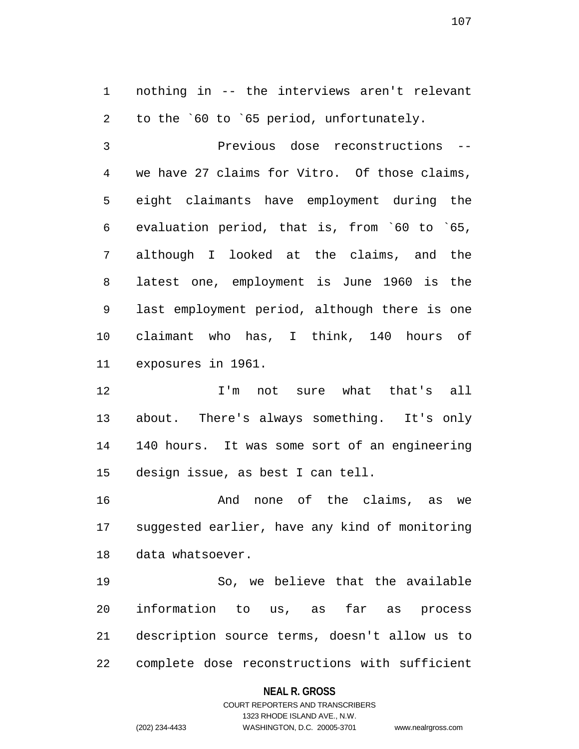1 nothing in -- the interviews aren't relevant 2 to the `60 to `65 period, unfortunately.

3 Previous dose reconstructions -- 4 we have 27 claims for Vitro. Of those claims, 5 eight claimants have employment during the 6 evaluation period, that is, from `60 to `65, 7 although I looked at the claims, and the 8 latest one, employment is June 1960 is the 9 last employment period, although there is one 10 claimant who has, I think, 140 hours of 11 exposures in 1961.

12 I'm not sure what that's all 13 about. There's always something. It's only 14 140 hours. It was some sort of an engineering 15 design issue, as best I can tell.

16 And none of the claims, as we 17 suggested earlier, have any kind of monitoring 18 data whatsoever.

19 So, we believe that the available 20 information to us, as far as process 21 description source terms, doesn't allow us to 22 complete dose reconstructions with sufficient

### **NEAL R. GROSS**

# COURT REPORTERS AND TRANSCRIBERS 1323 RHODE ISLAND AVE., N.W. (202) 234-4433 WASHINGTON, D.C. 20005-3701 www.nealrgross.com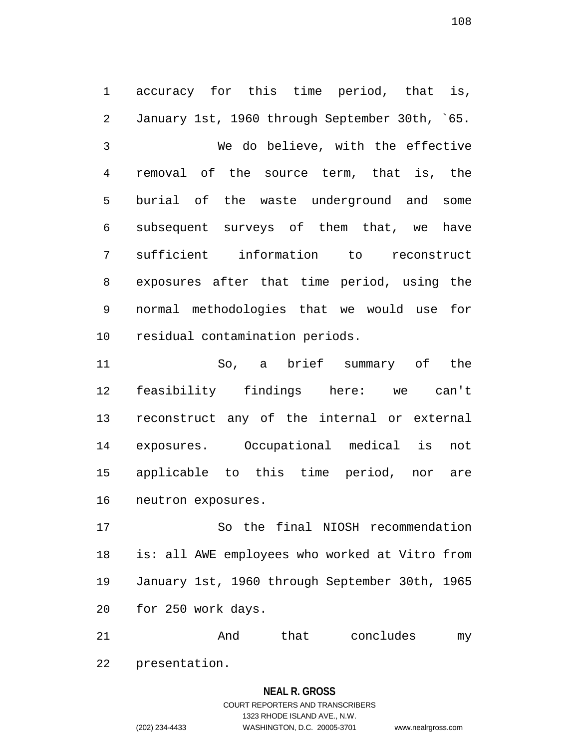1 accuracy for this time period, that is, 2 January 1st, 1960 through September 30th, `65. 3 We do believe, with the effective 4 removal of the source term, that is, the 5 burial of the waste underground and some 6 subsequent surveys of them that, we have 7 sufficient information to reconstruct 8 exposures after that time period, using the 9 normal methodologies that we would use for 10 residual contamination periods.

11 So, a brief summary of the 12 feasibility findings here: we can't 13 reconstruct any of the internal or external 14 exposures. Occupational medical is not 15 applicable to this time period, nor are 16 neutron exposures.

17 So the final NIOSH recommendation 18 is: all AWE employees who worked at Vitro from 19 January 1st, 1960 through September 30th, 1965 20 for 250 work days.

21 and that concludes my 22 presentation.

### **NEAL R. GROSS**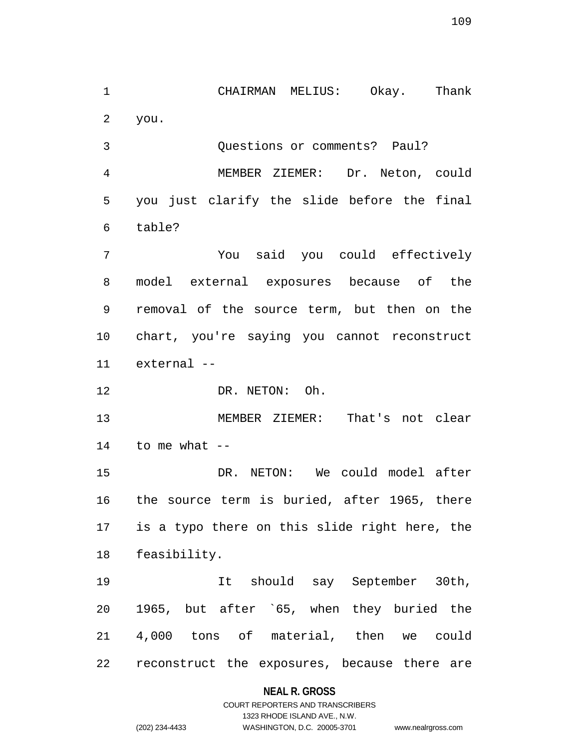1 CHAIRMAN MELIUS: Okay. Thank 2 you.

3 Questions or comments? Paul? 4 MEMBER ZIEMER: Dr. Neton, could 5 you just clarify the slide before the final 6 table?

7 You said you could effectively 8 model external exposures because of the 9 removal of the source term, but then on the 10 chart, you're saying you cannot reconstruct 11 external --

12 DR. NETON: Oh.

13 MEMBER ZIEMER: That's not clear  $14$  to me what  $-$ 

15 DR. NETON: We could model after 16 the source term is buried, after 1965, there 17 is a typo there on this slide right here, the 18 feasibility.

19 It should say September 30th, 20 1965, but after `65, when they buried the 21 4,000 tons of material, then we could 22 reconstruct the exposures, because there are

### **NEAL R. GROSS**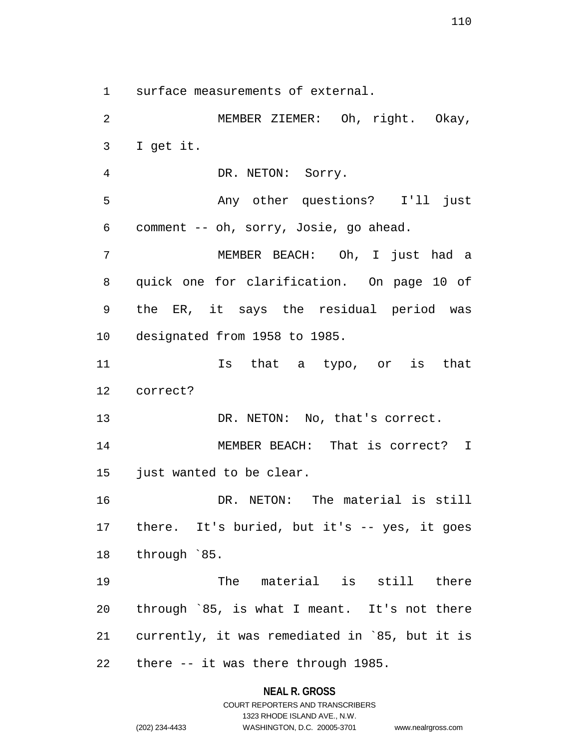1 surface measurements of external.

2 MEMBER ZIEMER: Oh, right. Okay, 3 I get it. 4 DR. NETON: Sorry. 5 Any other questions? I'll just 6 comment -- oh, sorry, Josie, go ahead. 7 MEMBER BEACH: Oh, I just had a 8 quick one for clarification. On page 10 of 9 the ER, it says the residual period was 10 designated from 1958 to 1985. 11 Is that a typo, or is that 12 correct? 13 DR. NETON: No, that's correct. 14 MEMBER BEACH: That is correct? I 15 just wanted to be clear. 16 DR. NETON: The material is still 17 there. It's buried, but it's -- yes, it goes 18 through `85. 19 The material is still there 20 through `85, is what I meant. It's not there 21 currently, it was remediated in `85, but it is 22 there -- it was there through 1985.

### **NEAL R. GROSS**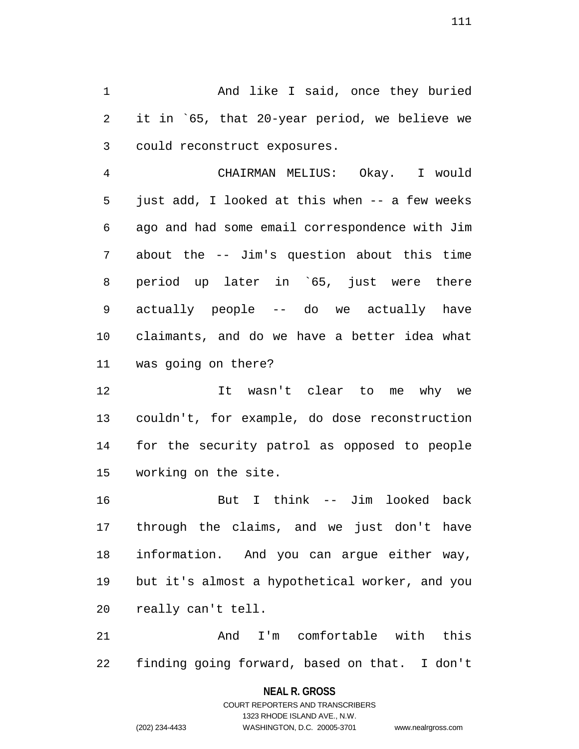1 And like I said, once they buried 2 it in `65, that 20-year period, we believe we 3 could reconstruct exposures.

4 CHAIRMAN MELIUS: Okay. I would 5 just add, I looked at this when -- a few weeks 6 ago and had some email correspondence with Jim 7 about the -- Jim's question about this time 8 period up later in `65, just were there 9 actually people -- do we actually have 10 claimants, and do we have a better idea what 11 was going on there?

12 It wasn't clear to me why we 13 couldn't, for example, do dose reconstruction 14 for the security patrol as opposed to people 15 working on the site.

16 But I think -- Jim looked back 17 through the claims, and we just don't have 18 information. And you can argue either way, 19 but it's almost a hypothetical worker, and you 20 really can't tell.

21 And I'm comfortable with this 22 finding going forward, based on that. I don't

### **NEAL R. GROSS**

COURT REPORTERS AND TRANSCRIBERS 1323 RHODE ISLAND AVE., N.W. (202) 234-4433 WASHINGTON, D.C. 20005-3701 www.nealrgross.com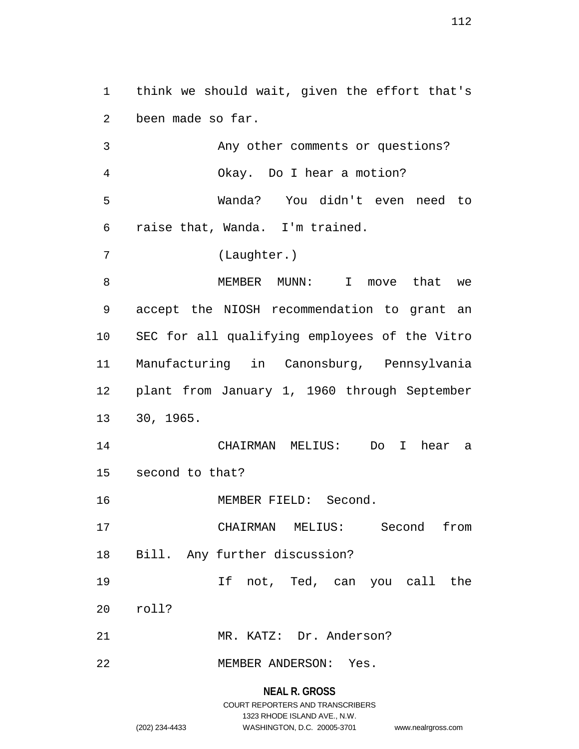1 think we should wait, given the effort that's 2 been made so far.

3 Any other comments or questions? 4 Okay. Do I hear a motion? 5 Wanda? You didn't even need to 6 raise that, Wanda. I'm trained.

7 (Laughter.)

8 MEMBER MUNN: I move that we 9 accept the NIOSH recommendation to grant an 10 SEC for all qualifying employees of the Vitro 11 Manufacturing in Canonsburg, Pennsylvania 12 plant from January 1, 1960 through September 13 30, 1965.

14 CHAIRMAN MELIUS: Do I hear a 15 second to that?

16 MEMBER FIELD: Second.

17 CHAIRMAN MELIUS: Second from

18 Bill. Any further discussion?

19 If not, Ted, can you call the

20 roll?

21 MR. KATZ: Dr. Anderson?

22 MEMBER ANDERSON: Yes.

**NEAL R. GROSS**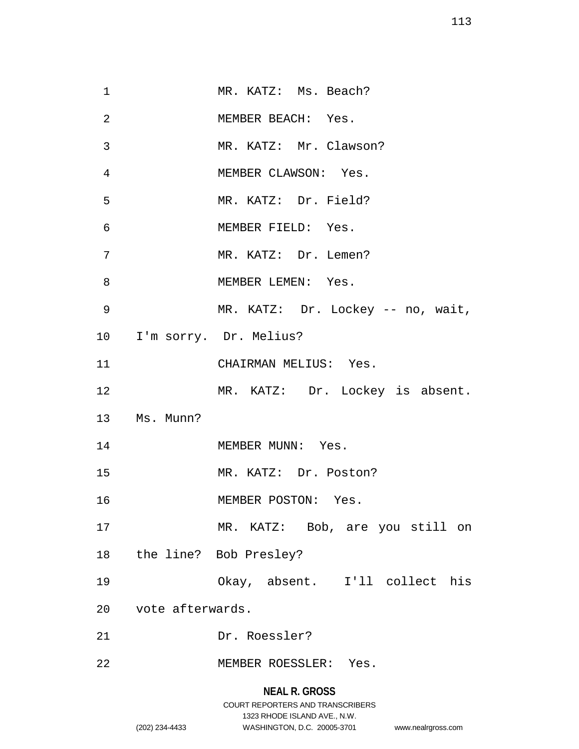| 1  |                     | MR. KATZ: Ms. Beach?              |
|----|---------------------|-----------------------------------|
| 2  |                     | MEMBER BEACH: Yes.                |
| 3  |                     | MR. KATZ: Mr. Clawson?            |
| 4  |                     | MEMBER CLAWSON: Yes.              |
| 5  |                     | MR. KATZ: Dr. Field?              |
| 6  |                     | MEMBER FIELD: Yes.                |
| 7  |                     | MR. KATZ: Dr. Lemen?              |
| 8  |                     | MEMBER LEMEN: Yes.                |
| 9  |                     | MR. KATZ: Dr. Lockey -- no, wait, |
|    |                     | 10 I'm sorry. Dr. Melius?         |
| 11 |                     | CHAIRMAN MELIUS: Yes.             |
| 12 |                     | MR. KATZ: Dr. Lockey is absent.   |
|    | 13 Ms. Munn?        |                                   |
| 14 |                     | MEMBER MUNN: Yes.                 |
| 15 |                     | MR. KATZ: Dr. Poston?             |
| 16 |                     | MEMBER POSTON: Yes.               |
| 17 |                     | MR. KATZ: Bob, are you still on   |
|    |                     | 18 the line? Bob Presley?         |
| 19 |                     | Okay, absent. I'll collect his    |
|    | 20 vote afterwards. |                                   |
| 21 |                     | Dr. Roessler?                     |
| 22 |                     | MEMBER ROESSLER: Yes.             |
|    |                     | <b>NEAL R. GROSS</b>              |

COURT REPORTERS AND TRANSCRIBERS 1323 RHODE ISLAND AVE., N.W. (202) 234-4433 WASHINGTON, D.C. 20005-3701 www.nealrgross.com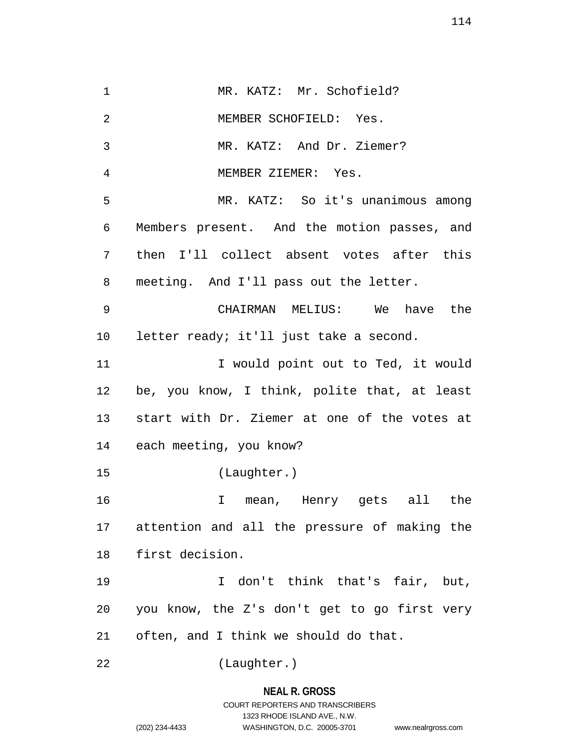1 MR. KATZ: Mr. Schofield? 2 MEMBER SCHOFIELD: Yes. 3 MR. KATZ: And Dr. Ziemer? 4 MEMBER ZIEMER: Yes. 5 MR. KATZ: So it's unanimous among 6 Members present. And the motion passes, and 7 then I'll collect absent votes after this 8 meeting. And I'll pass out the letter. 9 CHAIRMAN MELIUS: We have the 10 letter ready; it'll just take a second. 11 11 I would point out to Ted, it would 12 be, you know, I think, polite that, at least 13 start with Dr. Ziemer at one of the votes at 14 each meeting, you know? 15 (Laughter.) 16 I mean, Henry gets all the 17 attention and all the pressure of making the 18 first decision. 19 I don't think that's fair, but, 20 you know, the Z's don't get to go first very 21 often, and I think we should do that. 22 (Laughter.)

# **NEAL R. GROSS** COURT REPORTERS AND TRANSCRIBERS 1323 RHODE ISLAND AVE., N.W. (202) 234-4433 WASHINGTON, D.C. 20005-3701 www.nealrgross.com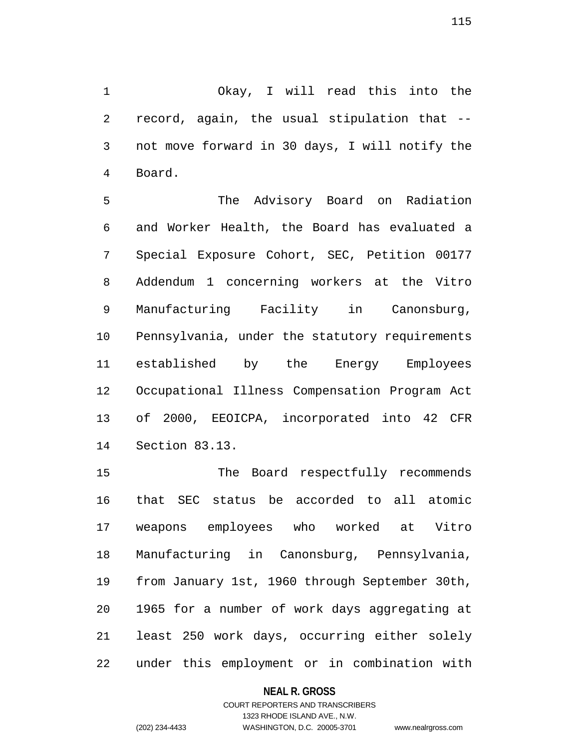1 Okay, I will read this into the 2 record, again, the usual stipulation that -- 3 not move forward in 30 days, I will notify the 4 Board.

5 The Advisory Board on Radiation 6 and Worker Health, the Board has evaluated a 7 Special Exposure Cohort, SEC, Petition 00177 8 Addendum 1 concerning workers at the Vitro 9 Manufacturing Facility in Canonsburg, 10 Pennsylvania, under the statutory requirements 11 established by the Energy Employees 12 Occupational Illness Compensation Program Act 13 of 2000, EEOICPA, incorporated into 42 CFR 14 Section 83.13.

15 The Board respectfully recommends 16 that SEC status be accorded to all atomic 17 weapons employees who worked at Vitro 18 Manufacturing in Canonsburg, Pennsylvania, 19 from January 1st, 1960 through September 30th, 20 1965 for a number of work days aggregating at 21 least 250 work days, occurring either solely 22 under this employment or in combination with

### **NEAL R. GROSS**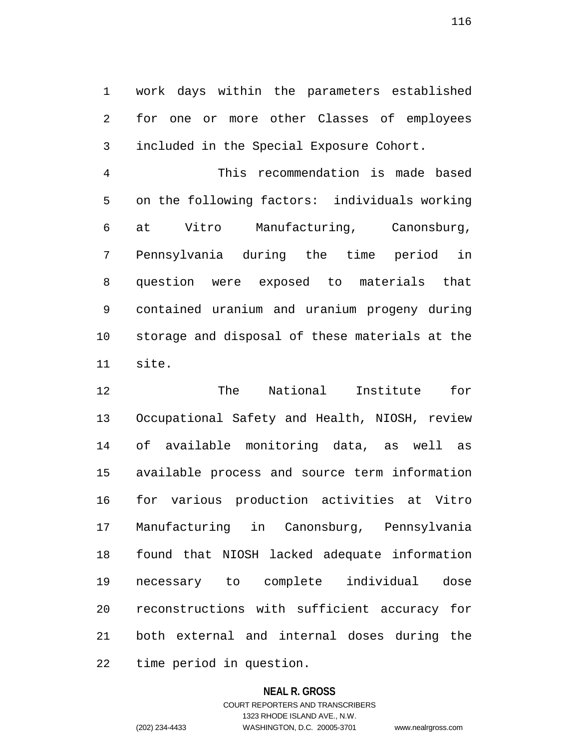1 work days within the parameters established 2 for one or more other Classes of employees 3 included in the Special Exposure Cohort.

4 This recommendation is made based 5 on the following factors: individuals working 6 at Vitro Manufacturing, Canonsburg, 7 Pennsylvania during the time period in 8 question were exposed to materials that 9 contained uranium and uranium progeny during 10 storage and disposal of these materials at the 11 site.

12 The National Institute for 13 Occupational Safety and Health, NIOSH, review 14 of available monitoring data, as well as 15 available process and source term information 16 for various production activities at Vitro 17 Manufacturing in Canonsburg, Pennsylvania 18 found that NIOSH lacked adequate information 19 necessary to complete individual dose 20 reconstructions with sufficient accuracy for 21 both external and internal doses during the 22 time period in question.

### **NEAL R. GROSS**

COURT REPORTERS AND TRANSCRIBERS 1323 RHODE ISLAND AVE., N.W. (202) 234-4433 WASHINGTON, D.C. 20005-3701 www.nealrgross.com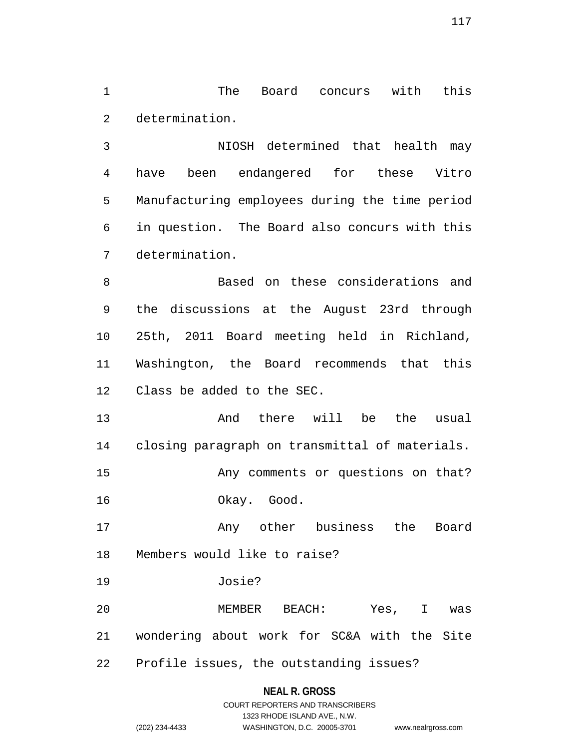1 The Board concurs with this 2 determination.

3 NIOSH determined that health may 4 have been endangered for these Vitro 5 Manufacturing employees during the time period 6 in question. The Board also concurs with this 7 determination.

8 Based on these considerations and 9 the discussions at the August 23rd through 10 25th, 2011 Board meeting held in Richland, 11 Washington, the Board recommends that this 12 Class be added to the SEC.

13 And there will be the usual 14 closing paragraph on transmittal of materials. 15 Any comments or questions on that? 16 Okay. Good.

17 Any other business the Board 18 Members would like to raise?

19 Josie?

20 MEMBER BEACH: Yes, I was 21 wondering about work for SC&A with the Site 22 Profile issues, the outstanding issues?

### **NEAL R. GROSS**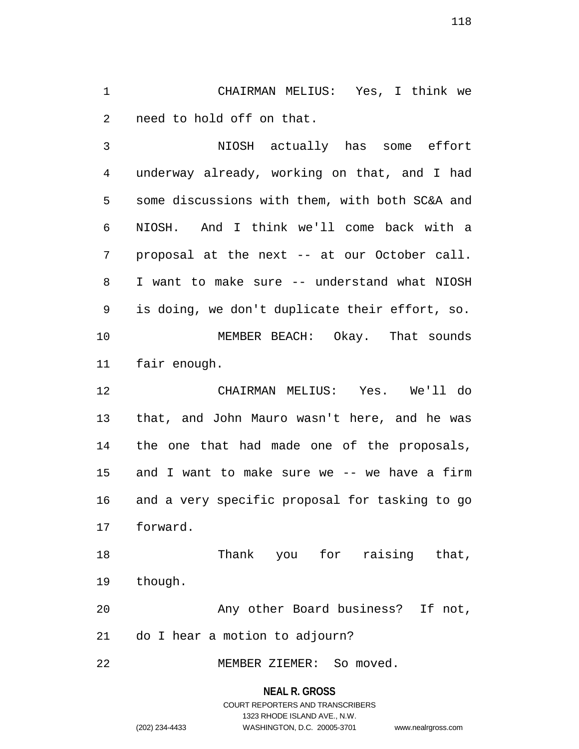1 CHAIRMAN MELIUS: Yes, I think we 2 need to hold off on that.

3 NIOSH actually has some effort 4 underway already, working on that, and I had 5 some discussions with them, with both SC&A and 6 NIOSH. And I think we'll come back with a 7 proposal at the next -- at our October call. 8 I want to make sure -- understand what NIOSH 9 is doing, we don't duplicate their effort, so. 10 MEMBER BEACH: Okay. That sounds 11 fair enough. 12 CHAIRMAN MELIUS: Yes. We'll do 13 that, and John Mauro wasn't here, and he was 14 the one that had made one of the proposals,

15 and I want to make sure we -- we have a firm 16 and a very specific proposal for tasking to go 17 forward.

18 Thank you for raising that, 19 though.

20 Any other Board business? If not, 21 do I hear a motion to adjourn?

22 MEMBER ZIEMER: So moved.

### **NEAL R. GROSS**